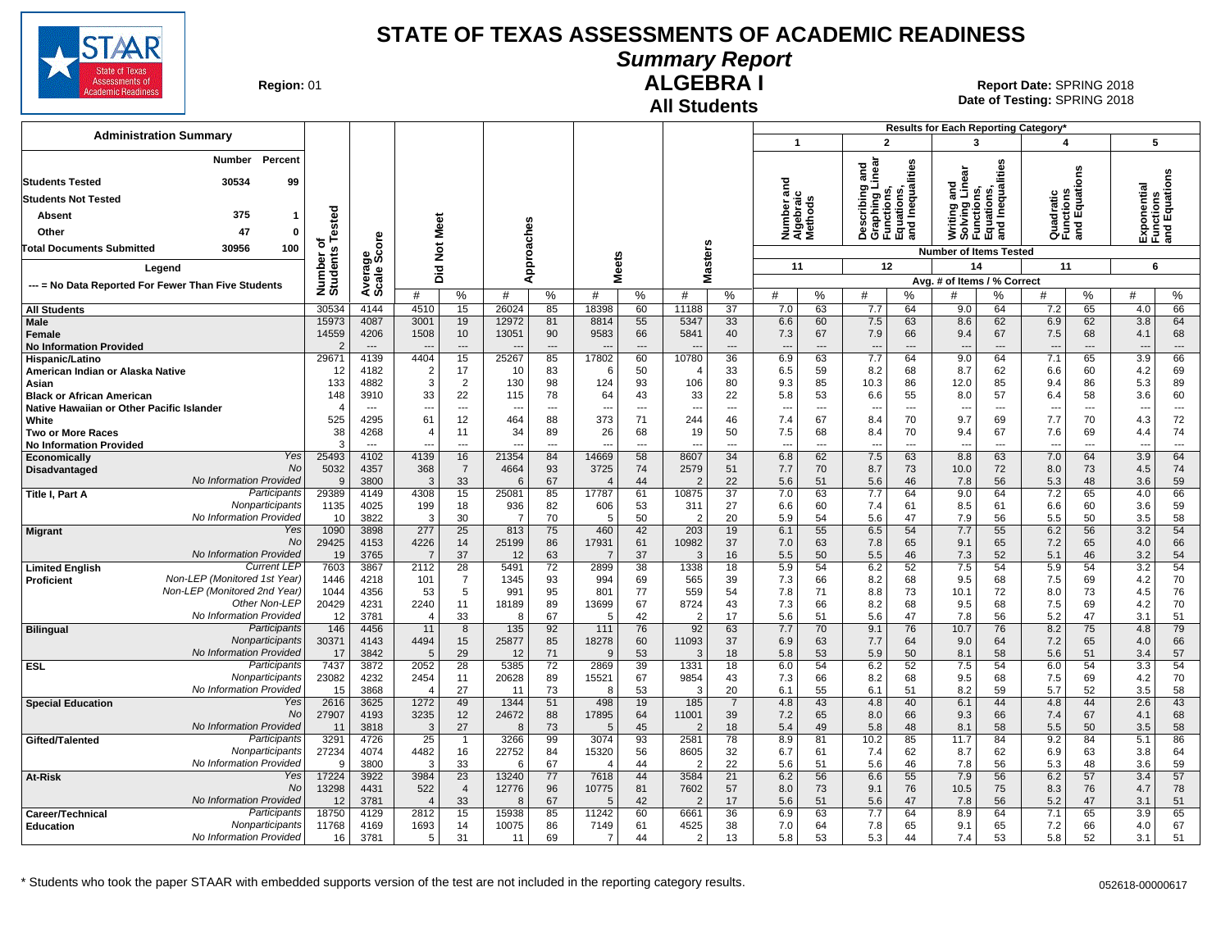

**Summary Report**

**Region: 01** 

#### **All Students ALGEBRA I**

**Date of Testing:**  SPRING 2018 01 **Report Date:** SPRING 2018

|                                                                               |                      |                                  |                                 |                      |                |                      |                                |                |                                |                      |                                  |           |                                 |                          | Results for Each Reporting Category*                                 |                      |                                      |                |                                 |                                           |
|-------------------------------------------------------------------------------|----------------------|----------------------------------|---------------------------------|----------------------|----------------|----------------------|--------------------------------|----------------|--------------------------------|----------------------|----------------------------------|-----------|---------------------------------|--------------------------|----------------------------------------------------------------------|----------------------|--------------------------------------|----------------|---------------------------------|-------------------------------------------|
| <b>Administration Summary</b>                                                 |                      |                                  |                                 |                      |                |                      |                                |                |                                |                      | 1                                |           | $\overline{2}$                  |                          | 3                                                                    |                      | $\overline{a}$                       |                |                                 | 5                                         |
| Number<br>Percent                                                             |                      |                                  |                                 |                      |                |                      |                                |                |                                |                      |                                  |           |                                 |                          |                                                                      |                      |                                      |                |                                 |                                           |
| <b>Students Tested</b><br>30534<br>99                                         |                      |                                  |                                 |                      |                |                      |                                |                |                                |                      | ਠ                                |           | ng and<br>I Linear              | Inequalities             | and<br>Linear                                                        | lities               |                                      | ens            |                                 | Exponentiai<br>Functions<br>and Equations |
| <b>Students Not Tested</b>                                                    |                      |                                  |                                 |                      |                |                      |                                |                |                                |                      | 듢                                |           |                                 |                          | Writing and<br>Solving Lin<br>Functions,<br>Equations,<br>and Inequa | Inequa               | Quadratic<br>Functions<br>and Equati |                |                                 |                                           |
| 375<br>-1                                                                     |                      |                                  |                                 |                      |                |                      |                                |                |                                |                      | lumber ar<br>Igebraic<br>Iethods |           | escribin<br>raphing             | unctions,<br>quations,   |                                                                      |                      |                                      |                |                                 |                                           |
| Absent                                                                        | Tested               |                                  | Meet                            |                      |                |                      |                                |                |                                |                      |                                  |           |                                 | 품을                       |                                                                      |                      |                                      |                |                                 |                                           |
| Other<br>47<br>0                                                              | ъ                    |                                  |                                 |                      |                |                      |                                |                |                                |                      | ž∢≅                              |           | 首の正面                            |                          |                                                                      |                      |                                      |                |                                 |                                           |
| 30956<br>100<br>Total Documents Submitted                                     | Number o<br>Students | Average<br>Scale Score           | $\breve{\mathbf{z}}$            |                      |                | Approaches           |                                |                |                                | asters               |                                  |           |                                 |                          | <b>Number of Items Tested</b>                                        |                      |                                      |                |                                 |                                           |
| Legend                                                                        |                      |                                  | 흐                               |                      |                |                      | <b>Meets</b>                   |                |                                |                      | 11                               |           |                                 | 12                       | 14                                                                   |                      | 11                                   |                |                                 | 6                                         |
| --- = No Data Reported For Fewer Than Five Students                           |                      |                                  | ۵                               |                      |                |                      |                                |                | Σ                              |                      |                                  |           |                                 |                          | Avg. # of Items / % Correct                                          |                      |                                      |                |                                 |                                           |
|                                                                               |                      |                                  | #                               | %                    | #              | ℅                    | #                              | %              | #                              | %                    | #                                | %         | #                               | %                        |                                                                      | ℅                    | #                                    | %              | #                               | %                                         |
| <b>All Students</b>                                                           | 30534                | 4144<br>4087                     | 4510                            | 15                   | 26024          | 85                   | 18398                          | 60             | 11188                          | 37                   | 7.0                              | 63        | 7.7                             | 64                       | 9.0                                                                  | 64                   | 7.2                                  | 65             | 4.0                             | 66                                        |
| Male<br>Female                                                                | 15973<br>14559       | 4206                             | 3001<br>1508                    | 19<br>10             | 12972<br>13051 | 81<br>90             | 8814<br>9583                   | 55<br>66       | 5347<br>5841                   | 33<br>40             | 6.6<br>7.3                       | 60<br>67  | 7.5<br>7.9                      | 63<br>66                 | 8.6<br>9.4                                                           | 62<br>67             | 6.9<br>7.5                           | 62<br>68       | 3.8<br>4.1                      | 64<br>68                                  |
| <b>No Information Provided</b>                                                |                      | $---$                            |                                 | $\overline{a}$       |                | $\overline{a}$       |                                | $\overline{a}$ |                                | $\overline{a}$       |                                  | ---       | $\overline{a}$                  | $\overline{\phantom{a}}$ |                                                                      | $---$                |                                      | $\overline{a}$ | $\overline{\phantom{a}}$        | $\overline{a}$                            |
| Hispanic/Latino                                                               | 29671                | 4139                             | 4404                            | 15                   | 25267          | 85                   | 17802                          | 60             | 10780                          | 36                   | 6.9                              | 63        | 7.7                             | 64                       | 9.0                                                                  | 64                   | 7.1                                  | 65             | 3.9                             | 66                                        |
| American Indian or Alaska Native                                              | 12                   | 4182                             | 2                               | 17                   | 10             | 83                   | 6                              | 50             |                                | 33                   | 6.5                              | 59        | 8.2                             | 68                       | 8.7                                                                  | 62                   | 6.6                                  | 60             | 4.2                             | 69                                        |
| Asian                                                                         | 133                  | 4882                             | 3                               | $\overline{2}$       | 130            | 98                   | 124                            | 93             | 106                            | 80                   | 9.3                              | 85        | 10.3                            | 86                       | 12.0                                                                 | 85                   | 9.4                                  | 86             | 5.3                             | 89                                        |
| <b>Black or African American</b><br>Native Hawaiian or Other Pacific Islander | 148<br>4             | 3910<br>$\overline{\phantom{a}}$ | 33<br>--                        | 22<br>---            | 115            | 78<br>$\overline{a}$ | 64<br>$\overline{\phantom{a}}$ | 43<br>---      | 33<br>$\overline{\phantom{a}}$ | 22<br>$\overline{a}$ | 5.8<br>$\overline{a}$            | 53<br>--- | 6.6<br>$\overline{\phantom{a}}$ | 55<br>$\sim$             | 8.0<br>$\overline{a}$                                                | 57<br>$\overline{a}$ | 6.4<br>---                           | 58<br>---      | 3.6<br>$\overline{\phantom{a}}$ | 60<br>$\overline{\phantom{a}}$            |
| White                                                                         | 525                  | 4295                             | 61                              | 12                   | 464            | 88                   | 373                            | 71             | 244                            | 46                   | 7.4                              | 67        | 8.4                             | 70                       | 9.7                                                                  | 69                   | 7.7                                  | 70             | 4.3                             | 72                                        |
| <b>Two or More Races</b>                                                      | 38                   | 4268                             | $\overline{ }$                  | 11                   | 34             | 89                   | 26                             | 68             | 19                             | 50                   | 7.5                              | 68        | 8.4                             | 70                       | 9.4                                                                  | 67                   | 7.6                                  | 69             | 4.4                             | 74                                        |
| <b>No Information Provided</b>                                                | 3                    | $\overline{a}$                   |                                 | $\overline{a}$       |                | $\overline{a}$       |                                | $\sim$         |                                | $\overline{a}$       | $\overline{a}$                   | ---       | ---                             | $\overline{a}$           | $\overline{a}$                                                       | $\overline{a}$       | ---                                  | $\overline{a}$ | $\sim$                          | $\overline{\phantom{a}}$                  |
| Yes<br>Economically                                                           | 25493                | 4102                             | 4139                            | 16                   | 21354          | 84                   | 14669                          | 58             | 8607                           | 34                   | 6.8                              | 62        | 7.5                             | 63                       | 8.8                                                                  | 63                   | 7.0                                  | 64             | 3.9                             | 64                                        |
| No<br>Disadvantaged<br>No Information Provided                                | 5032<br>$\mathbf{Q}$ | 4357<br>3800                     | 368<br>3                        | $\overline{7}$<br>33 | 4664<br>6      | 93<br>67             | 3725<br>$\overline{4}$         | 74<br>44       | 2579<br>2                      | 51<br>22             | 7.7<br>5.6                       | 70<br>51  | 8.7<br>5.6                      | 73<br>46                 | 10.0<br>7.8                                                          | 72<br>56             | 8.0<br>5.3                           | 73<br>48       | 4.5<br>3.6                      | 74<br>59                                  |
| Participants<br>Title I, Part A                                               | 29389                | 4149                             | 4308                            | 15                   | 25081          | 85                   | 17787                          | 61             | 10875                          | $\overline{37}$      | 7.0                              | 63        | 7.7                             | 64                       | 9.0                                                                  | 64                   | 7.2                                  | 65             | 4.0                             | 66                                        |
| Nonparticipants                                                               | 1135                 | 4025                             | 199                             | 18                   | 936            | 82                   | 606                            | 53             | 311                            | 27                   | 6.6                              | 60        | 7.4                             | 61                       | 8.5                                                                  | 61                   | 6.6                                  | 60             | 3.6                             | 59                                        |
| No Information Provided                                                       | 10                   | 3822                             | 3                               | 30                   | $\overline{7}$ | 70                   | .5                             | 50             | $\mathcal{P}$                  | 20                   | 5.9                              | 54        | 5.6                             | 47                       | 7.9                                                                  | 56                   | 5.5                                  | 50             | 3.5                             | 58                                        |
| Yes<br><b>Migrant</b>                                                         | 1090                 | 3898                             | 277                             | 25                   | 813            | 75                   | 460                            | 42             | 203                            | 19                   | 6.1                              | 55        | 6.5                             | 54                       | 7.7                                                                  | 55                   | 6.2                                  | 56             | 3.2                             | 54                                        |
| <b>No</b><br>No Information Provided                                          | 29425                | 4153<br>3765                     | 4226<br>$\overline{7}$          | 14<br>37             | 25199          | 86                   | 17931<br>$\overline{7}$        | 61<br>37       | 10982<br>3                     | 37                   | 7.0                              | 63<br>50  | 7.8                             | 65<br>46                 | 9.1                                                                  | 65<br>52             | 7.2                                  | 65<br>46       | 4.0                             | 66<br>54                                  |
| <b>Current LEF</b><br><b>Limited English</b>                                  | 19<br>7603           | 3867                             | 2112                            | 28                   | 12<br>5491     | 63<br>72             | 2899                           | 38             | 1338                           | 16<br>18             | 5.5<br>5.9                       | 54        | 5.5<br>6.2                      | 52                       | 7.3<br>7.5                                                           | 54                   | 5.1<br>5.9                           | 54             | 3.2<br>3.2                      | 54                                        |
| Non-LEP (Monitored 1st Year)<br>Proficient                                    | 1446                 | 4218                             | 101                             | $\overline{7}$       | 1345           | 93                   | 994                            | 69             | 565                            | 39                   | 7.3                              | 66        | 8.2                             | 68                       | 9.5                                                                  | 68                   | 7.5                                  | 69             | 4.2                             | 70                                        |
| Non-LEP (Monitored 2nd Year                                                   | 1044                 | 4356                             | 53                              | 5                    | 991            | 95                   | 801                            | 77             | 559                            | 54                   | 7.8                              | 71        | 8.8                             | 73                       | 10.1                                                                 | 72                   | 8.0                                  | 73             | 4.5                             | 76                                        |
| Other Non-LEP                                                                 | 20429                | 4231                             | 2240                            | 11                   | 18189          | 89                   | 13699                          | 67             | 8724                           | 43                   | 7.3                              | 66        | 8.2                             | 68                       | 9.5                                                                  | 68                   | 7.5                                  | 69             | 4.2                             | 70                                        |
| No Information Provided<br>Participants                                       | 12                   | 3781                             | $\Delta$                        | 33                   | 8              | 67                   | -5                             | 42             |                                | 17                   | 5.6                              | 51        | 5.6                             | 47                       | 7.8                                                                  | 56                   | 5.2                                  | 47             | 3.1                             | 51                                        |
| <b>Bilingual</b><br>Nonparticipants                                           | 146<br>30371         | 4456<br>4143                     | 11<br>4494                      | 8<br>15              | 135<br>25877   | 92<br>85             | 111<br>18278                   | 76<br>60       | 92<br>11093                    | 63<br>37             | 7.7<br>6.9                       | 70<br>63  | 9.1<br>7.7                      | 76<br>64                 | 10.7<br>9.0                                                          | 76<br>64             | 8.2<br>7.2                           | 75<br>65       | 4.8<br>4.0                      | 79<br>66                                  |
| No Information Provided                                                       | 17                   | 3842                             | $\overline{5}$                  | 29                   | 12             | 71                   |                                | 53             | 3                              | 18                   | 5.8                              | 53        | 5.9                             | 50                       | 8.1                                                                  | 58                   | 5.6                                  | 51             | 3.4                             | 57                                        |
| Participants<br><b>ESL</b>                                                    | 7437                 | 3872                             | 2052                            | 28                   | 5385           | $\overline{72}$      | 2869                           | 39             | 1331                           | 18                   | 6.0                              | 54        | 6.2                             | 52                       | 7.5                                                                  | 54                   | 6.0                                  | 54             | 3.3                             | 54                                        |
| Nonparticipants                                                               | 23082                | 4232                             | 2454                            | 11                   | 20628          | 89                   | 15521                          | 67             | 9854                           | 43                   | 7.3                              | 66        | 8.2                             | 68                       | 9.5                                                                  | 68                   | 7.5                                  | 69             | 4.2                             | 70                                        |
| No Information Provided                                                       | 15                   | 3868                             | $\overline{4}$                  | 27                   | -11            | 73                   | 8                              | 53             | 3                              | 20                   | 6.1                              | 55        | 6.1                             | 51                       | 8.2                                                                  | 59                   | 5.7                                  | 52             | 3.5                             | 58                                        |
| Yes<br><b>Special Education</b><br><b>No</b>                                  | 2616<br>27907        | 3625<br>4193                     | 1272<br>3235                    | 49<br>12             | 1344<br>24672  | 51<br>88             | 498<br>17895                   | 19             | 185<br>11001                   | $\overline{7}$<br>39 | 4.8<br>7.2                       | 43<br>65  | 4.8<br>8.0                      | 40                       | 6.1<br>9.3                                                           | 44<br>66             | 4.8<br>7.4                           | 44<br>67       | 2.6<br>4.1                      | 43<br>68                                  |
| No Information Provided                                                       | 11                   | 3818                             | 3                               | 27                   | 8              | 73                   | .5                             | 64<br>45       | $\mathcal{P}$                  | 18                   | 5.4                              | 49        | 5.8                             | 66<br>48                 | 8.1                                                                  | 58                   | 5.5                                  | 50             | 3.5                             | 58                                        |
| Participants<br>Gifted/Talented                                               | 3291                 | 4726                             | 25                              | $\overline{1}$       | 3266           | 99                   | 3074                           | 93             | 2581                           | 78                   | 8.9                              | 81        | 10.2                            | 85                       | 11.7                                                                 | 84                   | 9.2                                  | 84             | 5.1                             | 86                                        |
| Nonparticipants                                                               | 27234                | 4074                             | 4482                            | 16                   | 22752          | 84                   | 15320                          | 56             | 8605                           | 32                   | 6.7                              | 61        | 7.4                             | 62                       | 8.7                                                                  | 62                   | 6.9                                  | 63             | 3.8                             | 64                                        |
| No Information Provided                                                       | 9                    | 3800                             | 3                               | 33                   | 6              | 67                   | $\boldsymbol{\varDelta}$       | 44             | 2                              | 22                   | 5.6                              | 51        | 5.6                             | 46                       | 7.8                                                                  | 56                   | 5.3                                  | 48             | 3.6                             | 59                                        |
| Yes<br>At-Risk<br>No                                                          | 17224                | 3922                             | 3984                            | 23                   | 13240          | 77                   | 7618                           | 44             | 3584                           | 21                   | 6.2                              | 56        | 6.6                             | 55                       | 7.9                                                                  | 56                   | 6.2                                  | 57             | 3.4                             | 57                                        |
| No Information Provided                                                       | 13298<br>12          | 4431<br>3781                     | 522<br>$\overline{\phantom{a}}$ | $\overline{4}$<br>33 | 12776<br>8     | 96<br>67             | 10775<br>5                     | 81<br>42       | 7602                           | 57<br>17             | 8.0<br>5.6                       | 73<br>51  | 9.1<br>5.6                      | 76<br>47                 | 10.5<br>7.8                                                          | 75<br>56             | 8.3<br>5.2                           | 76<br>47       | 4.7<br>3.1                      | 78<br>51                                  |
| Participants<br>Career/Technical                                              | 18750                | 4129                             | 2812                            | 15                   | 15938          | 85                   | 11242                          | 60             | 6661                           | 36                   | 6.9                              | 63        | 7.7                             | 64                       | 8.9                                                                  | 64                   | 7.1                                  | 65             | 3.9                             | 65                                        |
| Nonparticipants<br><b>Education</b>                                           | 11768                | 4169                             | 1693                            | 14                   | 10075          | 86                   | 7149                           | 61             | 4525                           | 38                   | 7.0                              | 64        | 7.8                             | 65                       | 9.1                                                                  | 65                   | 7.2                                  | 66             | 4.0                             | 67                                        |
| No Information Provided                                                       | 16                   | 3781                             | 5                               | 31                   | 11             | 69                   |                                | 44             | 2                              | 13                   | 5.8                              | 53        | 5.3                             | 44                       | 7.4                                                                  | 53                   | 5.8                                  | 52             | 3.1                             | 51                                        |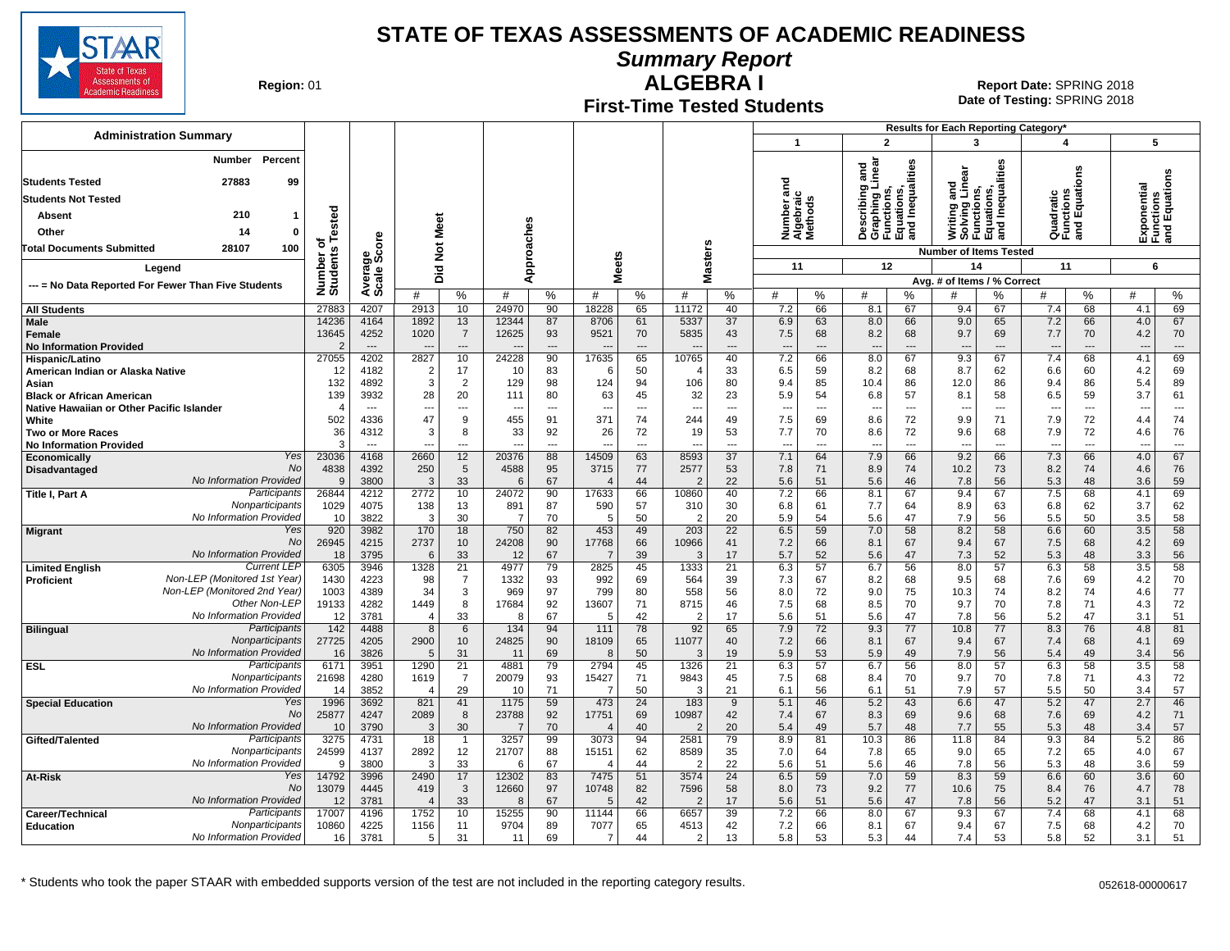

**Summary Report**

**Region: 01** 

#### **First-Time Tested Students ALGEBRA I** 01 **Report Date:** SPRING 2018

**Date of Testing:**  SPRING 2018

| <b>Administration Summary</b>                              |                        |                                |                |                                            |                |                                |                                |                                |                   |                      | $\overline{1}$                         |                                | $\overline{2}$                                                                    |                                | Results for Each Reporting Category*<br>3                                     |                      | 4                                    |                | 5                     |                          |
|------------------------------------------------------------|------------------------|--------------------------------|----------------|--------------------------------------------|----------------|--------------------------------|--------------------------------|--------------------------------|-------------------|----------------------|----------------------------------------|--------------------------------|-----------------------------------------------------------------------------------|--------------------------------|-------------------------------------------------------------------------------|----------------------|--------------------------------------|----------------|-----------------------|--------------------------|
|                                                            |                        |                                |                |                                            |                |                                |                                |                                |                   |                      |                                        |                                |                                                                                   |                                |                                                                               |                      |                                      |                |                       |                          |
| Percent<br>Number                                          |                        |                                |                |                                            |                |                                |                                |                                |                   |                      |                                        |                                | Describing and<br>Graphing Linear<br>Functions,<br>Equations,<br>and Inequalities |                                | Writing and<br>Solving Linear<br>Functions,<br>Equations,<br>and Inequalities |                      |                                      |                |                       |                          |
| <b>Students Tested</b><br>27883<br>99                      |                        |                                |                |                                            |                |                                |                                |                                |                   |                      | ਠ                                      |                                |                                                                                   |                                |                                                                               |                      |                                      |                |                       | nctions<br>I Equations   |
| <b>Students Not Tested</b>                                 |                        |                                |                |                                            |                |                                |                                |                                |                   |                      | 듦<br>Number ar<br>Algebraic<br>Methods |                                |                                                                                   |                                |                                                                               |                      | Quadratic<br>Functions<br>and Equati |                | ponential             |                          |
| 210<br>Absent<br>-1                                        |                        |                                |                |                                            |                |                                |                                |                                |                   |                      |                                        |                                |                                                                                   |                                |                                                                               |                      |                                      |                |                       |                          |
| Other<br>14<br>$\mathbf 0$                                 | Tested                 |                                | Meet           |                                            |                |                                |                                |                                |                   |                      |                                        |                                |                                                                                   |                                |                                                                               |                      |                                      |                |                       | 톤 혾                      |
| <b>Total Documents Submitted</b><br>28107<br>100           | ъ                      | ge<br>Score                    | $\frac{5}{2}$  |                                            |                |                                |                                |                                |                   |                      |                                        |                                |                                                                                   |                                | <b>Number of Items Tested</b>                                                 |                      |                                      |                | 迟일                    |                          |
|                                                            | Number o<br>Students   |                                |                |                                            |                | Approaches                     |                                | leets                          |                   | asters               | 11                                     |                                | 12                                                                                |                                | 14                                                                            |                      | 11                                   |                | 6                     |                          |
| Legend                                                     |                        | Avera                          | Did            |                                            |                |                                |                                | ż                              | Σ                 |                      |                                        |                                |                                                                                   |                                | Avg. # of Items / % Correct                                                   |                      |                                      |                |                       |                          |
| --- = No Data Reported For Fewer Than Five Students        |                        |                                | #              | %                                          | #              | %                              | #                              | %                              | #                 | %                    | #                                      | %                              | #                                                                                 | %                              |                                                                               | %                    | #                                    | %              | #                     | %                        |
| <b>All Students</b>                                        | 27883                  | 4207                           | 2913           | 10                                         | 24970          | 90                             | 18228                          | 65                             | 11172             | 40                   | 7.2                                    | 66                             | 8.1                                                                               | 67                             | 9.4                                                                           | 67                   | 7.4                                  | 68             | 4.1                   | 69                       |
| <b>Male</b>                                                | 14236                  | 4164                           | 1892           | 13                                         | 12344          | 87                             | 8706                           | 61                             | 5337              | 37                   | 6.9                                    | 63                             | 8.0                                                                               | 66                             | 9.0                                                                           | 65                   | 7.2                                  | 66             | 4.0                   | 67                       |
| <b>Female</b><br><b>No Information Provided</b>            | 13645<br>$\mathcal{P}$ | 4252<br>$\qquad \qquad \cdots$ | 1020           | $\overline{7}$<br>$\overline{\phantom{a}}$ | 12625          | 93<br>$\overline{\phantom{a}}$ | 9521                           | 70<br>$\overline{\phantom{a}}$ | 5835              | 43<br>---            | 7.5<br>$\overline{\phantom{a}}$        | 68<br>$\overline{\phantom{a}}$ | 8.2<br>$\overline{\phantom{a}}$                                                   | 68<br>$\overline{\phantom{a}}$ | 9.7<br>$\overline{\phantom{a}}$                                               | 69<br>---            | 7.7                                  | 70<br>---      | 4.2<br>$\overline{a}$ | 70<br>---                |
| Hispanic/Latino                                            | 27055                  | 4202                           | 2827           | 10                                         | 24228          | 90                             | 17635                          | 65                             | 10765             | 40                   | 7.2                                    | 66                             | 8.0                                                                               | 67                             | 9.3                                                                           | 67                   | 7.4                                  | 68             | 4.1                   | 69                       |
| American Indian or Alaska Native                           | 12                     | 4182                           | $\overline{2}$ | 17                                         | 10             | 83                             | -6                             | 50                             |                   | 33                   | 6.5                                    | 59                             | 8.2                                                                               | 68                             | 8.7                                                                           | 62                   | 6.6                                  | 60             | 4.2                   | 69                       |
| Asian                                                      | 132                    | 4892                           | 3              | $\overline{2}$                             | 129            | 98                             | 124                            | 94                             | 106               | 80                   | 9.4                                    | 85                             | 10.4                                                                              | 86                             | 12.0                                                                          | 86                   | 9.4                                  | 86             | 5.4                   | 89                       |
| <b>Black or African American</b>                           | 139                    | 3932                           | 28             | 20                                         | 111            | 80                             | 63                             | 45                             | 32                | 23                   | 5.9                                    | 54                             | 6.8                                                                               | 57                             | 8.1                                                                           | 58                   | 6.5                                  | 59             | 3.7                   | 61                       |
| Native Hawaiian or Other Pacific Islander<br>White         | 502                    | $---$<br>4336                  | ---<br>47      | $---$<br>9                                 | $---$<br>455   | $\overline{a}$<br>91           | $\sim$<br>371                  | $\overline{a}$<br>74           | $\sim$<br>244     | $\overline{a}$<br>49 | $\overline{a}$<br>7.5                  | $\overline{a}$<br>69           | $\overline{\phantom{a}}$<br>8.6                                                   | $\overline{a}$<br>72           | $\overline{a}$<br>9.9                                                         | $\overline{a}$<br>71 | $\overline{\phantom{a}}$<br>7.9      | $---$<br>72    | ---<br>4.4            | $---$<br>74              |
| <b>Two or More Races</b>                                   | 36                     | 4312                           | 3              | 8                                          | 33             | 92                             | 26                             | 72                             | 19                | 53                   | 7.7                                    | 70                             | 8.6                                                                               | 72                             | 9.6                                                                           | 68                   | 7.9                                  | 72             | 4.6                   | 76                       |
| <b>No Information Provided</b>                             | 3                      | $---$                          | ---            | $\overline{a}$                             |                | $\overline{a}$                 | $\overline{a}$                 | $\overline{a}$                 |                   | $\overline{a}$       | $\overline{a}$                         | $\overline{a}$                 | $\overline{\phantom{a}}$                                                          | $\overline{a}$                 | $\overline{a}$                                                                | $\overline{a}$       | $\overline{\phantom{a}}$             | $\overline{a}$ | ---                   | $\overline{\phantom{a}}$ |
| Yes<br>Economically                                        | 23036                  | 4168                           | 2660           | 12                                         | 20376          | 88                             | 14509                          | 63                             | 8593              | 37                   | 7.1                                    | 64                             | 7.9                                                                               | 66                             | 9.2                                                                           | 66                   | 7.3                                  | 66             | 4.0                   | 67                       |
| <b>No</b><br>Disadvantaged                                 | 4838                   | 4392                           | 250            | $5\phantom{.0}$                            | 4588           | 95                             | 3715                           | 77                             | 2577              | 53                   | 7.8                                    | 71                             | 8.9                                                                               | 74                             | 10.2                                                                          | 73                   | 8.2                                  | 74             | 4.6                   | 76                       |
| No Information Provided<br>Participants<br>Title I, Part A | $\mathbf{Q}$<br>26844  | 3800<br>4212                   | 3<br>2772      | 33<br>10                                   | 6<br>24072     | 67<br>90                       | $\boldsymbol{\Delta}$<br>17633 | 44<br>66                       | 10860             | 22<br>40             | 5.6<br>7.2                             | 51<br>66                       | 5.6<br>8.1                                                                        | 46<br>67                       | 7.8<br>9.4                                                                    | 56<br>67             | 5.3<br>7.5                           | 48<br>68       | 3.6<br>4.1            | 59<br>69                 |
| Nonparticipants                                            | 1029                   | 4075                           | 138            | 13                                         | 891            | 87                             | 590                            | 57                             | 310               | 30                   | 6.8                                    | 61                             | 7.7                                                                               | 64                             | 8.9                                                                           | 63                   | 6.8                                  | 62             | 3.7                   | 62                       |
| No Information Provided                                    | 10                     | 3822                           | 3              | 30                                         | $\overline{7}$ | 70                             | -5                             | 50                             | $\mathcal{P}$     | 20                   | 5.9                                    | 54                             | 5.6                                                                               | 47                             | 7.9                                                                           | 56                   | 5.5                                  | 50             | 3.5                   | 58                       |
| Yes<br><b>Migrant</b>                                      | 920                    | 3982                           | 170            | 18                                         | 750            | 82                             | 453                            | 49                             | 203               | 22                   | 6.5                                    | 59                             | 7.0                                                                               | 58                             | 8.2                                                                           | 58                   | 6.6                                  | 60             | 3.5                   | 58                       |
| No<br>No Information Provided                              | 26945                  | 4215                           | 2737           | 10                                         | 24208          | 90                             | 17768                          | 66                             | 10966             | 41                   | 7.2                                    | 66                             | 8.1                                                                               | 67                             | 9.4                                                                           | 67                   | 7.5                                  | 68             | 4.2                   | 69                       |
| <b>Current LEF</b><br><b>Limited English</b>               | 18<br>6305             | 3795<br>3946                   | 6<br>1328      | 33<br>21                                   | 12<br>4977     | 67<br>79                       | $\overline{7}$<br>2825         | 39<br>45                       | $\cdot$ 3<br>1333 | 17<br>21             | 5.7<br>6.3                             | 52<br>57                       | 5.6<br>6.7                                                                        | 47<br>56                       | 7.3<br>8.0                                                                    | 52<br>57             | 5.3<br>6.3                           | 48<br>58       | 3.3<br>3.5            | 56<br>58                 |
| Non-LEP (Monitored 1st Year)<br>Proficient                 | 1430                   | 4223                           | 98             | $\overline{7}$                             | 1332           | 93                             | 992                            | 69                             | 564               | 39                   | 7.3                                    | 67                             | 8.2                                                                               | 68                             | 9.5                                                                           | 68                   | 7.6                                  | 69             | 4.2                   | 70                       |
| Non-LEP (Monitored 2nd Year)                               | 1003                   | 4389                           | 34             | $\mathsf 3$                                | 969            | 97                             | 799                            | 80                             | 558               | 56                   | 8.0                                    | 72                             | 9.0                                                                               | 75                             | 10.3                                                                          | 74                   | 8.2                                  | 74             | 4.6                   | 77                       |
| Other Non-LEP                                              | 19133                  | 4282                           | 1449           | 8                                          | 17684          | 92                             | 13607                          | 71                             | 8715              | 46                   | 7.5                                    | 68                             | 8.5                                                                               | 70                             | 9.7                                                                           | 70                   | 7.8                                  | 71             | 4.3                   | 72                       |
| No Information Provided<br>Participants                    | 12                     | 3781                           | $\overline{4}$ | 33                                         | 8              | 67                             | 5                              | 42                             | 2                 | 17                   | 5.6                                    | 51                             | 5.6                                                                               | 47                             | 7.8                                                                           | 56                   | 5.2                                  | 47             | 3.1                   | 51                       |
| <b>Bilingual</b><br>Nonparticipants                        | 142<br>27725           | 4488<br>4205                   | 8<br>2900      | 6<br>10                                    | 134<br>24825   | 94<br>90                       | 111<br>18109                   | 78<br>65                       | 92<br>11077       | 65<br>40             | 7.9<br>7.2                             | 72<br>66                       | 9.3<br>8.1                                                                        | 77<br>67                       | 10.8<br>9.4                                                                   | 77<br>67             | 8.3<br>7.4                           | 76<br>68       | 4.8<br>4.1            | 81<br>69                 |
| No Information Provided                                    | 16                     | 3826                           | 5              | 31                                         | 11             | 69                             | 8                              | 50                             | 3                 | 19                   | 5.9                                    | 53                             | 5.9                                                                               | 49                             | 7.9                                                                           | 56                   | 5.4                                  | 49             | 3.4                   | 56                       |
| Participants<br><b>ESL</b>                                 | 6171                   | 3951                           | 1290           | $\overline{21}$                            | 4881           | 79                             | 2794                           | 45                             | 1326              | 21                   | 6.3                                    | 57                             | 6.7                                                                               | 56                             | 8.0                                                                           | 57                   | 6.3                                  | 58             | $\overline{3.5}$      | 58                       |
| Nonparticipants                                            | 21698                  | 4280                           | 1619           | $\overline{7}$                             | 20079          | 93                             | 15427                          | 71                             | 9843              | 45                   | 7.5                                    | 68                             | 8.4                                                                               | 70                             | 9.7                                                                           | 70                   | 7.8                                  | 71             | 4.3                   | 72                       |
| No Information Provided<br>Yes                             | 14                     | 3852                           | $\overline{4}$ | 29                                         | 10             | 71                             | -7                             | 50                             | -3                | 21                   | 6.1                                    | 56                             | 6.1                                                                               | 51                             | 7.9                                                                           | 57                   | 5.5                                  | 50<br>47       | 3.4                   | 57                       |
| <b>Special Education</b><br>No                             | 1996<br>25877          | 3692<br>4247                   | 821<br>2089    | 41<br>8                                    | 1175<br>23788  | 59<br>92                       | 473<br>17751                   | 24<br>69                       | 183<br>10987      | 9<br>42              | 5.1<br>7.4                             | 46<br>67                       | 5.2<br>8.3                                                                        | 43<br>69                       | 6.6<br>9.6                                                                    | 47<br>68             | 5.2<br>7.6                           | 69             | 2.7<br>4.2            | 46<br>71                 |
| No Information Provided                                    | 10                     | 3790                           | 3              | 30                                         | $\overline{7}$ | 70                             | $\overline{4}$                 | 40                             |                   | 20                   | 5.4                                    | 49                             | 5.7                                                                               | 48                             | 7.7                                                                           | 55                   | 5.3                                  | 48             | 3.4                   | 57                       |
| Participants<br>Gifted/Talented                            | 3275                   | 4731                           | 18             | $\overline{1}$                             | 3257           | 99                             | 3073                           | 94                             | 2581              | 79                   | 8.9                                    | 81                             | 10.3                                                                              | 86                             | 11.8                                                                          | 84                   | 9.3                                  | 84             | 5.2                   | 86                       |
| Nonparticipants                                            | 24599                  | 4137                           | 2892           | 12                                         | 21707          | 88                             | 15151                          | 62                             | 8589              | 35                   | 7.0                                    | 64                             | 7.8                                                                               | 65                             | 9.0                                                                           | 65                   | 7.2                                  | 65             | 4.0                   | 67                       |
| No Information Provided                                    | 9                      | 3800                           | 3              | 33                                         | 6              | 67                             | $\overline{4}$                 | 44                             |                   | 22                   | 5.6                                    | 51                             | 5.6                                                                               | 46                             | 7.8                                                                           | 56                   | 5.3                                  | 48             | 3.6                   | 59                       |
| Yes<br>At-Risk<br><b>No</b>                                | 14792<br>13079         | 3996<br>4445                   | 2490<br>419    | 17<br>3                                    | 12302<br>12660 | 83<br>97                       | 7475<br>10748                  | 51<br>82                       | 3574<br>7596      | 24<br>58             | 6.5<br>8.0                             | 59<br>73                       | 7.0<br>9.2                                                                        | 59<br>77                       | 8.3<br>10.6                                                                   | 59<br>75             | 6.6<br>8.4                           | 60<br>76       | 3.6<br>4.7            | 60<br>78                 |
| No Information Provided                                    | 12                     | 3781                           | $\sqrt{2}$     | 33                                         | 8              | 67                             | 5                              | 42                             |                   | 17                   | 5.6                                    | 51                             | 5.6                                                                               | 47                             | 7.8                                                                           | 56                   | 5.2                                  | 47             | 3.1                   | 51                       |
| Participants<br>Career/Technical                           | 17007                  | 4196                           | 1752           | 10                                         | 15255          | 90                             | 11144                          | 66                             | 6657              | 39                   | 7.2                                    | 66                             | 8.0                                                                               | 67                             | 9.3                                                                           | 67                   | 7.4                                  | 68             | 4.1                   | 68                       |
| Nonparticipants<br><b>Education</b>                        | 10860                  | 4225                           | 1156           | 11                                         | 9704           | 89                             | 7077                           | 65                             | 4513              | 42                   | 7.2                                    | 66                             | 8.1                                                                               | 67                             | 9.4                                                                           | 67                   | 7.5                                  | 68             | 4.2                   | 70                       |
| No Information Provided                                    | 16                     | 3781                           | 5              | 31                                         | 11             | 69                             | $\overline{7}$                 | 44                             | 2                 | 13                   | 5.8                                    | 53                             | 5.3                                                                               | 44                             | 7.4                                                                           | 53                   | 5.8                                  | 52             | 3.1                   | 51                       |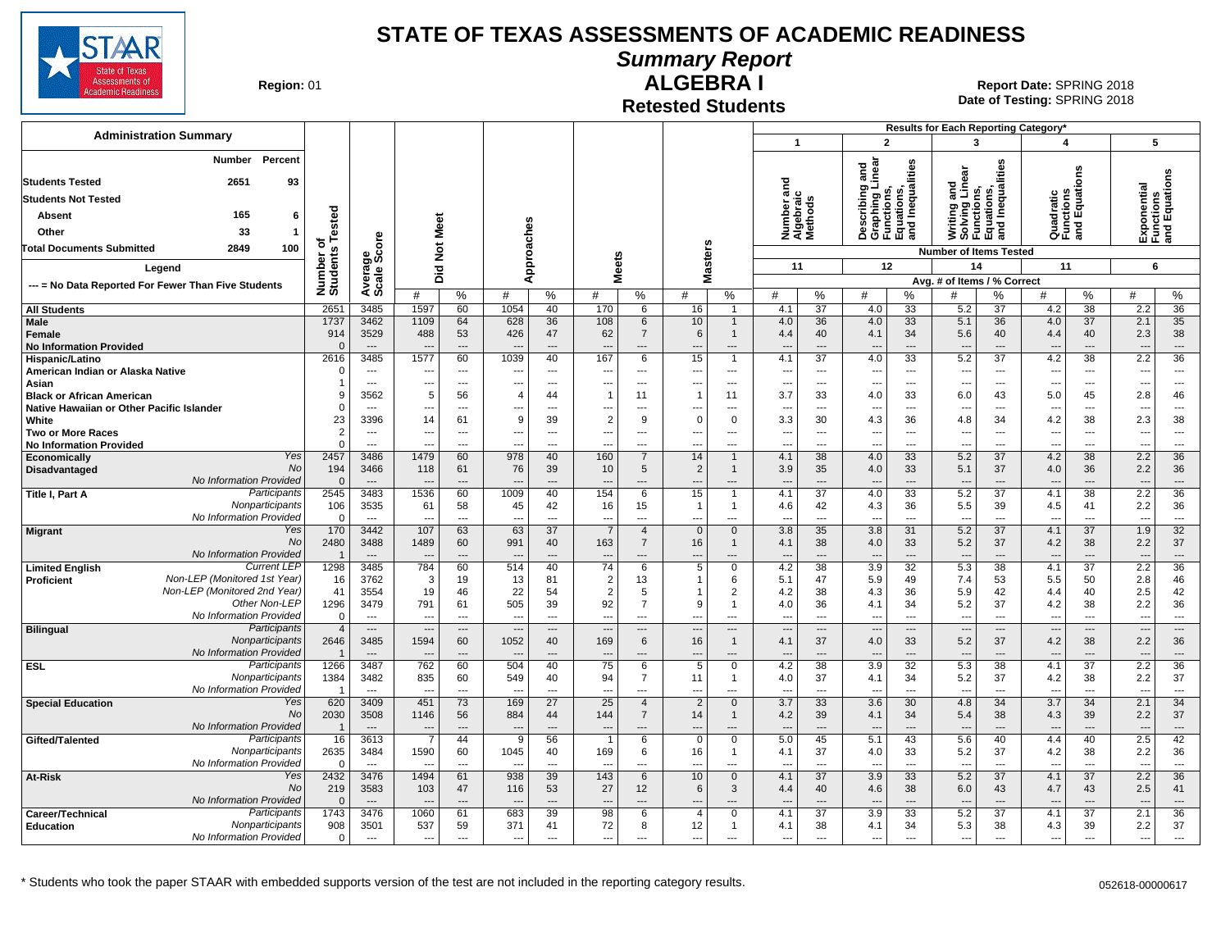

**Summary Report**

**Region: 01** 

# **ALGEBRA I**

**Date of Testing:**  SPRING 2018 01 **Report Date:** SPRING 2018

**Retested Students**

|                                                           |                            |                          |                          |                          |                                  |                       |                                |                                  |                          |                          |                                                 |                                                                                  |                                 | Results for Each Reporting Category*                      |                                |                                       |                                |                                           |                                 |
|-----------------------------------------------------------|----------------------------|--------------------------|--------------------------|--------------------------|----------------------------------|-----------------------|--------------------------------|----------------------------------|--------------------------|--------------------------|-------------------------------------------------|----------------------------------------------------------------------------------|---------------------------------|-----------------------------------------------------------|--------------------------------|---------------------------------------|--------------------------------|-------------------------------------------|---------------------------------|
| <b>Administration Summary</b>                             |                            |                          |                          |                          |                                  |                       |                                |                                  |                          |                          | $\overline{\mathbf{1}}$                         |                                                                                  | $\overline{2}$                  | 3                                                         |                                | $\boldsymbol{4}$                      |                                | 5                                         |                                 |
| Percent<br>Number<br>2651<br><b>Students Tested</b><br>93 |                            |                          |                          |                          |                                  |                       |                                |                                  |                          |                          | ਠ                                               | inear<br>and                                                                     | Inequalities                    | Writing and<br>Solving Linear<br>Functions,<br>Equations, | lations,<br>Inequalities       |                                       | ons                            | Exponential<br>Functions<br>and Equations |                                 |
| <b>Students Not Tested</b>                                |                            |                          |                          |                          |                                  |                       |                                |                                  |                          |                          | a                                               |                                                                                  |                                 |                                                           |                                |                                       |                                |                                           |                                 |
| 165<br>6<br><b>Absent</b>                                 |                            |                          |                          |                          |                                  |                       |                                |                                  |                          |                          | Number ar<br>Algebraic<br>Methods               | escribing<br>Describing<br>Graphing L<br>Functions,<br>Equations,<br>and Inequal |                                 |                                                           |                                | Quadratic<br>Functions<br>and Equatic |                                |                                           |                                 |
|                                                           | ested                      |                          |                          |                          |                                  |                       |                                |                                  |                          |                          |                                                 |                                                                                  |                                 |                                                           | 흡흥                             |                                       |                                |                                           |                                 |
| 33<br>Other<br>$\mathbf{1}$                               | ৳                          |                          |                          |                          |                                  |                       |                                |                                  |                          |                          |                                                 |                                                                                  |                                 |                                                           |                                |                                       |                                |                                           |                                 |
| <b>Total Documents Submitted</b><br>2849<br>100           |                            |                          | Not Meet                 |                          |                                  | pproaches             |                                |                                  | <b>Masters</b>           |                          |                                                 |                                                                                  |                                 | <b>Number of Items Tested</b>                             |                                |                                       |                                |                                           |                                 |
| Legend                                                    |                            |                          | Did                      |                          |                                  |                       | <b>Meets</b>                   |                                  |                          |                          | 11                                              |                                                                                  | 12                              | 14                                                        |                                | 11                                    |                                | 6                                         |                                 |
| --- = No Data Reported For Fewer Than Five Students       | Number of<br>Students      | Average<br>Scale Score   | #                        | %                        | #                                | ⋖<br>%                | #                              | %                                | #                        | $\%$                     | #<br>%                                          | #                                                                                | %                               | Avg. # of Items / % Correct<br>#                          | %                              | #                                     | %                              | #                                         | ℅                               |
| <b>All Students</b>                                       | 2651                       | 3485                     | 1597                     | 60                       | 1054                             | 40                    | 170                            | 6                                | 16                       | 1                        | 37<br>4.1                                       | 4.0                                                                              | 33                              | 5.2                                                       | 37                             | 4.2                                   | 38                             | 2.2                                       | $\overline{36}$                 |
| <b>Male</b>                                               | 1737                       | 3462                     | 1109                     | 64                       | 628                              | 36                    | 108                            | 6                                | 10                       | $\mathbf{1}$             | 36<br>4.0                                       | 4.0                                                                              | 33                              | 5.1                                                       | 36                             | 4.0                                   | 37                             | 2.1                                       | 35                              |
| Female                                                    | 914                        | 3529                     | 488                      | 53                       | 426                              | 47                    | 62                             | $\overline{7}$                   | 6                        | $\mathbf{1}$             | 4.4<br>40                                       | 4.1                                                                              | 34                              | 5.6                                                       | 40                             | 4.4                                   | 40                             | 2.3                                       | 38                              |
| <b>No Information Provided</b>                            |                            | $\sim$                   |                          | $\overline{a}$           |                                  | $\overline{a}$        |                                | ---                              |                          | ---                      | $\overline{a}$                                  | $\overline{\phantom{a}}$                                                         |                                 |                                                           | $\overline{\phantom{a}}$       |                                       | $\overline{a}$                 |                                           | $\overline{\phantom{a}}$        |
| Hispanic/Latino<br>American Indian or Alaska Native       | 2616<br>$\Omega$           | 3485<br>$---$            | 1577<br>---              | 60<br>---                | 1039<br>$\overline{\phantom{a}}$ | 40<br>---             | 167<br>---                     | 6<br>---                         | 15<br>---                | $\overline{1}$<br>---    | $\overline{37}$<br>4.1<br>$\overline{a}$<br>--- | 4.0<br>$\overline{\phantom{a}}$                                                  | 33<br>---                       | 5.2<br>$\overline{\phantom{a}}$                           | 37<br>$\overline{\phantom{a}}$ | 4.2<br>---                            | 38<br>$\overline{\phantom{a}}$ | 2.2<br>$\overline{\phantom{a}}$           | 36<br>$\overline{\phantom{a}}$  |
| Asian                                                     |                            | $---$                    | $---$                    | $---$                    | $\overline{a}$                   | $---$                 | $---$                          | $\overline{a}$                   | $\overline{a}$           | $---$                    | $---$<br>$---$                                  | $\overline{a}$                                                                   | $\sim$                          | $\sim$                                                    | $\sim$                         | $\overline{a}$                        | $---$                          | $\sim$                                    | $\sim$                          |
| <b>Black or African American</b>                          |                            | 3562                     | 5                        | 56                       | 4                                | 44                    | $\mathbf{1}$                   | 11                               | $\overline{1}$           | 11                       | 33<br>3.7                                       | 4.0                                                                              | 33                              | 6.0                                                       | 43                             | 5.0                                   | 45                             | 2.8                                       | 46                              |
| Native Hawaiian or Other Pacific Islander                 |                            | $\overline{a}$           | ---                      | ---                      |                                  |                       |                                | ---                              | $\overline{\phantom{a}}$ | ---                      | ---<br>---                                      | ---                                                                              | ---                             | ---                                                       | ---                            | ---                                   | ---                            |                                           | $\scriptstyle\cdots$            |
| White                                                     | 23                         | 3396                     | 14                       | 61                       | 9                                | 39                    | 2                              | 9                                | $\Omega$                 | $\Omega$                 | 3.3<br>30                                       | 4.3                                                                              | 36                              | 4.8                                                       | 34                             | 4.2                                   | 38                             | 2.3                                       | 38                              |
| <b>Two or More Races</b>                                  | 2                          | $\overline{\phantom{a}}$ | $\qquad \qquad \cdots$   | $\hspace{0.05cm} \ldots$ | ---                              | ---                   | ---                            | ---                              | $\overline{\phantom{a}}$ | ---                      | ---<br>---                                      | $\overline{\phantom{a}}$                                                         | $\overline{\phantom{a}}$        | $\overline{a}$                                            | $\overline{\phantom{a}}$       | ---                                   | $\overline{\phantom{a}}$       |                                           | $\hspace{0.05cm} \ldots$        |
| <b>No Information Provided</b><br>Yes<br>Economically     | $\Omega$<br>2457           | 3486                     | ---<br>1479              | 60                       | ---<br>978                       | ---<br>40             | 160                            | ---<br>$\overline{7}$            | $\overline{a}$<br>14     | $\mathbf{1}$             | ---<br>---<br>38<br>4.1                         | ---<br>4.0                                                                       | 33                              | $\overline{\phantom{a}}$<br>5.2                           | 37                             | ---<br>4.2                            | 38                             | 2.2                                       | $\overline{\phantom{a}}$<br>36  |
| No<br>Disadvantaged                                       | 194                        | 3466                     | 118                      | 61                       | 76                               | 39                    | 10                             | 5                                | $\overline{2}$           | $\mathbf{1}$             | 3.9<br>35                                       | 4.0                                                                              | 33                              | 5.1                                                       | 37                             | 4.0                                   | 36                             | 2.2                                       | 36                              |
| No Information Provided                                   | $\Omega$                   | $\overline{\phantom{a}}$ | $\overline{\phantom{a}}$ | $\overline{a}$           | $\overline{\phantom{a}}$         | $\overline{a}$        | ---                            | $\overline{a}$                   | ---                      | ---                      | $\overline{a}$<br>$\overline{a}$                | $\overline{\phantom{a}}$                                                         | $\overline{\phantom{a}}$        | $\overline{\phantom{a}}$                                  | $\overline{\phantom{a}}$       | ---                                   | $---$                          | $\overline{\phantom{a}}$                  | $\overline{\phantom{a}}$        |
| Participants<br><b>Title I, Part A</b>                    | 2545                       | 3483                     | 1536                     | 60                       | 1009                             | 40                    | 154                            | 6                                | 15                       | 1                        | $\overline{37}$<br>4.1                          | 4.0                                                                              | 33                              | 5.2                                                       | 37                             | 4.1                                   | 38                             | 2.2                                       | $\overline{36}$                 |
| Nonparticipants                                           | 106                        | 3535                     | 61                       | 58                       | 45                               | 42                    | 16                             | 15                               | -1                       | 1                        | 4.6<br>42                                       | 4.3                                                                              | 36                              | 5.5                                                       | 39                             | 4.5                                   | 41                             | 2.2                                       | 36                              |
| No Information Provided                                   |                            | $\overline{\phantom{a}}$ |                          | ---                      | $\overline{a}$                   | $\overline{a}$        | ---                            | ---                              | $\overline{a}$           | ---                      | $\overline{a}$<br>---                           | $\overline{\phantom{a}}$                                                         | $\overline{\phantom{a}}$        | $\overline{\phantom{a}}$                                  | $\sim$                         | $\overline{\phantom{a}}$              | $\overline{a}$                 | $\overline{\phantom{a}}$                  | $\scriptstyle\cdots$            |
| Yes<br><b>Migrant</b><br>No                               | 170<br>2480                | 3442<br>3488             | 107<br>1489              | 63<br>60                 | 63<br>991                        | 37<br>40              | $\overline{7}$<br>163          | $\overline{4}$<br>$\overline{7}$ | $\Omega$<br>16           | $\Omega$<br>$\mathbf{1}$ | 3.8<br>35<br>38<br>4.1                          | 3.8<br>4.0                                                                       | 31<br>33                        | 5.2<br>5.2                                                | 37<br>37                       | 4.1<br>4.2                            | 37<br>38                       | 1.9<br>2.2                                | 32<br>37                        |
| <b>No Information Provided</b>                            |                            |                          |                          | $\overline{a}$           |                                  |                       | $\overline{a}$                 | ---                              | ---                      |                          | ---                                             | $\overline{\phantom{a}}$                                                         |                                 | $\overline{a}$                                            | $\overline{a}$                 | $\overline{a}$                        |                                |                                           | $\overline{a}$                  |
| <b>Current LEF</b><br><b>Limited English</b>              | 1298                       | 3485                     | 784                      | 60                       | 514                              | 40                    | 74                             | 6                                | 5                        | $\Omega$                 | 38<br>4.2                                       | 3.9                                                                              | 32                              | 5.3                                                       | 38                             | 4.1                                   | 37                             | 2.2                                       | 36                              |
| Non-LEP (Monitored 1st Year)<br>Proficient                | 16                         | 3762                     | 3                        | 19                       | 13                               | 81                    | $\overline{2}$                 | 13                               |                          | 6                        | 5.1<br>47                                       | 5.9                                                                              | 49                              | 7.4                                                       | 53                             | 5.5                                   | 50                             | 2.8                                       | 46                              |
| Non-LEP (Monitored 2nd Year)                              | 41                         | 3554                     | 19                       | 46                       | 22                               | 54                    | $\overline{2}$                 | 5                                |                          | $\overline{2}$           | 4.2<br>38                                       | 4.3                                                                              | 36                              | 5.9                                                       | 42                             | 4.4                                   | 40                             | 2.5                                       | 42                              |
| Other Non-LEP<br>No Information Provided                  | 1296                       | 3479                     | 791                      | 61                       | 505                              | 39                    | 92                             | $\overline{7}$                   | 9                        | $\mathbf{1}$             | 4.0<br>36                                       | 4.1                                                                              | 34                              | 5.2                                                       | 37                             | 4.2                                   | 38<br>$\sim$                   | 2.2                                       | 36                              |
| Participants<br><b>Bilingual</b>                          | $\Omega$<br>$\overline{4}$ | $\overline{a}$<br>$---$  | $\overline{\phantom{a}}$ | ---<br>$---$             | $\overline{a}$                   | ---<br>$\overline{a}$ | $\overline{a}$                 | ---<br>$\overline{\phantom{a}}$  | $\overline{a}$           | ---<br>$\overline{a}$    | ---<br>--<br>$\overline{a}$<br>$\overline{a}$   | ⊷<br>$\overline{\phantom{a}}$                                                    | ---<br>$\overline{\phantom{a}}$ | $\overline{\phantom{a}}$<br>$\sim$                        | $\overline{a}$<br>$---$        | ---<br>$\overline{a}$                 | $---$                          |                                           | ---<br>$\overline{\phantom{a}}$ |
| Nonparticipants                                           | 2646                       | 3485                     | 1594                     | 60                       | 1052                             | 40                    | 169                            | 6                                | 16                       | $\mathbf{1}$             | 4.1<br>37                                       | 4.0                                                                              | 33                              | 5.2                                                       | 37                             | 4.2                                   | 38                             | 2.2                                       | 36                              |
| No Information Provided                                   |                            | $\overline{a}$           |                          | $\overline{\phantom{a}}$ |                                  |                       |                                | ---                              |                          | ---                      | $\overline{a}$                                  | $\overline{\phantom{a}}$                                                         |                                 | $\overline{\phantom{a}}$                                  | $\overline{\phantom{a}}$       |                                       | $---$                          |                                           | $---$                           |
| Participants<br><b>ESL</b>                                | 1266                       | 3487                     | 762                      | 60                       | 504                              | 40                    | 75                             | 6                                | 5                        | $\Omega$                 | $\overline{38}$<br>4.2                          | 3.9                                                                              | 32                              | 5.3                                                       | 38                             | 4.1                                   | $\overline{37}$                | 2.2                                       | $\overline{36}$                 |
| Nonparticipants                                           | 1384                       | 3482                     | 835                      | 60                       | 549                              | 40                    | 94                             | 7                                | 11                       | 1                        | 4.0<br>37                                       | 4.1                                                                              | 34                              | 5.2                                                       | 37                             | 4.2                                   | 38                             | 2.2                                       | 37                              |
| No Information Provided<br>Yes                            |                            | $---$                    | ---                      | $\overline{a}$           | $\overline{\phantom{a}}$         | ---                   | $\overline{\phantom{a}}$       | $\overline{a}$                   | ---                      | ---                      | $\overline{a}$<br>$\overline{\phantom{a}}$      | $\overline{\phantom{a}}$                                                         | $\overline{\phantom{a}}$        | $\overline{\phantom{a}}$                                  | $\overline{\phantom{a}}$       | $\overline{\phantom{a}}$              | $\sim$                         | $\overline{\phantom{a}}$                  | $\overline{\phantom{a}}$        |
| <b>Special Education</b><br><b>No</b>                     | 620<br>2030                | 3409<br>3508             | 451<br>1146              | 73<br>56                 | 169<br>884                       | 27<br>44              | 25<br>144                      | $\overline{4}$<br>$\overline{7}$ | $\overline{2}$<br>14     | $\Omega$<br>$\mathbf{1}$ | 3.7<br>33<br>4.2<br>39                          | 3.6<br>4.1                                                                       | 30<br>34                        | 4.8<br>5.4                                                | 34<br>38                       | 3.7<br>4.3                            | 34<br>39                       | 2.1<br>2.2                                | 34<br>37                        |
| No Information Provided                                   |                            |                          |                          | $\overline{\phantom{a}}$ |                                  |                       | $\overline{\phantom{a}}$       | $\overline{a}$                   | $\overline{\phantom{a}}$ |                          | $\overline{a}$                                  | $\overline{\phantom{a}}$                                                         |                                 | $\overline{\phantom{a}}$                                  | $\overline{a}$                 |                                       | $\overline{a}$                 | $\overline{\phantom{a}}$                  | $\hspace{0.05cm} \ldots$        |
| Participants<br>Gifted/Talented                           | 16                         | 3613                     | $\overline{7}$           | 44                       | 9                                | 56                    | $\overline{1}$                 | 6                                | $\mathbf 0$              | $\Omega$                 | 5.0<br>45                                       | 5.1                                                                              | 43                              | 5.6                                                       | 40                             | 4.4                                   | 40                             | 2.5                                       | 42                              |
| Nonparticipants                                           | 2635                       | 3484                     | 1590                     | 60                       | 1045                             | 40                    | 169                            | 6                                | 16                       | 1                        | 37<br>4.1                                       | 4.0                                                                              | 33                              | 5.2                                                       | 37                             | 4.2                                   | 38                             | 2.2                                       | 36                              |
| No Information Provided                                   | $\Omega$                   | $\overline{a}$           |                          | $\overline{a}$           |                                  | ---                   |                                |                                  | $\overline{a}$           | ---                      | ---                                             | $\overline{a}$                                                                   |                                 |                                                           | $\overline{\phantom{a}}$       |                                       | $\overline{a}$                 |                                           | $\overline{a}$                  |
| Yes<br><b>At-Risk</b>                                     | 2432                       | 3476                     | 1494                     | 61                       | 938                              | 39                    | 143                            | 6                                | 10                       | $\Omega$                 | 37<br>4.1                                       | 3.9                                                                              | 33                              | 5.2                                                       | 37                             | 4.1                                   | 37                             | 2.2                                       | $\overline{36}$                 |
| No<br><b>No Information Provided</b>                      | 219<br>$\Omega$            | 3583<br>$---$            | 103<br>$---$             | 47<br>$---$              | 116<br>$\overline{\phantom{a}}$  | 53<br>$---$           | 27<br>$\overline{\phantom{a}}$ | 12<br>$\overline{\phantom{a}}$   | 6<br>$\overline{a}$      | 3<br>---                 | 40<br>4.4<br>$\overline{a}$<br>$\overline{a}$   | 4.6<br>$\overline{\phantom{a}}$                                                  | 38<br>$\overline{\phantom{a}}$  | 6.0<br>$\overline{a}$                                     | 43<br>$---$                    | 4.7<br>$\overline{\phantom{a}}$       | 43<br>$---$                    | 2.5<br>$\overline{\phantom{a}}$           | 41<br>$---$                     |
| Participants<br>Career/Technical                          | 1743                       | 3476                     | 1060                     | 61                       | 683                              | 39                    | 98                             | 6                                | $\overline{4}$           | $\Omega$                 | 37<br>4.1                                       | 3.9                                                                              | 33                              | 5.2                                                       | 37                             | 4.1                                   | 37                             | 2.1                                       | 36                              |
| Nonparticipants<br>Education                              | 908                        | 3501                     | 537                      | 59                       | 371                              | 41                    | 72                             | 8                                | 12                       | 1                        | 38<br>4.1                                       | 4.1                                                                              | 34                              | 5.3                                                       | 38                             | 4.3                                   | 39                             | 2.2                                       | 37                              |
| No Information Provided                                   | $\mathbf{0}$               | $\sim$                   | $\overline{\phantom{a}}$ | $\overline{a}$           | ---                              | $\overline{a}$        | $\overline{\phantom{a}}$       | $\overline{a}$                   | ---                      | $\overline{a}$           | ---<br>$\overline{a}$                           | ---                                                                              | $\overline{a}$                  | $---$                                                     | $\overline{\phantom{a}}$       | ---                                   | $\sim$                         | $\overline{a}$                            | $\overline{a}$                  |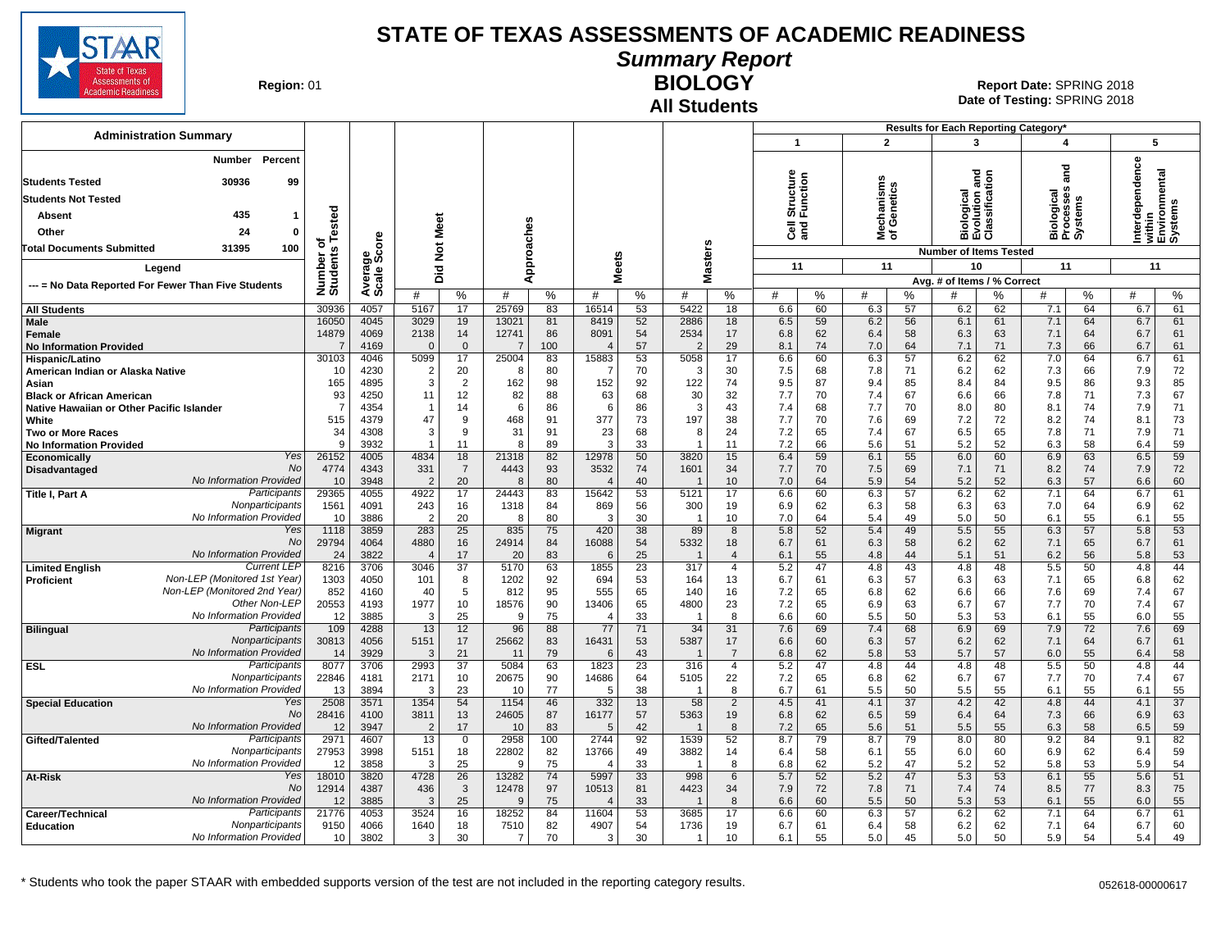

## **Summary Report**

**Region: 01** 

#### **All Students BIOLOGY**

|                                                                                           |                                  |                      |                          |                                 |                |                 |                                          |                |                                |                       |                       |                |                          |                | Results for Each Reporting Category*  |                |                         |                |                                                       |                |
|-------------------------------------------------------------------------------------------|----------------------------------|----------------------|--------------------------|---------------------------------|----------------|-----------------|------------------------------------------|----------------|--------------------------------|-----------------------|-----------------------|----------------|--------------------------|----------------|---------------------------------------|----------------|-------------------------|----------------|-------------------------------------------------------|----------------|
| <b>Administration Summary</b>                                                             |                                  |                      |                          |                                 |                |                 |                                          |                |                                |                       | $\mathbf{1}$          |                | $\overline{2}$           |                | 3                                     |                | $\overline{\mathbf{4}}$ |                | 5                                                     |                |
| Percent<br>Number<br>30936<br>99<br><b>Students Tested</b>                                |                                  |                      |                          |                                 |                |                 |                                          |                |                                |                       | Structure<br>Function |                | lechanisms<br>f Genetics |                | logical<br>vlution and<br>ssification |                | ᠊ᠣ<br>۴                 |                | Interdependence<br>within<br>Environmental<br>Systems |                |
| <b>Students Not Tested</b>                                                                |                                  |                      |                          |                                 |                |                 |                                          |                |                                |                       |                       |                |                          |                |                                       |                | ogical<br>cesses        |                |                                                       |                |
| 435<br>Absent<br>-1                                                                       | Tested                           |                      |                          |                                 |                |                 |                                          |                |                                |                       |                       |                |                          |                |                                       |                |                         | Ê              |                                                       |                |
| Other<br>24<br>$\mathbf{0}$                                                               |                                  |                      | Meet                     |                                 |                |                 |                                          |                |                                |                       | ិច ក្ន                |                | ই ৳                      |                | <u> ३ व्रु क्ष</u><br>mάō             |                | mάσ                     |                |                                                       |                |
| 100<br><b>Total Documents Submitted</b><br>31395                                          | ъ                                | <b>ore</b>           | $\breve{\mathbf{z}}$     |                                 |                |                 |                                          |                |                                |                       |                       |                |                          |                | <b>Number of Items Tested</b>         |                |                         |                |                                                       |                |
| Legend                                                                                    | Number of<br>Students            | క్తిం                |                          |                                 |                | Approaches      |                                          | <b>Meets</b>   | Masters                        |                       | 11                    |                | 11                       |                | 10                                    |                | 11                      |                | 11                                                    |                |
| --- = No Data Reported For Fewer Than Five Students                                       |                                  | Avera                | Did                      |                                 |                |                 |                                          |                |                                |                       |                       |                |                          |                | Avg. # of Items / % Correct           |                |                         |                |                                                       |                |
|                                                                                           |                                  |                      | #                        | %                               | #              | %               | #                                        | %              | #                              | %                     | #                     | %              | #                        | ℅              | #                                     | $\%$           | #                       | %              | #                                                     | %              |
| <b>All Students</b>                                                                       | 30936                            | 4057                 | 5167                     | 17                              | 25769          | 83              | 16514                                    | 53             | 5422                           | 18                    | 6.6                   | 60             | 6.3                      | 57             | 6.2                                   | 62             | 7.1                     | 64             | 6.7                                                   | 61             |
| Male<br>Female<br><b>No Information Provided</b>                                          | 16050<br>14879<br>$\overline{7}$ | 4045<br>4069<br>4169 | 3029<br>2138<br>$\Omega$ | 19<br>14<br>$\mathbf{0}$        | 13021<br>12741 | 81<br>86<br>100 | 8419<br>8091<br>$\overline{\mathcal{A}}$ | 52<br>54<br>57 | 2886<br>2534<br>$\overline{2}$ | 18<br>17<br>29        | 6.5<br>6.8<br>8.1     | 59<br>62<br>74 | 6.2<br>6.4<br>7.0        | 56<br>58<br>64 | 6.1<br>6.3<br>7.1                     | 61<br>63<br>71 | 7.1<br>7.1<br>7.3       | 64<br>64<br>66 | 6.7<br>6.7<br>6.7                                     | 61<br>61<br>61 |
| Hispanic/Latino                                                                           | 30103                            | 4046                 | 5099                     | 17                              | 25004          | 83              | 15883                                    | 53             | 5058                           | 17                    | 6.6                   | 60             | 6.3                      | 57             | 6.2                                   | 62             | 7.0                     | 64             | 6.7                                                   | 61             |
| American Indian or Alaska Native<br>Asian                                                 | 10<br>165                        | 4230<br>4895         | $\overline{2}$<br>3      | 20<br>2                         | -8<br>162      | 80<br>98        | 7<br>152                                 | 70<br>92       | -3<br>122                      | 30<br>74              | 7.5<br>9.5            | 68<br>87       | 7.8<br>9.4               | 71<br>85       | 6.2<br>8.4                            | 62<br>84       | 7.3<br>9.5              | 66<br>86       | 7.9<br>9.3                                            | 72<br>85       |
| <b>Black or African American</b>                                                          | 93                               | 4250                 | 11                       | 12                              | 82             | 88              | 63                                       | 68             | 30                             | 32                    | 7.7                   | 70             | 7.4                      | 67             | 6.6                                   | 66             | 7.8                     | 71             | 7.3                                                   | 67             |
| Native Hawaiian or Other Pacific Islander                                                 | $\overline{7}$                   | 4354                 |                          | 14                              | 6              | 86              | 6                                        | 86             | -3                             | 43                    | 7.4                   | 68             | 7.7                      | 70             | 8.0                                   | 80             | 8.1                     | 74             | 7.9                                                   | 71             |
| White<br><b>Two or More Races</b>                                                         | 515<br>34                        | 4379<br>4308         | 47<br>3                  | 9<br>9                          | 468<br>31      | 91<br>91        | 377<br>23                                | 73<br>68       | 197<br>8                       | 38<br>24              | 7.7<br>7.2            | 70<br>65       | 7.6<br>7.4               | 69<br>67       | 7.2<br>6.5                            | 72<br>65       | 8.2<br>7.8              | 74<br>71       | 8.1<br>7.9                                            | 73<br>71       |
| <b>No Information Provided</b>                                                            | 9                                | 3932                 |                          | 11                              | -8             | 89              | 3                                        | 33             | -1                             | 11                    | 7.2                   | 66             | 5.6                      | 51             | 5.2                                   | 52             | 6.3                     | 58             | 6.4                                                   | 59             |
| Yes<br>Economically                                                                       | 26152                            | 4005                 | 4834                     | 18                              | 21318          | 82              | 12978                                    | 50             | 3820                           | 15                    | 6.4                   | 59             | 6.1                      | 55             | 6.0                                   | 60             | 6.9                     | 63             | 6.5                                                   | 59             |
| <b>No</b><br>Disadvantaged<br>No Information Provided                                     | 4774<br>10                       | 4343<br>3948         | 331<br>$\overline{2}$    | $\overline{7}$<br>20            | 4443<br>8      | 93<br>80        | 3532<br>$\overline{4}$                   | 74<br>40       | 1601                           | 34<br>10              | 7.7<br>7.0            | 70<br>64       | 7.5<br>5.9               | 69<br>54       | 7.1<br>5.2                            | 71<br>52       | 8.2<br>6.3              | 74<br>57       | 7.9<br>6.6                                            | 72<br>60       |
| Participants<br><b>Title I, Part A</b>                                                    | 29365                            | 4055                 | 4922                     | 17                              | 24443          | 83              | 15642                                    | 53             | 5121                           | 17                    | 6.6                   | 60             | 6.3                      | 57             | 6.2                                   | 62             | 7.1                     | 64             | 6.7                                                   | 61             |
| Nonparticipants                                                                           | 1561                             | 4091                 | 243                      | 16                              | 1318           | 84              | 869                                      | 56             | 300                            | 19                    | 6.9                   | 62             | 6.3                      | 58             | 6.3                                   | 63             | 7.0                     | 64             | 6.9                                                   | 62             |
| No Information Provideo<br>Yes                                                            | 10<br>1118                       | 3886                 | $\overline{2}$<br>283    | 20<br>25                        | -8             | 80              | 3<br>420                                 | 30             | $\overline{1}$<br>89           | 10<br>8               | 7.0                   | 64<br>52       | 5.4<br>5.4               | 49<br>49       | 5.0                                   | 50<br>55       | 6.1<br>6.3              | 55<br>57       | 6.1                                                   | 55<br>53       |
| <b>Migrant</b><br>No                                                                      | 29794                            | 3859<br>4064         | 4880                     | 16                              | 835<br>24914   | 75<br>84        | 16088                                    | 38<br>54       | 5332                           | 18                    | 5.8<br>6.7            | 61             | 6.3                      | 58             | 5.5<br>6.2                            | 62             | 7.1                     | 65             | 5.8<br>6.7                                            | 61             |
| No Information Provideo                                                                   | 24                               | 3822                 | $\overline{4}$           | 17                              | 20             | 83              | 6                                        | 25             |                                | $\overline{4}$        | 6.1                   | 55             | 4.8                      | 44             | 5.1                                   | 51             | 6.2                     | 56             | 5.8                                                   | 53             |
| <b>Current LEP</b><br><b>Limited English</b><br>Non-LEP (Monitored 1st Year<br>Proficient | 8216<br>1303                     | 3706<br>4050         | 3046<br>101              | 37<br>8                         | 5170<br>1202   | 63<br>92        | 1855<br>694                              | 23<br>53       | 317<br>164                     | $\overline{4}$<br>13  | 5.2<br>6.7            | 47<br>61       | 4.8<br>6.3               | 43<br>57       | 4.8<br>6.3                            | 48<br>63       | 5.5<br>7.1              | 50<br>65       | 4.8<br>6.8                                            | 44<br>62       |
| Non-LEP (Monitored 2nd Year)                                                              | 852                              | 4160                 | 40                       | 5                               | 812            | 95              | 555                                      | 65             | 140                            | 16                    | 7.2                   | 65             | 6.8                      | 62             | 6.6                                   | 66             | 7.6                     | 69             | 7.4                                                   | 67             |
| Other Non-LEP                                                                             | 20553                            | 4193                 | 1977                     | 10                              | 18576          | 90              | 13406                                    | 65             | 4800                           | 23                    | 7.2                   | 65             | 6.9                      | 63             | 6.7                                   | 67             | 7.7                     | 70             | 7.4                                                   | 67             |
| No Information Provided<br>Participants<br><b>Bilingual</b>                               | 12<br>109                        | 3885<br>4288         | 3<br>13                  | 25<br>12                        | 9<br>96        | 75<br>88        | $\overline{4}$<br>77                     | 33<br>71       | -1<br>34                       | 8<br>31               | 6.6<br>7.6            | 60<br>69       | 5.5<br>7.4               | 50<br>68       | 5.3<br>6.9                            | 53<br>69       | 6.1<br>7.9              | 55<br>72       | 6.0<br>7.6                                            | 55<br>69       |
| Nonparticipants                                                                           | 30813                            | 4056                 | 5151                     | 17                              | 25662          | 83              | 16431                                    | 53             | 5387                           | 17                    | 6.6                   | 60             | 6.3                      | 57             | 6.2                                   | 62             | 7.1                     | 64             | 6.7                                                   | 61             |
| No Information Provideo                                                                   | 14                               | 3929                 | 3                        | 21                              | 11             | 79              | 6                                        | 43             |                                | $\overline{7}$        | 6.8                   | 62             | 5.8                      | 53             | 5.7                                   | 57             | 6.0                     | 55             | 6.4                                                   | 58             |
| Participants<br><b>ESL</b><br>Nonparticipants                                             | 8077                             | 3706                 | 2993                     | $\overline{37}$                 | 5084           | 63              | 1823                                     | 23             | 316                            | $\overline{4}$        | 5.2                   | 47             | 4.8                      | 44             | 4.8                                   | 48             | 5.5                     | 50             | 4.8                                                   | 44             |
| No Information Provided                                                                   | 22846<br>13                      | 4181<br>3894         | 2171<br>3                | 10<br>23                        | 20675<br>10    | 90<br>77        | 14686<br>-5                              | 64<br>38       | 5105<br>-1                     | 22<br>8               | 7.2<br>6.7            | 65<br>61       | 6.8<br>5.5               | 62<br>50       | 6.7<br>5.5                            | 67<br>55       | 7.7<br>6.1              | 70<br>55       | 7.4<br>6.1                                            | 67<br>55       |
| Yes<br><b>Special Education</b>                                                           | 2508                             | 3571                 | 1354                     | 54                              | 1154           | 46              | 332                                      | 13             | 58                             | $\overline{2}$        | 4.5                   | 41             | 4.1                      | 37             | 4.2                                   | 42             | 4.8                     | 44             | 4.1                                                   | 37             |
| <b>No</b>                                                                                 | 28416                            | 4100                 | 3811                     | 13                              | 24605          | 87              | 16177                                    | 57             | 5363                           | 19                    | 6.8                   | 62             | 6.5                      | 59             | 6.4                                   | 64             | 7.3                     | 66             | 6.9                                                   | 63             |
| No Information Provided<br>Participants<br>Gifted/Talented                                | 12<br>2971                       | 3947<br>4607         | $\overline{2}$<br>13     | 17<br>$\mathbf 0$               | 10<br>2958     | 83<br>100       | 5<br>2744                                | 42<br>92       | -1<br>1539                     | 8<br>52               | 7.2<br>8.7            | 65<br>79       | 5.6<br>8.7               | 51<br>79       | 5.5<br>8.0                            | 55<br>80       | 6.3<br>9.2              | 58<br>84       | 6.5<br>9.1                                            | 59<br>82       |
| Nonparticipants                                                                           | 27953                            | 3998                 | 5151                     | 18                              | 22802          | 82              | 13766                                    | 49             | 3882                           | 14                    | 6.4                   | 58             | 6.1                      | 55             | 6.0                                   | 60             | 6.9                     | 62             | 6.4                                                   | 59             |
| No Information Provideo                                                                   | 12                               | 3858                 | 3                        | 25                              | $\mathbf{Q}$   | 75              | $\overline{4}$                           | 33             | -1                             | 8                     | 6.8                   | 62             | 5.2                      | 47             | 5.2                                   | 52             | 5.8                     | 53             | 5.9                                                   | 54             |
| Yes<br>At-Risk<br>No                                                                      | 18010<br>12914                   | 3820<br>4387         | 4728<br>436              | $\overline{26}$<br>$\mathbf{3}$ | 13282<br>12478 | 74<br>97        | 5997<br>10513                            | 33<br>81       | 998<br>4423                    | $6\phantom{.}6$<br>34 | 5.7<br>7.9            | 52<br>72       | 5.2<br>7.8               | 47<br>71       | 5.3<br>7.4                            | 53<br>74       | 6.1<br>8.5              | 55<br>77       | 5.6<br>8.3                                            | 51<br>75       |
| <b>No Information Provided</b>                                                            | 12                               | 3885                 | 3                        | 25                              | 9              | 75              | $\overline{4}$                           | 33             |                                | 8                     | 6.6                   | 60             | 5.5                      | 50             | 5.3                                   | 53             | 6.1                     | 55             | 6.0                                                   | 55             |
| Participants<br>Career/Technical                                                          | 21776                            | 4053                 | 3524                     | 16                              | 18252          | 84              | 11604                                    | 53             | 3685                           | 17                    | 6.6                   | 60             | 6.3                      | 57             | 6.2                                   | 62             | 7.1                     | 64             | 6.7                                                   | 61             |
| Nonparticipants<br><b>Education</b><br>No Information Provided                            | 9150                             | 4066                 | 1640                     | 18                              | 7510           | 82              | 4907                                     | 54             | 1736                           | 19                    | 6.7                   | 61             | 6.4                      | 58             | 6.2                                   | 62             | 7.1                     | 64             | 6.7                                                   | 60             |
|                                                                                           | 10                               | 3802                 | 3                        | 30                              | 7              | 70              | 3                                        | 30             | -1                             | 10 <sup>1</sup>       | 6.1                   | 55             | 5.0                      | 45             | 5.0                                   | 50             | 5.9                     | 54             | 5.4                                                   | 49             |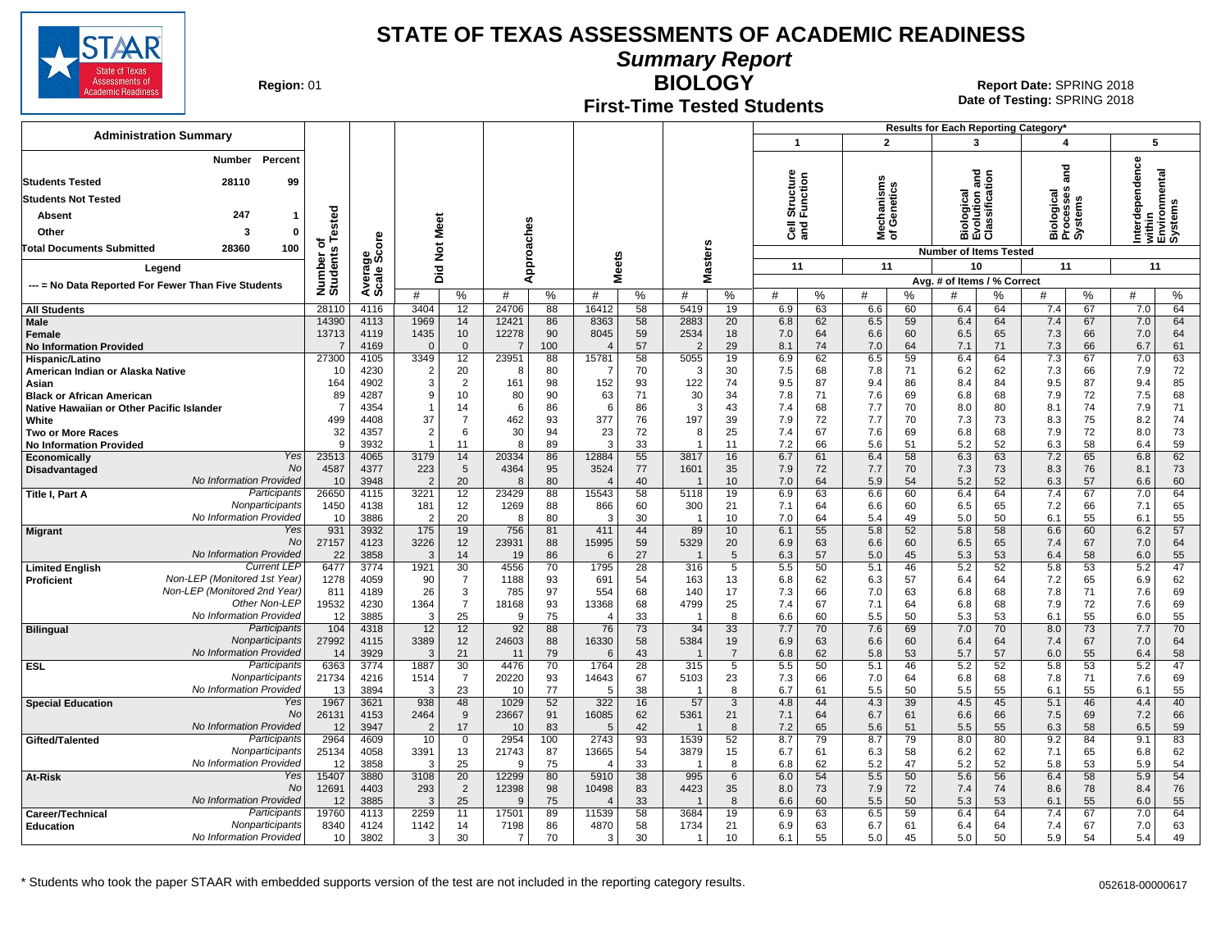

**Summary Report**

**Region: 01** 

#### **First-Time Tested Students**

**BIOLOGY** 01 **Report Date:** SPRING 2018 **Date of Testing:**  SPRING 2018

|                                                             |                       |                      |                          |                          |                |                 |                |                |                |                      |                            |                |                          |                | Results for Each Reporting Category* |                |                                             |                |                   |                                    |
|-------------------------------------------------------------|-----------------------|----------------------|--------------------------|--------------------------|----------------|-----------------|----------------|----------------|----------------|----------------------|----------------------------|----------------|--------------------------|----------------|--------------------------------------|----------------|---------------------------------------------|----------------|-------------------|------------------------------------|
| <b>Administration Summary</b>                               |                       |                      |                          |                          |                |                 |                |                |                |                      | $\mathbf{1}$               |                | $\overline{2}$           |                | 3                                    |                | 4                                           |                | 5                 |                                    |
| Percent<br>Number<br>28110<br>99<br><b>Students Tested</b>  |                       |                      |                          |                          |                |                 |                |                |                |                      | η<br>Structure<br>Function |                | lechanisms<br>f Genetics |                | gue                                  |                | ᅙ<br>ā                                      |                | Interdependence   | within<br>Environmental<br>Systems |
| <b>Students Not Tested</b>                                  |                       |                      |                          |                          |                |                 |                |                |                |                      |                            |                |                          |                |                                      |                |                                             |                |                   |                                    |
| 247<br>Absent<br>$\mathbf{1}$                               |                       |                      |                          |                          |                |                 |                |                |                |                      |                            |                |                          |                | ogical<br>Iution a<br>ssificati      |                | logical<br>Biologica<br>Processe<br>Systems |                |                   |                                    |
| Other<br>3<br>$\Omega$                                      | ested                 |                      | Meet                     |                          |                |                 |                |                |                |                      | ੌੌe ਛੋ                     |                | ≊ ১                      |                | ठ<br>mάō                             | <u>ē ë</u>     |                                             |                |                   |                                    |
| 100<br>Total Documents Submitted<br>28360                   | ۴<br>ъ                | ၑ<br>$\circ$         | $\frac{5}{2}$            |                          |                |                 |                |                |                |                      |                            |                |                          |                | <b>Number of Items Tested</b>        |                |                                             |                |                   |                                    |
| Legend                                                      | Number of<br>Students | క్తింద్              |                          |                          |                | Approaches      |                | <b>Meets</b>   | <b>Masters</b> |                      | 11                         |                | 11                       |                | 10                                   |                | 11                                          |                | 11                |                                    |
|                                                             |                       | Average              | Did                      |                          |                |                 |                |                |                |                      |                            |                |                          |                | Avg. # of Items / % Correct          |                |                                             |                |                   |                                    |
| --- = No Data Reported For Fewer Than Five Students         |                       |                      | #                        | %                        | #              | %               | #              | %              | #              | $\%$                 | #                          | %              | #                        | $\%$           | #                                    | %              | #                                           | %              | #                 | %                                  |
| <b>All Students</b>                                         | 28110                 | 4116                 | 3404                     | 12                       | 24706          | 88              | 16412          | 58             | 5419           | 19                   | 6.9                        | 63             | 6.6                      | 60             | 6.4                                  | 64             | 7.4                                         | 67             | 7.0               | 64                                 |
| Male<br>Female<br><b>No Information Provided</b>            | 14390<br>13713<br>7   | 4113<br>4119<br>4169 | 1969<br>1435<br>$\Omega$ | 14<br>10<br>$\mathbf{0}$ | 12421<br>12278 | 86<br>90<br>100 | 8363<br>8045   | 58<br>59<br>57 | 2883<br>2534   | 20<br>18<br>29       | 6.8<br>7.0<br>8.1          | 62<br>64<br>74 | 6.5<br>6.6<br>7.0        | 59<br>60<br>64 | 6.4<br>6.5<br>7.1                    | 64<br>65<br>71 | 7.4<br>7.3<br>7.3                           | 67<br>66<br>66 | 7.0<br>7.0<br>6.7 | 64<br>64<br>61                     |
| Hispanic/Latino                                             | 27300                 | 4105                 | 3349                     | 12                       | 23951          | 88              | 15781          | 58             | 5055           | 19                   | 6.9                        | 62             | 6.5                      | 59             | 6.4                                  | 64             | 7.3                                         | 67             | 7.0               | 63                                 |
| American Indian or Alaska Native                            | 10                    | 4230                 | $\overline{2}$<br>3      | 20                       | 8              | 80              | -7             | 70             | 3              | 30                   | 7.5                        | 68<br>87       | 7.8                      | 71             | 6.2                                  | 62             | 7.3                                         | 66             | 7.9               | 72<br>85                           |
| Asian<br><b>Black or African American</b>                   | 164<br>89             | 4902<br>4287         | 9                        | 2<br>10                  | 161<br>80      | 98<br>90        | 152<br>63      | 93<br>71       | 122<br>30      | 74<br>34             | 9.5<br>7.8                 | 71             | 9.4<br>7.6               | 86<br>69       | 8.4<br>6.8                           | 84<br>68       | 9.5<br>7.9                                  | 87<br>72       | 9.4<br>7.5        | 68                                 |
| Native Hawaiian or Other Pacific Islander                   | $\overline{7}$        | 4354                 |                          | 14                       | 6              | 86              | 6              | 86             | 3              | 43                   | 7.4                        | 68             | 7.7                      | 70             | 8.0                                  | 80             | 8.1                                         | 74             | 7.9               | 71                                 |
| White                                                       | 499                   | 4408                 | 37                       | $\overline{7}$           | 462            | 93              | 377            | 76             | 197            | 39                   | 7.9                        | 72             | 7.7                      | 70             | 7.3                                  | 73             | 8.3                                         | 75             | 8.2               | 74                                 |
| <b>Two or More Races</b><br><b>No Information Provided</b>  | 32<br>9               | 4357<br>3932         | $\overline{2}$<br>-1     | 6<br>11                  | 30<br>8        | 94<br>89        | 23<br>-3       | 72<br>33       |                | 25<br>11             | 7.4<br>7.2                 | 67<br>66       | 7.6<br>5.6               | 69<br>51       | 6.8<br>5.2                           | 68<br>52       | 7.9<br>6.3                                  | 72<br>58       | 8.0<br>6.4        | 73<br>59                           |
| Yes<br>Economically                                         | 23513                 | 4065                 | 3179                     | 14                       | 20334          | 86              | 12884          | 55             | 3817           | 16                   | 6.7                        | 61             | 6.4                      | 58             | 6.3                                  | 63             | 7.2                                         | 65             | 6.8               | 62                                 |
| No<br>Disadvantaged                                         | 4587                  | 4377                 | 223                      | 5                        | 4364           | 95              | 3524           | 77             | 1601           | 35                   | 7.9                        | 72             | 7.7                      | 70             | 7.3                                  | 73             | 8.3                                         | 76             | 8.1               | 73                                 |
| No Information Provideo<br>Participants<br>Title I, Part A  | 10<br>26650           | 3948<br>4115         | $\overline{2}$<br>3221   | 20<br>12                 | 8<br>23429     | 80<br>88        | 15543          | 40<br>58       | 5118           | 10<br>19             | 7.0<br>6.9                 | 64<br>63       | 5.9<br>6.6               | 54<br>60       | 5.2<br>6.4                           | 52<br>64       | 6.3<br>7.4                                  | 57<br>67       | 6.6<br>7.0        | 60<br>64                           |
| Nonparticipants                                             | 1450                  | 4138                 | 181                      | 12                       | 1269           | 88              | 866            | 60             | 300            | 21                   | 7.1                        | 64             | 6.6                      | 60             | 6.5                                  | 65             | 7.2                                         | 66             | 7.1               | 65                                 |
| No Information Provideo                                     | 10                    | 3886                 | $\overline{2}$           | 20                       | 8              | 80              | 3              | 30             | $\overline{1}$ | 10                   | 7.0                        | 64             | 5.4                      | 49             | 5.0                                  | 50             | 6.1                                         | 55             | 6.1               | 55                                 |
| Yes<br><b>Migrant</b><br>No                                 | 931                   | 3932                 | 175                      | 19                       | 756            | 81              | 411            | 44             | 89             | 10                   | 6.1                        | 55             | 5.8                      | 52             | 5.8                                  | 58             | 6.6                                         | 60             | 6.2               | 57                                 |
| No Information Provideo                                     | 27157<br>22           | 4123<br>3858         | 3226<br>3                | 12<br>14                 | 23931<br>19    | 88<br>86        | 15995<br>6     | 59<br>27       | 5329           | 20<br>5              | 6.9<br>6.3                 | 63<br>57       | 6.6<br>5.0               | 60<br>45       | 6.5<br>5.3                           | 65<br>53       | 7.4<br>6.4                                  | 67<br>58       | 7.0<br>6.0        | 64<br>55                           |
| <b>Current LEF</b><br><b>Limited English</b>                | 6477                  | 3774                 | 1921                     | 30                       | 4556           | 70              | 1795           | 28             | 316            | 5                    | 5.5                        | 50             | 5.1                      | 46             | 5.2                                  | 52             | 5.8                                         | 53             | 5.2               | 47                                 |
| Non-LEP (Monitored 1st Year)<br>Proficient                  | 1278                  | 4059                 | 90                       | 7                        | 1188           | 93              | 691            | 54             | 163            | 13                   | 6.8                        | 62             | 6.3                      | 57             | 6.4                                  | 64             | 7.2                                         | 65             | 6.9               | 62                                 |
| Non-LEP (Monitored 2nd Year)<br>Other Non-LEP               | 811<br>19532          | 4189<br>4230         | 26<br>1364               | 3<br>$\overline{7}$      | 785<br>18168   | 97<br>93        | 554<br>13368   | 68<br>68       | 140<br>4799    | 17<br>25             | 7.3<br>7.4                 | 66<br>67       | 7.0<br>7.1               | 63<br>64       | 6.8<br>6.8                           | 68<br>68       | 7.8<br>7.9                                  | 71<br>72       | 7.6<br>7.6        | 69<br>69                           |
| No Information Provided                                     | 12                    | 3885                 | 3                        | 25                       | 9              | 75              | $\overline{4}$ | 33             |                | 8                    | 6.6                        | 60             | 5.5                      | 50             | 5.3                                  | 53             | 6.1                                         | 55             | 6.0               | 55                                 |
| Participants<br><b>Bilingual</b>                            | 104                   | 4318                 | 12                       | 12                       | 92             | 88              | 76             | 73             | 34             | 33                   | 7.7                        | 70             | 7.6                      | 69             | 7.0                                  | 70             | 8.0                                         | 73             | 7.7               | 70                                 |
| Nonparticipants<br>No Information Provided                  | 27992<br>14           | 4115<br>3929         | 3389<br>3                | 12<br>21                 | 24603<br>11    | 88<br>79        | 16330<br>6     | 58<br>43       | 5384           | 19<br>$\overline{7}$ | 6.9<br>6.8                 | 63<br>62       | 6.6<br>5.8               | 60<br>53       | 6.4<br>5.7                           | 64<br>57       | 7.4<br>6.0                                  | 67<br>55       | 7.0<br>6.4        | 64<br>58                           |
| Participants<br><b>ESL</b>                                  | 6363                  | 3774                 | 1887                     | 30                       | 4476           | 70              | 1764           | 28             | 315            | 5                    | 5.5                        | 50             | 5.1                      | 46             | 5.2                                  | 52             | 5.8                                         | 53             | 5.2               | 47                                 |
| Nonparticipants                                             | 21734                 | 4216                 | 1514                     | $\overline{7}$           | 20220          | 93              | 14643          | 67             | 5103           | 23                   | 7.3                        | 66             | 7.0                      | 64             | 6.8                                  | 68             | 7.8                                         | 71             | 7.6               | 69                                 |
| No Information Provided<br>Yes                              | 13<br>1967            | 3894<br>3621         | -3<br>938                | 23<br>48                 | 10<br>1029     | 77<br>52        | -5<br>322      | 38<br>16       | -1<br>57       | 8<br>3               | 6.7<br>4.8                 | 61<br>44       | 5.5<br>4.3               | 50<br>39       | 5.5<br>4.5                           | 55<br>45       | 6.1                                         | 55<br>46       | 6.1<br>4.4        | 55<br>40                           |
| <b>Special Education</b><br>No                              | 26131                 | 4153                 | 2464                     | 9                        | 23667          | 91              | 16085          | 62             | 5361           | 21                   | 7.1                        | 64             | 6.7                      | 61             | 6.6                                  | 66             | 5.1<br>7.5                                  | 69             | 7.2               | 66                                 |
| No Information Provided                                     | 12                    | 3947                 | $\overline{2}$           | 17                       | 10             | 83              | $\sqrt{5}$     | 42             |                | 8                    | 7.2                        | 65             | 5.6                      | 51             | 5.5                                  | 55             | 6.3                                         | 58             | 6.5               | 59                                 |
| Participants<br>Gifted/Talented                             | 2964                  | 4609                 | 10                       | $\mathbf 0$              | 2954           | 100             | 2743           | 93             | 1539           | 52                   | 8.7                        | 79             | 8.7                      | 79             | 8.0                                  | 80             | 9.2                                         | 84             | 9.1               | 83                                 |
| Nonparticipants<br>No Information Provided                  | 25134<br>12           | 4058<br>3858         | 3391<br>3                | 13<br>25                 | 21743<br>9     | 87<br>75        | 13665          | 54<br>33       | 3879           | 15<br>8              | 6.7<br>6.8                 | 61<br>62       | 6.3<br>5.2               | 58<br>47       | 6.2<br>5.2                           | 62<br>52       | 7.1<br>5.8                                  | 65<br>53       | 6.8<br>5.9        | 62<br>54                           |
| Yes<br>At-Risk                                              | 15407                 | 3880                 | 3108                     | 20                       | 12299          | 80              | 5910           | 38             | 995            | 6                    | 6.0                        | 54             | 5.5                      | 50             | 5.6                                  | 56             | 6.4                                         | 58             | 5.9               | 54                                 |
| No                                                          | 12691                 | 4403                 | 293                      | $\overline{2}$           | 12398          | 98              | 10498          | 83             | 4423           | 35                   | 8.0                        | 73             | 7.9                      | 72             | 7.4                                  | 74             | 8.6                                         | 78             | 8.4               | 76                                 |
| No Information Provideo<br>Participants<br>Career/Technical | 12<br>19760           | 3885<br>4113         | 3<br>2259                | 25<br>11                 | 9<br>17501     | 75<br>89        | 11539          | 33<br>58       | 3684           | 8<br>19              | 6.6<br>6.9                 | 60<br>63       | 5.5<br>6.5               | 50<br>59       | 5.3<br>6.4                           | 53<br>64       | 6.1<br>7.4                                  | 55<br>67       | 6.0<br>7.0        | 55<br>64                           |
| Nonparticipants<br><b>Education</b>                         | 8340                  | 4124                 | 1142                     | 14                       | 7198           | 86              | 4870           | 58             | 1734           | 21                   | 6.9                        | 63             | 6.7                      | 61             | 6.4                                  | 64             | 7.4                                         | 67             | 7.0               | 63                                 |
| <b>No Information Provided</b>                              | 10                    | 3802                 | 3                        | 30                       | 7              | 70              | 3              | 30             | -1             | 10                   | 6.1                        | 55             | 5.0                      | 45             | 5.0                                  | 50             | 5.9                                         | 54             | 5.4               | 49                                 |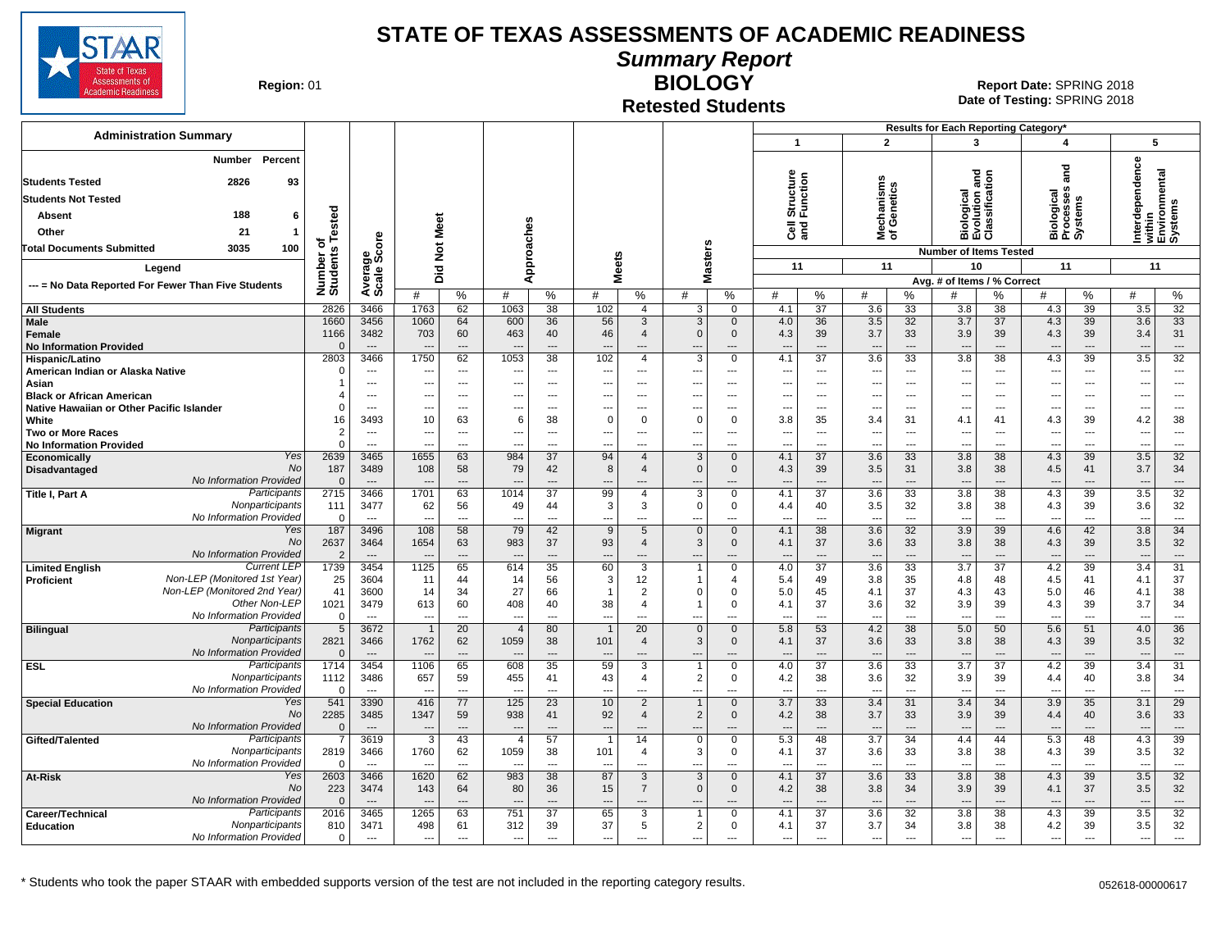

**Summary Report**

**Region: 01** 

#### **Retested Students BIOLOGY**

|                                                                                            |                              |                          |                          |                                      |                          |                                                      |                                |                                       |                                 |                                    |                              |                                 |                                 |                                      | Results for Each Reporting Category*                 |                            |                                 |                      |                                 |                                      |
|--------------------------------------------------------------------------------------------|------------------------------|--------------------------|--------------------------|--------------------------------------|--------------------------|------------------------------------------------------|--------------------------------|---------------------------------------|---------------------------------|------------------------------------|------------------------------|---------------------------------|---------------------------------|--------------------------------------|------------------------------------------------------|----------------------------|---------------------------------|----------------------|---------------------------------|--------------------------------------|
| <b>Administration Summary</b>                                                              |                              |                          |                          |                                      |                          |                                                      |                                |                                       |                                 |                                    | $\mathbf{1}$                 |                                 |                                 | $\overline{2}$                       | $\mathbf{3}$                                         |                            | 4                               |                      | 5                               |                                      |
| Percent<br>Number<br><b>Students Tested</b><br>2826<br>93                                  |                              |                          |                          |                                      |                          |                                                      |                                |                                       |                                 |                                    |                              | Structure<br>Function           |                                 | echanisms<br>f Genetics              | Biological<br>Evolution and<br>Classification        |                            | ត<br>ត                          |                      | Interdependence                 | within<br>Environmental<br>Systems   |
| <b>Students Not Tested</b>                                                                 |                              |                          |                          |                                      |                          |                                                      |                                |                                       |                                 |                                    |                              |                                 |                                 |                                      |                                                      |                            |                                 |                      |                                 |                                      |
| 188<br>Absent<br>6                                                                         |                              |                          |                          |                                      |                          |                                                      |                                |                                       |                                 |                                    |                              |                                 |                                 |                                      |                                                      |                            | iological<br>rocesses<br>ystems |                      |                                 |                                      |
| Other<br>21<br>$\overline{\mathbf{1}}$                                                     |                              |                          |                          | Meet                                 |                          |                                                      |                                |                                       |                                 |                                    | ចិ ខ្លី                      |                                 | ᄛᅕ                              |                                      |                                                      |                            | ធី೬ិតិ                          |                      |                                 |                                      |
| 3035<br>100<br><b>Total Documents Submitted</b>                                            |                              |                          |                          |                                      |                          |                                                      |                                |                                       |                                 |                                    |                              |                                 |                                 |                                      |                                                      |                            |                                 |                      |                                 |                                      |
|                                                                                            |                              |                          |                          | $\breve{\mathbf{z}}$                 |                          | Approaches                                           | <b>Meets</b>                   |                                       | lasters                         |                                    | 11                           |                                 |                                 | 11                                   | <b>Number of Items Tested</b><br>10                  |                            | 11                              |                      | 11                              |                                      |
| Legend                                                                                     |                              |                          | Did                      |                                      |                          |                                                      |                                |                                       | Σ                               |                                    |                              |                                 |                                 |                                      | Avg. # of Items / % Correct                          |                            |                                 |                      |                                 |                                      |
| --- = No Data Reported For Fewer Than Five Students                                        | Number of<br>Students Tested | Average<br>Scale Score   | #                        | $\%$                                 | #                        | %                                                    | #                              | %                                     | #                               | $\%$                               | #                            | %                               | #                               | %                                    | #                                                    | %                          | #                               | %                    | #                               | %                                    |
| <b>All Students</b>                                                                        | 2826                         | 3466                     | 1763                     | 62                                   | 1063                     | 38                                                   | 102                            | $\overline{4}$                        | 3                               | $\Omega$                           | 4.1                          | $\overline{37}$                 | 3.6                             | $\overline{33}$                      | 3.8                                                  | 38                         | 4.3                             | $\overline{39}$      | 3.5                             | $\overline{32}$                      |
| Male<br>Female<br><b>No Information Provided</b>                                           | 1660<br>1166<br>$\Omega$     | 3456<br>3482<br>$\sim$   | 1060<br>703              | 64<br>60<br>$\overline{\phantom{a}}$ | 600<br>463               | 36<br>40<br>$\sim$                                   | 56<br>46<br>$\overline{a}$     | 3<br>$\overline{4}$<br>$\overline{a}$ | 3<br>$\Omega$<br>$\overline{a}$ | $\mathbf{0}$<br>$\mathbf 0$<br>--- | 4.0<br>4.3<br>$\overline{a}$ | 36<br>39<br>$\overline{a}$      | 3.5<br>3.7<br>$\overline{a}$    | 32<br>33<br>$\overline{\phantom{a}}$ | 3.7<br>3.9<br>$\overline{a}$                         | 37<br>39<br>$\overline{a}$ | 4.3<br>4.3<br>$\sim$            | 39<br>39<br>---      | 3.6<br>3.4<br>$\sim$            | 33<br>31<br>$\hspace{0.05cm} \ldots$ |
| Hispanic/Latino                                                                            | 2803                         | 3466                     | 1750                     | 62                                   | 1053                     | $\overline{38}$                                      | 102                            | $\overline{4}$                        | $\overline{3}$                  | $\Omega$                           | 4.1                          | $\overline{37}$                 | $\overline{3.6}$                | $\overline{33}$                      | $\overline{3.8}$                                     | $\overline{38}$            | 4.3                             | 39                   | $\overline{3.5}$                | $\overline{32}$                      |
| American Indian or Alaska Native                                                           | $\Omega$                     | ---<br>---               | ---<br>---               | ---<br>$\overline{\phantom{a}}$      |                          | $\overline{\phantom{a}}$<br>$\overline{\phantom{a}}$ | ---<br>---                     | ---<br>---                            | ---<br>---                      | ---<br>---                         | ---                          | $\overline{\phantom{a}}$<br>--- | $\overline{\phantom{a}}$        | ---<br>---                           | $\overline{\phantom{a}}$<br>$\overline{\phantom{a}}$ | ---<br>---                 | ---<br>---                      | ---<br>$---$         | ---<br>---                      | ---<br>$\overline{\phantom{a}}$      |
| Asian<br><b>Black or African American</b>                                                  | $\overline{\mathbf{4}}$      | $\overline{a}$           | ---                      | $---$                                |                          | $---$                                                | $\overline{\phantom{a}}$       | ---                                   | ---                             | ---                                | ---                          | $\ddotsc$                       | ---<br>$\overline{\phantom{a}}$ | $\overline{\phantom{a}}$             | $\overline{\phantom{a}}$                             | ---                        | $---$                           | $\overline{a}$       | -−-                             | $---$                                |
| Native Hawaiian or Other Pacific Islander                                                  | $\Omega$                     | $---$                    | ---                      | $\overline{\phantom{a}}$             | ---                      | $---$                                                | ---                            | ---                                   | ---                             | ---                                | ---                          | $---$                           | $\overline{\phantom{a}}$        | ---                                  | $\ddotsc$                                            | ---                        | $---$                           | $---$                | ---                             | $---$                                |
| White                                                                                      | 16                           | 3493                     | 10                       | 63                                   | 6                        | 38                                                   | $\mathbf 0$                    | $\Omega$                              | $\Omega$                        | $\Omega$                           | 3.8                          | 35                              | 3.4                             | 31                                   | 4.1                                                  | 41                         | 4.3                             | 39                   | 4.2                             | 38                                   |
| <b>Two or More Races</b>                                                                   | $\overline{2}$<br>$\Omega$   | $---$                    | ---                      | $\sim$                               |                          | $---$                                                | $\overline{a}$                 | ---                                   | ---                             | ---                                | ---                          | $\overline{a}$                  | $\overline{\phantom{a}}$        | $\overline{\phantom{a}}$             | $\sim$                                               | $---$                      | $---$                           | $---$                | ---                             | $\sim$                               |
| <b>No Information Provided</b><br><b>Yes</b><br>Economically                               | 2639                         | $---$<br>3465            | ---<br>1655              | $\overline{a}$<br>63                 | $\overline{a}$<br>984    | $---$<br>37                                          | $---$<br>94                    | ---<br>$\overline{4}$                 | $\overline{a}$<br>3             | $\overline{a}$<br>$\Omega$         | ---<br>4.1                   | $---$<br>37                     | $\overline{a}$<br>3.6           | $-$<br>33                            | $\overline{a}$<br>3.8                                | $\overline{a}$<br>38       | $---$<br>4.3                    | $---$<br>39          | ---<br>3.5                      | $---$<br>32                          |
| No<br><b>Disadvantaged</b>                                                                 | 187                          | 3489                     | 108                      | 58                                   | 79                       | 42                                                   | 8                              | $\overline{4}$                        | $\mathbf{0}$                    | $\mathbf 0$                        | 4.3                          | 39                              | 3.5                             | 31                                   | 3.8                                                  | 38                         | 4.5                             | 41                   | 3.7                             | 34                                   |
| No Information Provided                                                                    | $\mathbf{0}$                 | $---$                    | $\overline{a}$           | $---$                                |                          | $---$                                                | $---$                          | ---                                   | $\overline{a}$                  | ---                                | $\overline{a}$               | $\sim$                          | $\overline{\phantom{a}}$        | $\overline{\phantom{a}}$             | $\overline{a}$                                       | ---                        | $\overline{a}$                  | $\overline{a}$       | ---                             | $---$                                |
| Participants<br>Title I, Part A                                                            | 2715                         | 3466                     | 1701                     | 63                                   | 1014                     | $\overline{37}$                                      | 99                             | $\overline{4}$                        | 3                               | $\Omega$                           | 4.1                          | $\overline{37}$                 | 3.6                             | 33                                   | 3.8                                                  | 38                         | 4.3                             | 39                   | 3.5                             | 32                                   |
| Nonparticipants<br>No Information Provided                                                 | 111<br>$\mathbf 0$           | 3477<br>$\overline{a}$   | 62<br>---                | 56<br>$-$                            | 49<br>$\overline{a}$     | 44<br>$\overline{a}$                                 | $\mathbf{3}$<br>---            | 3<br>$\overline{a}$                   | $\mathbf 0$<br>$\overline{a}$   | 0<br>---                           | 4.4<br>---                   | 40<br>$\overline{a}$            | 3.5<br>$\overline{\phantom{a}}$ | 32<br>$\overline{\phantom{a}}$       | 3.8<br>$\overline{\phantom{a}}$                      | 38<br>$\overline{a}$       | 4.3<br>---                      | 39<br>$\overline{a}$ | 3.6<br>$\overline{a}$           | 32<br>$\sim$ $\sim$ $\sim$           |
| Yes<br><b>Migrant</b>                                                                      | 187                          | 3496                     | 108                      | 58                                   | 79                       | 42                                                   | 9                              | 5                                     | $\Omega$                        | $\mathbf{0}$                       | 4.1                          | 38                              | 3.6                             | 32                                   | 3.9                                                  | 39                         | 4.6                             | 42                   | 3.8                             | 34                                   |
| No                                                                                         | 2637                         | 3464                     | 1654                     | 63                                   | 983                      | 37                                                   | 93                             | $\overline{4}$                        | 3                               | $\Omega$                           | 4.1                          | 37                              | 3.6                             | 33                                   | 3.8                                                  | 38                         | 4.3                             | 39                   | 3.5                             | 32                                   |
| No Information Provided                                                                    | $\overline{2}$               | $\overline{\phantom{a}}$ |                          | $\overline{a}$                       |                          | $---$                                                |                                | $\overline{a}$                        |                                 | ---                                |                              | $\overline{a}$                  |                                 | $\overline{\phantom{a}}$             |                                                      | $---$                      |                                 | ---                  | $\overline{\phantom{a}}$        | $\qquad \qquad \cdots$               |
| <b>Current LEF</b><br><b>Limited English</b><br>Non-LEP (Monitored 1st Year)<br>Proficient | 1739<br>25                   | 3454<br>3604             | 1125<br>11               | 65<br>44                             | 614<br>14                | 35<br>56                                             | 60<br>3                        | $\overline{3}$<br>12                  | $\overline{1}$<br>$\mathbf 1$   | $\Omega$<br>4                      | 4.0<br>5.4                   | $\overline{37}$<br>49           | 3.6<br>3.8                      | 33<br>35                             | 3.7<br>4.8                                           | $\overline{37}$<br>48      | 4.2<br>4.5                      | 39<br>41             | 3.4<br>4.1                      | $\overline{31}$<br>37                |
| Non-LEP (Monitored 2nd Year)                                                               | 41                           | 3600                     | 14                       | 34                                   | 27                       | 66                                                   | $\mathbf{1}$                   | $\overline{2}$                        | $\Omega$                        | $\Omega$                           | 5.0                          | 45                              | 4.1                             | 37                                   | 4.3                                                  | 43                         | 5.0                             | 46                   | 4.1                             | 38                                   |
| Other Non-LEP                                                                              | 1021                         | 3479                     | 613                      | 60                                   | 408                      | 40                                                   | 38                             | $\overline{4}$                        |                                 | $\Omega$                           | 4.1                          | 37                              | 3.6                             | 32                                   | 3.9                                                  | 39                         | 4.3                             | 39                   | 3.7                             | 34                                   |
| No Information Provided                                                                    | $\mathbf 0$                  | $\sim$                   | $\overline{\phantom{a}}$ | $\sim$                               | $\sim$                   | $---$                                                | $---$                          | $---$                                 | ---                             | ---                                | ---                          | $\overline{a}$                  | $\overline{\phantom{a}}$        | $\overline{\phantom{a}}$             | $\overline{a}$                                       | $\overline{a}$             | $\overline{a}$                  | $\overline{a}$       | $\overline{a}$                  | $\sim$                               |
| Participants<br><b>Bilingual</b><br>Nonparticipants                                        | 5<br>2821                    | 3672<br>3466             | $\overline{1}$<br>1762   | 20<br>62                             | $\overline{4}$<br>1059   | 80<br>38                                             | $\overline{1}$                 | 20<br>$\overline{4}$                  | $\mathbf{0}$<br>3               | $\Omega$                           | 5.8                          | 53<br>37                        | 4.2                             | 38<br>33                             | 5.0                                                  | 50<br>38                   | 5.6                             | 51<br>39             | 4.0                             | 36<br>32                             |
| No Information Provided                                                                    | $\mathbf 0$                  | $\overline{a}$           |                          | $\overline{a}$                       |                          | $---$                                                | 101<br>$\sim$                  | $\overline{a}$                        |                                 | 0<br>---                           | 4.1                          | $\sim$                          | 3.6<br>$\overline{\phantom{a}}$ | $\overline{\phantom{a}}$             | 3.8<br>$\overline{a}$                                | $\overline{a}$             | 4.3<br>$\overline{\phantom{a}}$ | $\overline{a}$       | 3.5<br>$\overline{a}$           | $---$                                |
| Participants<br><b>ESL</b>                                                                 | 1714                         | 3454                     | 1106                     | 65                                   | 608                      | 35                                                   | 59                             | 3                                     | $\overline{1}$                  | 0                                  | 4.0                          | $\overline{37}$                 | 3.6                             | 33                                   | 3.7                                                  | 37                         | 4.2                             | 39                   | 3.4                             | 31                                   |
| Nonparticipants                                                                            | 1112                         | 3486                     | 657                      | 59                                   | 455                      | 41                                                   | 43                             | $\overline{4}$                        | 2                               | 0                                  | 4.2                          | 38                              | 3.6                             | 32                                   | 3.9                                                  | 39                         | 4.4                             | 40                   | 3.8                             | 34                                   |
| No Information Provided<br>Yes                                                             | $\mathbf 0$<br>541           | $---$<br>3390            | 416                      | $\overline{a}$<br>77                 | 125                      | $\overline{a}$<br>$\overline{23}$                    | $\overline{a}$<br>10           | ---<br>$\overline{2}$                 | $\sim$                          | ---<br>$\Omega$                    | 3.7                          | $\overline{a}$<br>33            | $\overline{\phantom{a}}$<br>3.4 | $\overline{\phantom{a}}$<br>31       | $\overline{a}$<br>3.4                                | $\overline{a}$<br>34       | $\overline{\phantom{a}}$<br>3.9 | $\overline{a}$<br>35 | $\overline{\phantom{a}}$<br>3.1 | $\sim$<br>$\overline{29}$            |
| <b>Special Education</b><br>No                                                             | 2285                         | 3485                     | 1347                     | 59                                   | 938                      | 41                                                   | 92                             | $\overline{4}$                        | 2                               | $\mathbf{0}$                       | 4.2                          | 38                              | 3.7                             | 33                                   | 3.9                                                  | 39                         | 4.4                             | 40                   | 3.6                             | 33                                   |
| No Information Provided                                                                    | $\Omega$                     | $---$                    | $\overline{\phantom{a}}$ |                                      |                          |                                                      | ---                            |                                       | ---                             |                                    | $\overline{a}$               |                                 | $\overline{\phantom{a}}$        | $\overline{\phantom{a}}$             | $\overline{\phantom{a}}$                             |                            | $\overline{\phantom{a}}$        |                      | $\overline{\phantom{a}}$        | $\qquad \qquad \cdots$               |
| Participants<br>Gifted/Talented                                                            | $\overline{7}$               | 3619                     | 3                        | 43                                   | $\overline{4}$           | 57                                                   | -1                             | 14                                    | $\mathbf 0$                     | $\Omega$                           | 5.3                          | 48                              | 3.7                             | 34                                   | 4.4                                                  | 44                         | 5.3                             | 48                   | 4.3                             | 39                                   |
| Nonparticipants                                                                            | 2819                         | 3466                     | 1760                     | 62                                   | 1059                     | 38                                                   | 101                            | $\overline{4}$                        | 3                               | $\Omega$                           | 4.1                          | 37                              | 3.6                             | 33                                   | 3.8                                                  | 38                         | 4.3                             | 39                   | 3.5                             | 32                                   |
| No Information Provided<br>Yes                                                             | $\Omega$<br>2603             | $\overline{a}$<br>3466   | 1620                     | $-$<br>62                            | 983                      | $\overline{a}$<br>38                                 | $\overline{\phantom{a}}$<br>87 | ---<br>3                              | $\overline{a}$<br>3             | ---<br>$\Omega$                    | ---<br>4.1                   | $\overline{a}$<br>37            | ---<br>3.6                      | $\overline{\phantom{a}}$<br>33       | $\overline{a}$<br>3.8                                | ---<br>38                  | $\overline{a}$<br>4.3           | ---<br>39            | ---<br>3.5                      | $\overline{\phantom{a}}$<br>32       |
| At-Risk<br>No                                                                              | 223                          | 3474                     | 143                      | 64                                   | 80                       | 36                                                   | 15                             | $\overline{7}$                        | $\mathbf{0}$                    | 0                                  | 4.2                          | 38                              | 3.8                             | 34                                   | 3.9                                                  | 39                         | 4.1                             | 37                   | 3.5                             | 32                                   |
| No Information Provided                                                                    | $\Omega$                     | $\overline{\phantom{a}}$ | $\overline{\phantom{a}}$ | $\overline{\phantom{a}}$             | $\overline{\phantom{a}}$ | $\overline{a}$                                       | $---$                          | ---                                   | ---                             | ---                                | $\overline{a}$               | $\qquad \qquad \cdots$          | $\overline{\phantom{a}}$        | $\overline{\phantom{a}}$             | $\overline{a}$                                       | ---                        | ---                             | $---$                | $\overline{\phantom{a}}$        | $\cdots$                             |
| Participants<br>Career/Technical                                                           | 2016                         | 3465                     | 1265                     | 63                                   | 751                      | 37                                                   | 65                             | 3                                     | $\overline{1}$                  | $\Omega$                           | 4.1                          | 37                              | 3.6                             | 32                                   | 3.8                                                  | 38                         | 4.3                             | 39                   | 3.5                             | 32                                   |
| Nonparticipants<br><b>Education</b><br>No Information Provided                             | 810<br>$\mathbf 0$           | 3471<br>$\overline{a}$   | 498<br>---               | 61<br>$\overline{a}$                 | 312<br>$---$             | 39<br>$\overline{a}$                                 | 37<br>$\overline{a}$           | 5<br>$\overline{a}$                   | $\overline{2}$<br>$\sim$        | 0<br>---                           | 4.1<br>$\overline{a}$        | 37<br>$\overline{a}$            | 3.7<br>$\overline{a}$           | 34<br>$\overline{a}$                 | 3.8<br>$\overline{a}$                                | 38<br>$\overline{a}$       | 4.2<br>$\overline{a}$           | 39<br>$\overline{a}$ | 3.5<br>$\sim$                   | 32<br>$\overline{a}$                 |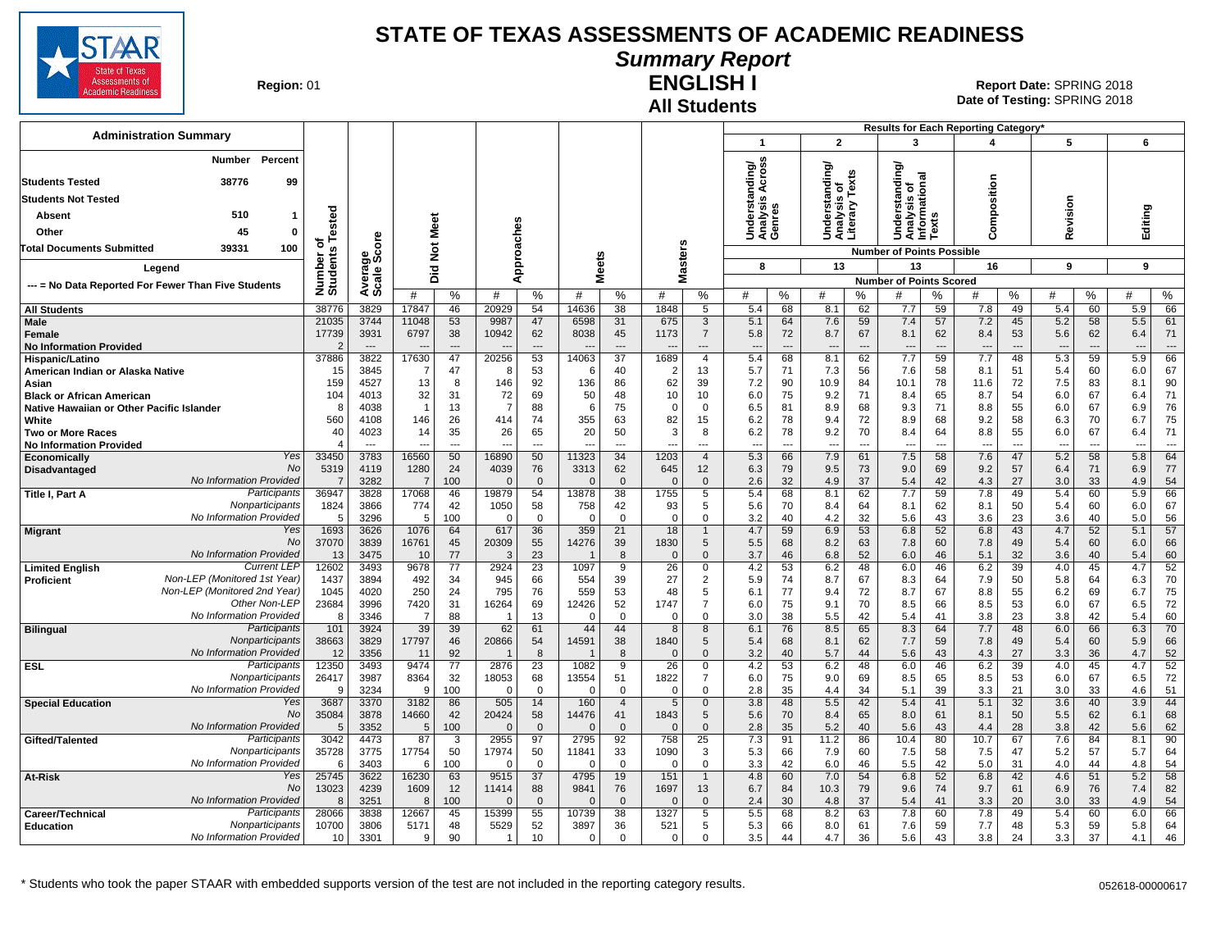

## **Summary Report**

**Region: 01** 

#### **All Students ENGLISH I**

**Date of Testing:**  SPRING 2018 01 **Report Date:** SPRING 2018

|                                                                                          |                      |                       |                |                    |                   |                            |                   |                   |                               |                                       |                               |                            |                                                    |                            |                                        |                                      | Results for Each Reporting Category' |                   |                          |                            |                   |                                    |
|------------------------------------------------------------------------------------------|----------------------|-----------------------|----------------|--------------------|-------------------|----------------------------|-------------------|-------------------|-------------------------------|---------------------------------------|-------------------------------|----------------------------|----------------------------------------------------|----------------------------|----------------------------------------|--------------------------------------|--------------------------------------|-------------------|--------------------------|----------------------------|-------------------|------------------------------------|
| <b>Administration Summary</b>                                                            |                      |                       |                |                    |                   |                            |                   |                   |                               |                                       | -1                            |                            | $\overline{2}$                                     |                            | 3                                      |                                      | 4                                    |                   | 5                        |                            | 6                 |                                    |
| Number<br>Percent<br><b>Students Tested</b><br>38776<br>99<br><b>Students Not Tested</b> |                      |                       |                |                    |                   |                            |                   |                   |                               |                                       | ding/<br>틀<br>∢<br>w          |                            | ৯<br>틀<br>Understand<br>Analysis of<br>Literary Te | Texts                      | টা<br>$\frac{1}{2}$<br>ā               | mational                             | Composition                          |                   |                          |                            |                   |                                    |
| 510<br>Absent                                                                            |                      |                       |                |                    |                   |                            |                   |                   |                               |                                       |                               |                            |                                                    |                            | Ϊņ<br>ō,                               |                                      |                                      |                   |                          |                            |                   |                                    |
| 45<br>Other<br>0                                                                         | ested                |                       | Meet           |                    |                   |                            |                   |                   |                               |                                       | Underst<br>Analysis<br>Genres |                            |                                                    |                            | 한 호텔<br>이 호텔<br>5                      | š<br>Ξ                               |                                      |                   | Revision                 |                            | Editing           |                                    |
| 39331<br>100<br><b>Total Documents Submitted</b>                                         | ៰                    | ge<br>Score           | $\frac{5}{2}$  |                    |                   |                            |                   |                   |                               |                                       |                               |                            |                                                    |                            | <b>Number of Points Possible</b>       |                                      |                                      |                   |                          |                            |                   |                                    |
| Legend                                                                                   | Number o<br>Students |                       |                |                    |                   | Approaches                 | eets              |                   |                               | <b>Masters</b>                        | 8                             |                            | 13                                                 |                            | 13                                     |                                      | 16                                   |                   | 9                        |                            | 9                 |                                    |
|                                                                                          |                      | Avera<br>Scale        | Did            |                    |                   |                            | ż.                |                   |                               |                                       |                               |                            |                                                    |                            | <b>Number of Points Scored</b>         |                                      |                                      |                   |                          |                            |                   |                                    |
| --- = No Data Reported For Fewer Than Five Students                                      |                      |                       | #              | %                  | #                 | %                          | #                 | %                 | #                             | %                                     | #                             | $\%$                       | #                                                  | ℅                          | #                                      | ℅                                    | #                                    | %                 | #                        | %                          | #                 | $\%$                               |
| <b>All Students</b>                                                                      | 38776                | 3829                  | 17847          | 46                 | 20929             | 54                         | 14636             | 38                | 1848                          | 5                                     | 5.4                           | 68                         | 8.1                                                | 62                         | 7.7                                    | 59                                   | 7.8                                  | 49                | 5.4                      | 60                         | 5.9               | 66                                 |
| <b>Male</b><br>Female<br><b>No Information Provided</b>                                  | 21035<br>17739       | 3744<br>3931<br>$---$ | 11048<br>6797  | 53<br>38<br>---    | 9987<br>10942     | 47<br>62<br>$\overline{a}$ | 6598<br>8038      | 31<br>45<br>$---$ | 675<br>1173<br>$\overline{a}$ | $\mathbf{3}$<br>$\overline{7}$<br>--- | 5.1<br>5.8<br>$\overline{a}$  | 64<br>72<br>$\overline{a}$ | 7.6<br>8.7<br>$\overline{\phantom{a}}$             | 59<br>67<br>$\overline{a}$ | 7.4<br>8.1<br>$\overline{\phantom{a}}$ | 57<br>62<br>$\overline{\phantom{a}}$ | 7.2<br>8.4<br>$---$                  | 45<br>53<br>$---$ | 5.2<br>5.6<br>---        | 58<br>62<br>$\overline{a}$ | 5.5<br>6.4<br>--- | 61<br>71<br>$\qquad \qquad \cdots$ |
| Hispanic/Latino                                                                          | 37886                | 3822                  | 17630          | 47                 | 20256<br>-8       | 53                         | 14063             | 37                | 1689                          | $\overline{4}$                        | 5.4                           | 68                         | 8.1                                                | 62                         | 7.7                                    | 59                                   | 7.7                                  | 48                | 5.3                      | 59                         | 5.9               | 66                                 |
| American Indian or Alaska Native<br>Asian                                                | 15<br>159            | 3845<br>4527          | 7<br>13        | 47<br>8            | 146               | 53<br>92                   | 6<br>136          | 40<br>86          | -2<br>62                      | 13<br>39                              | 5.7<br>7.2                    | 71<br>90                   | 7.3<br>10.9                                        | 56<br>84                   | 7.6<br>10.1                            | 58<br>78                             | 8.1<br>11.6                          | 51<br>72          | 5.4<br>7.5               | 60<br>83                   | 6.0<br>8.1        | 67<br>90                           |
| <b>Black or African American</b>                                                         | 104                  | 4013                  | 32             | 31                 | 72                | 69                         | 50                | 48                | 10                            | 10                                    | 6.0                           | 75                         | 9.2                                                | 71                         | 8.4                                    | 65                                   | 8.7                                  | 54                | 6.0                      | 67                         | 6.4               | 71                                 |
| Native Hawaiian or Other Pacific Islander                                                | 8                    | 4038                  | $\overline{1}$ | 13                 | $\overline{7}$    | 88                         | 6                 | 75                | $\Omega$                      | $\mathbf 0$                           | 6.5                           | 81                         | 8.9                                                | 68                         | 9.3                                    | 71                                   | 8.8                                  | 55                | 6.0                      | 67                         | 6.9               | 76                                 |
| White<br>Two or More Races                                                               | 560<br>40            | 4108<br>4023          | 146<br>14      | 26<br>35           | 414<br>26         | 74<br>65                   | 355<br>20         | 63<br>50          | 82<br>3                       | 15<br>8                               | 6.2<br>6.2                    | 78<br>78                   | 9.4<br>9.2                                         | 72<br>70                   | 8.9<br>8.4                             | 68<br>64                             | 9.2<br>8.8                           | 58<br>55          | 6.3<br>6.0               | 70<br>67                   | 6.7<br>6.4        | 75<br>71                           |
| <b>No Information Provided</b>                                                           |                      | $---$                 | $\overline{a}$ | ---                | $---$             | $\overline{a}$             | $\sim$            | $---$             | ---                           | ---                                   | $-$                           | ---                        | ---                                                | ---                        | $\overline{\phantom{a}}$               | $\overline{\phantom{a}}$             | $---$                                | ---               | $\overline{\phantom{a}}$ | $\overline{a}$             | ---               | $\overline{\phantom{a}}$           |
| Yes<br>Economicallv                                                                      | 33450                | 3783                  | 16560          | 50                 | 16890             | 50                         | 11323             | 34                | 1203                          | $\overline{4}$                        | 5.3                           | 66                         | 7.9                                                | 61                         | 7.5                                    | 58                                   | 7.6                                  | 47                | 5.2                      | 58                         | $\overline{5.8}$  | 64                                 |
| No<br>Disadvantaged<br>No Information Provided                                           | 5319                 | 4119<br>3282          | 1280<br>7      | 24<br>100          | 4039<br>$\Omega$  | 76<br>$\mathbf{0}$         | 3313<br>$\Omega$  | 62<br>$\Omega$    | 645<br>$\sqrt{ }$             | 12<br>$\mathbf 0$                     | 6.3<br>2.6                    | 79<br>32                   | 9.5<br>4.9                                         | 73<br>37                   | 9.0<br>5.4                             | 69<br>42                             | 9.2<br>4.3                           | 57<br>27          | 6.4<br>3.0               | 71<br>33                   | 6.9<br>4.9        | 77<br>54                           |
| Participants<br>Title I, Part A                                                          | 36947                | 3828                  | 17068          | 46                 | 19879             | 54                         | 13878             | 38                | 1755                          | 5                                     | 5.4                           | 68                         | 8.1                                                | 62                         | 7.7                                    | 59                                   | 7.8                                  | 49                | 5.4                      | 60                         | 5.9               | 66                                 |
| Nonparticipants                                                                          | 1824                 | 3866                  | 774            | 42                 | 1050              | 58                         | 758               | 42                | 93                            | 5                                     | 5.6                           | 70                         | 8.4                                                | 64                         | 8.1                                    | 62                                   | 8.1                                  | 50                | 5.4                      | 60                         | 6.0               | 67                                 |
| No Information Provided<br>Yes                                                           | $\overline{5}$       | 3296                  | 5              | 100<br>64          | $\Omega$          | $\Omega$                   | $\Omega$<br>359   | $\Omega$          | $\Omega$                      | $\mathbf 0$<br>$\mathbf{1}$           | 3.2<br>4.7                    | 40                         | 4.2                                                | 32                         | 5.6<br>6.8                             | 43                                   | 3.6<br>6.8                           | 23                | 3.6                      | 40<br>52                   | 5.0               | 56<br>57                           |
| <b>Migrant</b><br>No                                                                     | 1693<br>37070        | 3626<br>3839          | 1076<br>16761  | 45                 | 617<br>20309      | 36<br>55                   | 14276             | 21<br>39          | 18<br>1830                    | 5                                     | 5.5                           | 59<br>68                   | 6.9<br>8.2                                         | 53<br>63                   | 7.8                                    | 52<br>60                             | 7.8                                  | 43<br>49          | 4.7<br>5.4               | 60                         | 5.1<br>6.0        | 66                                 |
| No Information Provided                                                                  | 13                   | 3475                  | 10             | 77                 | 3                 | 23                         |                   | 8                 | $\Omega$                      | $\mathbf{0}$                          | 3.7                           | 46                         | 6.8                                                | 52                         | 6.0                                    | 46                                   | 5.1                                  | 32                | 3.6                      | 40                         | 5.4               | 60                                 |
| <b>Current LEP</b><br><b>Limited English</b><br>Non-LEP (Monitored 1st Year)             | 12602                | 3493                  | 9678           | 77                 | 2924              | 23                         | 1097              | 9                 | 26                            | $\mathbf 0$                           | 4.2                           | 53                         | 6.2                                                | 48                         | 6.0                                    | 46                                   | 6.2                                  | 39                | 4.0                      | 45                         | 4.7               | 52                                 |
| <b>Proficient</b><br>Non-LEP (Monitored 2nd Year)                                        | 1437<br>1045         | 3894<br>4020          | 492<br>250     | 34<br>24           | 945<br>795        | 66<br>76                   | 554<br>559        | 39<br>53          | 27<br>48                      | $\overline{2}$<br>5                   | 5.9<br>6.1                    | 74<br>77                   | 8.7<br>9.4                                         | 67<br>72                   | 8.3<br>8.7                             | 64<br>67                             | 7.9<br>8.8                           | 50<br>55          | 5.8<br>6.2               | 64<br>69                   | 6.3<br>6.7        | 70<br>75                           |
| Other Non-LEP                                                                            | 23684                | 3996                  | 7420           | 31                 | 16264             | 69                         | 12426             | 52                | 1747                          | $\overline{7}$                        | 6.0                           | 75                         | 9.1                                                | 70                         | 8.5                                    | 66                                   | 8.5                                  | 53                | 6.0                      | 67                         | 6.5               | 72                                 |
| No Information Provided                                                                  | -8                   | 3346                  | $\overline{7}$ | 88                 |                   | 13                         | $\Omega$          | $\Omega$          | $\Omega$                      | $\Omega$                              | 3.0                           | 38                         | 5.5                                                | 42                         | 5.4                                    | 41                                   | 3.8                                  | 23                | 3.8                      | 42                         | 5.4               | 60                                 |
| Participants<br><b>Bilingual</b><br>Nonparticipants                                      | 101<br>38663         | 3924<br>3829          | 39<br>17797    | 39<br>46           | 62<br>20866       | 61<br>54                   | 44<br>14591       | 44<br>38          | 8<br>1840                     | 8<br>5                                | 6.1<br>5.4                    | 76<br>68                   | 8.5<br>8.1                                         | 65<br>62                   | 8.3<br>7.7                             | 64<br>59                             | 7.7<br>7.8                           | 48<br>49          | 6.0<br>5.4               | 66<br>60                   | 6.3<br>5.9        | 70<br>66                           |
| No Information Provided                                                                  | 12                   | 3356                  | 11             | 92                 |                   | 8                          |                   | 8                 | $\Omega$                      | $\mathbf{0}$                          | 3.2                           | 40                         | 5.7                                                | 44                         | 5.6                                    | 43                                   | 4.3                                  | 27                | 3.3                      | 36                         | 4.7               | 52                                 |
| Participants<br><b>ESL</b>                                                               | 12350                | 3493                  | 9474           | 77                 | 2876              | 23                         | 1082              | 9                 | $\overline{26}$               | $\mathbf 0$                           | 4.2                           | 53                         | 6.2                                                | 48                         | 6.0                                    | 46                                   | 6.2                                  | 39                | 4.0                      | 45                         | 4.7               | 52                                 |
| Nonparticipants<br>No Information Provided                                               | 26417<br><b>C</b>    | 3987<br>3234          | 8364<br>-9     | 32<br>100          | 18053<br>$\Omega$ | 68<br>$\mathbf 0$          | 13554<br>$\Omega$ | 51<br>$\mathbf 0$ | 1822<br>$\Omega$              | $\overline{7}$<br>$\Omega$            | 6.0<br>2.8                    | 75<br>35                   | 9.0<br>4.4                                         | 69<br>34                   | 8.5<br>5.1                             | 65<br>39                             | 8.5<br>3.3                           | 53<br>21          | 6.0<br>3.0               | 67<br>33                   | 6.5<br>4.6        | 72<br>51                           |
| Yes<br><b>Special Education</b>                                                          | 3687                 | 3370                  | 3182           | 86                 | 505               | 14                         | 160               | $\overline{4}$    | $5\phantom{.0}$               | $\mathbf 0$                           | 3.8                           | 48                         | 5.5                                                | 42                         | 5.4                                    | 41                                   | 5.1                                  | 32                | 3.6                      | 40                         | 3.9               | 44                                 |
| No                                                                                       | 35084                | 3878                  | 14660          | 42                 | 20424             | 58                         | 14476             | 41                | 1843                          | 5                                     | 5.6                           | 70                         | 8.4                                                | 65                         | 8.0                                    | 61                                   | 8.1                                  | 50                | 5.5                      | 62                         | 6.1               | 68                                 |
| No Information Provided                                                                  | $\overline{5}$       | 3352                  | 5              | 100                | $\Omega$          | $\mathbf{0}$               | $\Omega$          | $\Omega$          | $\mathcal{C}$                 | $\overline{0}$                        | 2.8                           | 35                         | 5.2                                                | 40                         | 5.6                                    | 43                                   | 4.4                                  | 28                | 3.8                      | 42                         | 5.6               | 62                                 |
| Participants<br>Gifted/Talented<br>Nonparticipants                                       | 3042<br>35728        | 4473<br>3775          | 87<br>17754    | $\mathbf{3}$<br>50 | 2955<br>17974     | 97<br>50                   | 2795<br>11841     | 92<br>33          | 758<br>1090                   | 25<br>3                               | 7.3<br>5.3                    | 91<br>66                   | 11.2<br>7.9                                        | 86<br>60                   | 10.4<br>7.5                            | 80<br>58                             | 10.7<br>7.5                          | 67<br>47          | 7.6<br>5.2               | 84<br>57                   | 8.1<br>5.7        | 90<br>64                           |
| No Information Provided                                                                  |                      | 3403                  | 6              | 100                | $\Omega$          | $\mathbf 0$                | $\Omega$          | $\Omega$          | $\Omega$                      | $\mathbf 0$                           | 3.3                           | 42                         | 6.0                                                | 46                         | 5.5                                    | 42                                   | 5.0                                  | 31                | 4.0                      | 44                         | 4.8               | 54                                 |
| Yes<br>At-Risk                                                                           | 25745                | 3622                  | 16230          | 63                 | 9515              | $\overline{37}$            | 4795              | 19                | 151                           | $\mathbf{1}$                          | 4.8                           | 60                         | 7.0                                                | 54                         | 6.8                                    | 52                                   | 6.8                                  | 42                | 4.6                      | 51                         | $\overline{5.2}$  | 58                                 |
| <b>No</b>                                                                                | 13023                | 4239                  | 1609           | 12                 | 11414             | 88                         | 9841              | 76                | 1697                          | 13                                    | 6.7                           | 84                         | 10.3                                               | 79                         | 9.6                                    | 74                                   | 9.7                                  | 61                | 6.9                      | 76                         | 7.4               | 82                                 |
| No Information Provided<br>Participants<br>Career/Technical                              | 28066                | 3251<br>3838          | 8<br>12667     | 100<br>45          | $\Omega$<br>15399 | $\mathbf 0$<br>55          | $\Omega$<br>10739 | $\Omega$<br>38    | $\mathcal{C}$<br>1327         | $\mathbf 0$<br>5                      | 2.4<br>5.5                    | 30<br>68                   | 4.8<br>8.2                                         | 37<br>63                   | 5.4<br>7.8                             | 41<br>60                             | 3.3<br>7.8                           | 20<br>49          | 3.0<br>5.4               | 33<br>60                   | 4.9<br>6.0        | 54<br>66                           |
| Nonparticipants<br><b>Education</b>                                                      | 10700                | 3806                  | 5171           | 48                 | 5529              | 52                         | 3897              | 36                | 521                           | 5                                     | 5.3                           | 66                         | 8.0                                                | 61                         | 7.6                                    | 59                                   | 7.7                                  | 48                | 5.3                      | 59                         | 5.8               | 64                                 |
| No Information Provided                                                                  | 10                   | 3301                  | 9              | 90                 | $\overline{1}$    | 10                         | $\Omega$          | $\Omega$          | $\Omega$                      | $\Omega$                              | 3.5                           | 44                         | 4.7                                                | 36                         | 5.6                                    | 43                                   | 3.8                                  | 24                | 3.3                      | 37                         | 4.1               | 46                                 |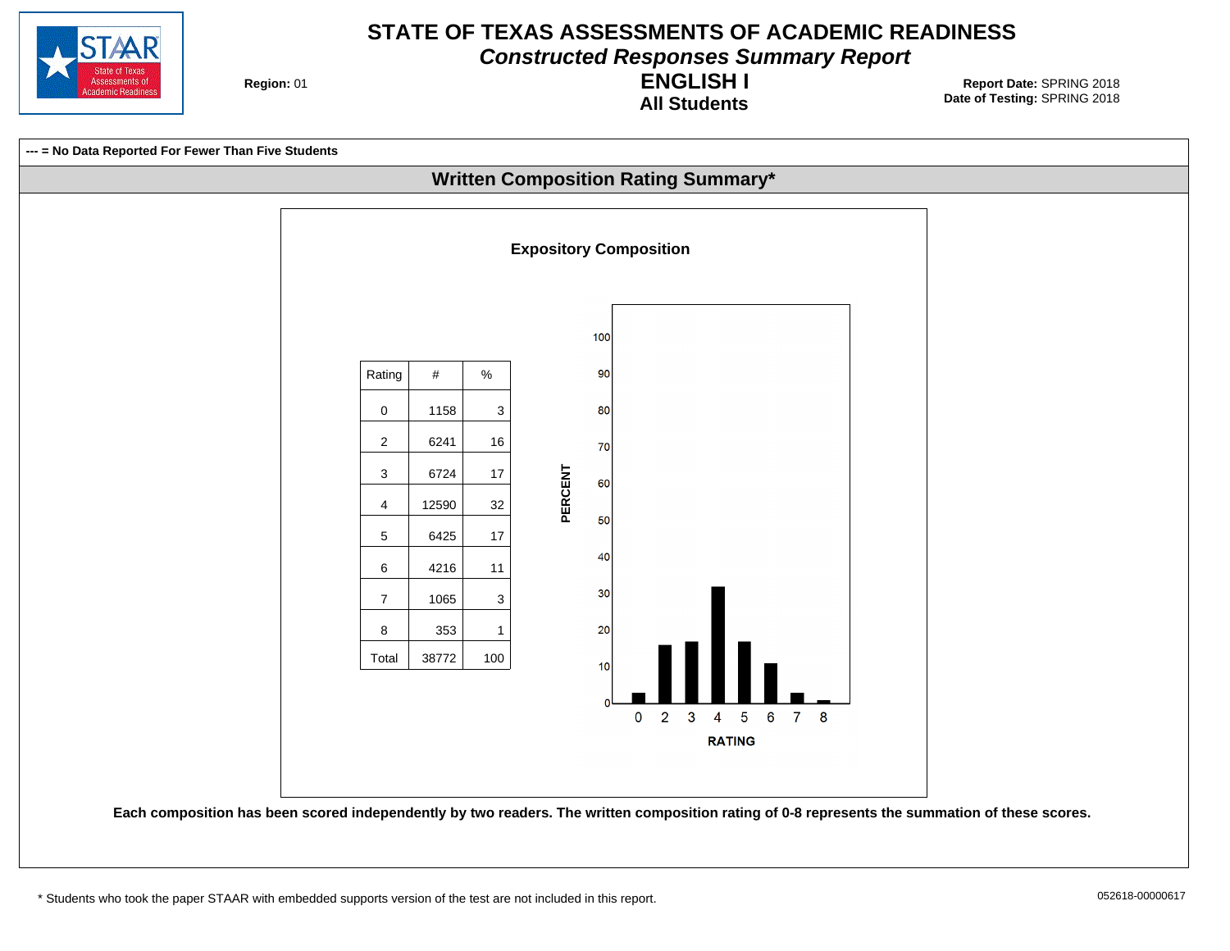

**Constructed Responses Summary Report**

**Region: 01** 

**All Students ENGLISH I**

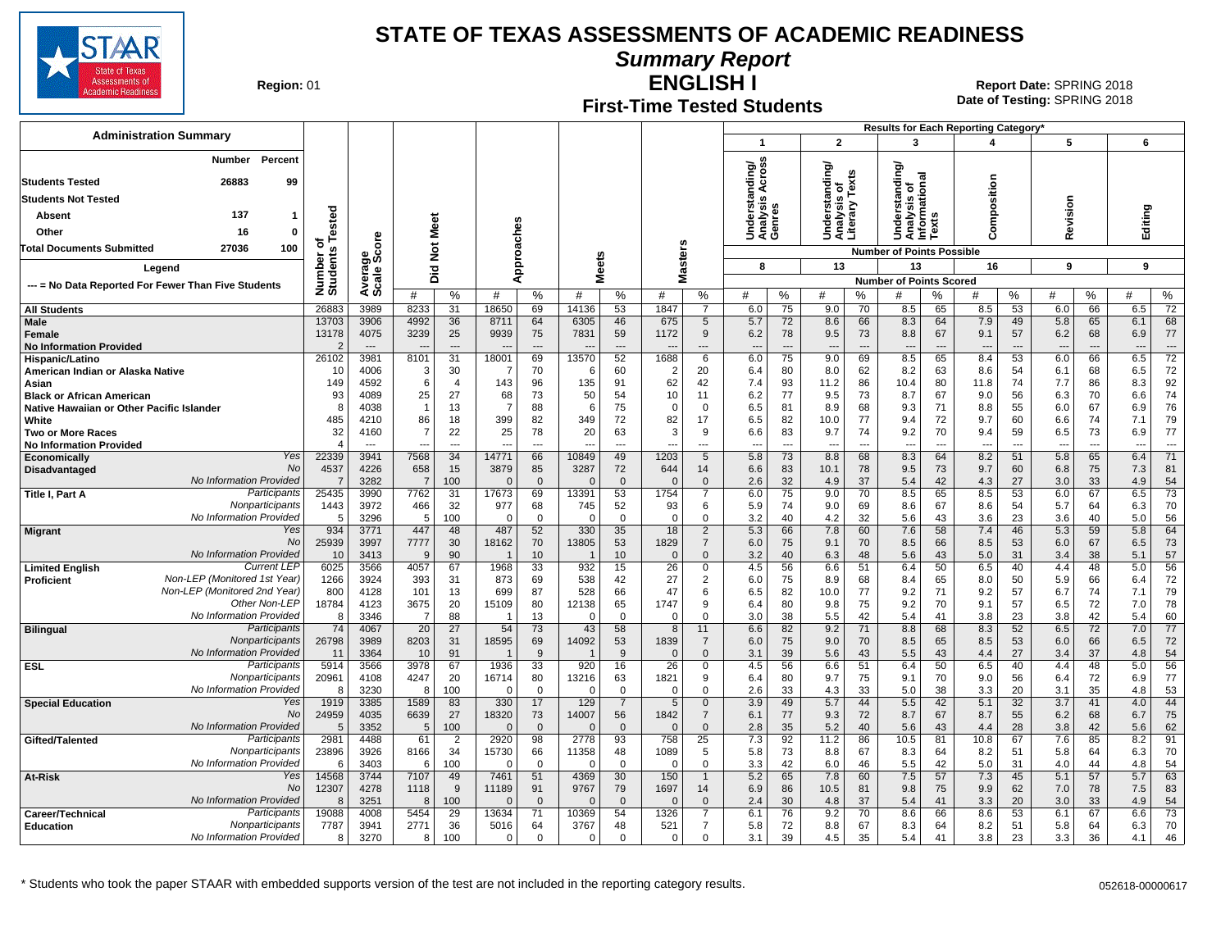

**Summary Report**

**Region: 01** 

#### **First-Time Tested Students ENGLISH I**

**Date of Testing:**  SPRING 2018 01 **Report Date:** SPRING 2018

|                                                                               |                      |                        |                      |                          |                      |                    |                          |                      |                   |                               |                                                       |                                |                                    |                                |                                             |                                | <b>Results for Each Reporting Category</b> |                                |                                 |                      |                                 |                      |
|-------------------------------------------------------------------------------|----------------------|------------------------|----------------------|--------------------------|----------------------|--------------------|--------------------------|----------------------|-------------------|-------------------------------|-------------------------------------------------------|--------------------------------|------------------------------------|--------------------------------|---------------------------------------------|--------------------------------|--------------------------------------------|--------------------------------|---------------------------------|----------------------|---------------------------------|----------------------|
| <b>Administration Summary</b>                                                 |                      |                        |                      |                          |                      |                    |                          |                      |                   |                               | -1                                                    |                                | $\overline{2}$                     |                                | 3                                           |                                |                                            |                                | 5                               |                      | 6                               |                      |
| Percent<br>Number                                                             |                      |                        |                      |                          |                      |                    |                          |                      |                   |                               |                                                       |                                |                                    |                                | টা                                          |                                |                                            |                                |                                 |                      |                                 |                      |
| 26883<br><b>Students Tested</b><br>99                                         |                      |                        |                      |                          |                      |                    |                          |                      |                   |                               | Across<br>Understanding/<br>Analysis Across<br>Genres |                                | erstanding                         | exts                           | nal                                         |                                |                                            |                                |                                 |                      |                                 |                      |
| Students Not Tested                                                           |                      |                        |                      |                          |                      |                    |                          |                      |                   |                               |                                                       |                                | ō                                  |                                | tandi                                       | $\circ$                        | sition                                     |                                |                                 |                      |                                 |                      |
| 137<br>Absent<br>-1                                                           |                      |                        |                      |                          |                      |                    |                          |                      |                   |                               |                                                       |                                | Understa<br>Analysis<br>Literary T |                                | Understa<br>Analysis<br>Informatic<br>Texts |                                | ompos                                      |                                | Revision                        |                      | Editing                         |                      |
| Other<br>16<br>$\mathbf{0}$                                                   | ested                |                        | Meet                 |                          |                      |                    |                          |                      |                   |                               |                                                       |                                |                                    |                                |                                             |                                |                                            |                                |                                 |                      |                                 |                      |
| 100<br><b>Total Documents Submitted</b><br>27036                              | ত                    |                        |                      |                          | Approaches           |                    |                          |                      |                   |                               |                                                       |                                |                                    |                                |                                             |                                | o                                          |                                |                                 |                      |                                 |                      |
|                                                                               | Number o<br>Students |                        | $\check{\mathbf{z}}$ |                          |                      |                    | leets                    |                      |                   | Masters                       | 8                                                     |                                | 13                                 |                                | <b>Number of Points Possible</b><br>13      |                                | 16                                         |                                | 9                               |                      | 9                               |                      |
| Legend                                                                        |                      |                        | Did                  |                          |                      |                    | 5                        |                      |                   |                               |                                                       |                                |                                    |                                | <b>Number of Points Scored</b>              |                                |                                            |                                |                                 |                      |                                 |                      |
| --- = No Data Reported For Fewer Than Five Students                           |                      | Average<br>Scale Score | #                    | %                        | #                    | %                  | #                        | %                    | #                 | %                             | #                                                     | %                              | #                                  | %                              | #                                           | %                              | #                                          | %                              | #                               | %                    | #                               | %                    |
| <b>All Students</b>                                                           | 26883                | 3989                   | 8233                 | 31                       | 18650                | 69                 | 14136                    | 53                   | 1847              | $\overline{7}$                | 6.0                                                   | 75                             | 9.0                                | 70                             | 8.5                                         | 65                             | 8.5                                        | 53                             | 6.0                             | 66                   | 6.5                             | $\overline{72}$      |
| Male                                                                          | 13703                | 3906                   | 4992                 | 36                       | 8711                 | 64                 | 6305                     | 46                   | 675               | 5                             | 5.7                                                   | 72                             | 8.6                                | 66                             | 8.3                                         | 64                             | 7.9                                        | 49                             | 5.8                             | 65                   | 6.1                             | 68                   |
| Female<br><b>No Information Provided</b>                                      | 13178                | 4075<br>$\sim$         | 3239                 | 25<br>$\cdots$           | 9939                 | 75                 | 7831                     | 59                   | 1172              | 9<br>---                      | 6.2<br>$\overline{a}$                                 | 78<br>$\overline{\phantom{a}}$ | 9.5<br>---                         | 73<br>$\overline{\phantom{a}}$ | 8.8<br>$\overline{\phantom{a}}$             | 67<br>$\overline{\phantom{a}}$ | 9.1<br>$\overline{\phantom{a}}$            | 57<br>$\overline{\phantom{a}}$ | 6.2<br>$\overline{\phantom{a}}$ | 68<br>$\overline{a}$ | 6.9<br>$\overline{\phantom{a}}$ | 77<br>$\overline{a}$ |
| Hispanic/Latino                                                               | 26102                | 3981                   | 8101                 | $\overline{31}$          | 18001                | 69                 | 13570                    | 52                   | 1688              | 6                             | 6.0                                                   | 75                             | 9.0                                | 69                             | 8.5                                         | 65                             | 8.4                                        | 53                             | 6.0                             | 66                   | 6.5                             | $\overline{72}$      |
| American Indian or Alaska Native                                              | 10                   | 4006                   | -3                   | 30                       | -7                   | 70                 | 6                        | 60                   | 2                 | 20                            | 6.4                                                   | 80                             | 8.0                                | 62                             | 8.2                                         | 63                             | 8.6                                        | 54                             | 6.1                             | 68                   | 6.5                             | 72                   |
| Asian                                                                         | 149                  | 4592                   | 6                    | $\overline{4}$           | 143                  | 96                 | 135                      | 91                   | 62                | 42                            | 7.4                                                   | 93                             | 11.2                               | 86                             | 10.4                                        | 80                             | 11.8                                       | 74                             | 7.7                             | 86                   | 8.3                             | 92                   |
| <b>Black or African American</b><br>Native Hawaiian or Other Pacific Islander | 93<br>8              | 4089<br>4038           | 25                   | 27<br>13                 | 68<br>$\overline{7}$ | 73<br>88           | 50<br>6                  | 54<br>75             | 10<br>$\Omega$    | 11<br>$\mathbf 0$             | 6.2<br>6.5                                            | 77<br>81                       | 9.5<br>8.9                         | 73<br>68                       | 8.7<br>9.3                                  | 67<br>71                       | 9.0<br>8.8                                 | 56<br>55                       | 6.3<br>6.0                      | 70<br>67             | 6.6<br>6.9                      | 74<br>76             |
| White                                                                         | 485                  | 4210                   | 86                   | 18                       | 399                  | 82                 | 349                      | 72                   | 82                | 17                            | 6.5                                                   | 82                             | 10.0                               | 77                             | 9.4                                         | 72                             | 9.7                                        | 60                             | 6.6                             | 74                   | 7.1                             | 79                   |
| <b>Two or More Races</b>                                                      | 32                   | 4160                   | 7                    | 22                       | 25                   | 78                 | 20                       | 63                   | 3                 | 9                             | 6.6                                                   | 83                             | 9.7                                | 74                             | 9.2                                         | 70                             | 9.4                                        | 59                             | 6.5                             | 73                   | 6.9                             | 77                   |
| <b>No Information Provided</b>                                                | $\overline{4}$       | $\sim$                 | ---                  | $\overline{\phantom{a}}$ | ---                  | $\overline{a}$     | $\overline{\phantom{a}}$ | $\overline{a}$       | ---               | ---                           | $\overline{a}$                                        | $\overline{\phantom{a}}$       | ---                                | $\overline{a}$                 | $\overline{\phantom{a}}$                    | $\overline{a}$                 | $\overline{\phantom{a}}$                   | $\overline{\phantom{a}}$       | $\overline{\phantom{a}}$        | $\sim$               | $\overline{\phantom{a}}$        | $\overline{a}$       |
| Yes<br><b>Economically</b><br><b>No</b><br>Disadvantaged                      | 22339<br>4537        | 3941<br>4226           | 7568<br>658          | 34<br>15                 | 14771<br>3879        | 66<br>85           | 10849<br>3287            | 49<br>72             | 1203<br>644       | 5<br>14                       | 5.8<br>6.6                                            | 73<br>83                       | 8.8<br>10.1                        | 68<br>78                       | 8.3<br>9.5                                  | 64<br>73                       | 8.2<br>9.7                                 | 51<br>60                       | 5.8<br>6.8                      | 65<br>75             | 6.4<br>7.3                      | 71<br>81             |
| No Information Provided                                                       |                      | 3282                   | $\overline{7}$       | 100                      | $\Omega$             | $\mathbf{0}$       | $\Omega$                 | $\Omega$             | $\Omega$          | $\mathbf{0}$                  | 2.6                                                   | 32                             | 4.9                                | 37                             | 5.4                                         | 42                             | 4.3                                        | 27                             | 3.0                             | 33                   | 4.9                             | 54                   |
| Participants<br><b>Title I, Part A</b>                                        | 25435                | 3990                   | 7762                 | 31                       | 17673                | 69                 | 13391                    | 53                   | 1754              | $\overline{7}$                | 6.0                                                   | 75                             | 9.0                                | 70                             | 8.5                                         | 65                             | 8.5                                        | 53                             | 6.0                             | 67                   | 6.5                             | 73                   |
| Nonparticipants                                                               | 1443                 | 3972                   | 466                  | 32                       | 977                  | 68                 | 745                      | 52                   | 93                | 6                             | 5.9                                                   | 74                             | 9.0                                | 69                             | 8.6                                         | 67                             | 8.6                                        | 54                             | 5.7                             | 64                   | 6.3                             | 70                   |
| No Information Provided<br>Yes                                                | -5<br>934            | 3296<br>3771           | 5<br>447             | 100<br>48                | $\mathbf 0$<br>487   | $\mathbf 0$<br>52  | $\Omega$<br>330          | $\mathbf 0$<br>35    | $\mathbf 0$<br>18 | 0<br>$\overline{2}$           | 3.2<br>5.3                                            | 40<br>66                       | 4.2<br>7.8                         | 32<br>60                       | 5.6<br>7.6                                  | 43<br>58                       | 3.6<br>7.4                                 | 23<br>46                       | 3.6<br>5.3                      | 40<br>59             | 5.0<br>5.8                      | 56<br>64             |
| <b>Migrant</b><br>No                                                          | 25939                | 3997                   | 7777                 | 30                       | 18162                | 70                 | 13805                    | 53                   | 1829              | $\overline{7}$                | 6.0                                                   | 75                             | 9.1                                | 70                             | 8.5                                         | 66                             | 8.5                                        | 53                             | 6.0                             | 67                   | 6.5                             | 73                   |
| No Information Provided                                                       | 10                   | 3413                   | 9                    | 90                       |                      | 10                 |                          | 10                   | $\Omega$          | $\Omega$                      | 3.2                                                   | 40                             | 6.3                                | 48                             | 5.6                                         | 43                             | 5.0                                        | 31                             | 3.4                             | 38                   | 5.1                             | 57                   |
| <b>Current LEF</b><br><b>Limited English</b>                                  | 6025                 | 3566                   | 4057                 | 67                       | 1968                 | 33                 | 932                      | 15                   | 26                | 0                             | 4.5                                                   | 56                             | 6.6                                | 51                             | 6.4                                         | 50                             | 6.5                                        | 40                             | 4.4                             | 48                   | 5.0                             | 56                   |
| Non-LEP (Monitored 1st Year)<br>Proficient<br>Non-LEP (Monitored 2nd Year)    | 1266<br>800          | 3924<br>4128           | 393<br>101           | 31<br>13                 | 873<br>699           | 69<br>87           | 538<br>528               | 42<br>66             | 27<br>47          | 2<br>6                        | 6.0<br>6.5                                            | 75<br>82                       | 8.9<br>10.0                        | 68<br>77                       | 8.4<br>9.2                                  | 65<br>71                       | 8.0<br>9.2                                 | 50<br>57                       | 5.9<br>6.7                      | 66<br>74             | 6.4<br>7.1                      | 72<br>79             |
| Other Non-LEP                                                                 | 18784                | 4123                   | 3675                 | 20                       | 15109                | 80                 | 12138                    | 65                   | 1747              | 9                             | 6.4                                                   | 80                             | 9.8                                | 75                             | 9.2                                         | 70                             | 9.1                                        | 57                             | 6.5                             | 72                   | 7.0                             | 78                   |
| No Information Provided                                                       | 8                    | 3346                   | $\overline{7}$       | 88                       |                      | 13                 | $\Omega$                 | $\mathbf 0$          | $\Omega$          | $\mathbf 0$                   | 3.0                                                   | 38                             | 5.5                                | 42                             | 5.4                                         | 41                             | 3.8                                        | 23                             | 3.8                             | 42                   | 5.4                             | 60                   |
| Participants<br><b>Bilingual</b>                                              | 74                   | 4067                   | 20                   | 27                       | 54                   | 73                 | 43                       | 58                   | 8                 | 11                            | 6.6                                                   | 82                             | 9.2                                | 71                             | 8.8                                         | 68                             | 8.3                                        | 52                             | 6.5                             | 72                   | 7.0                             | 77                   |
| Nonparticipants<br>No Information Provided                                    | 26798<br>11          | 3989<br>3364           | 8203<br>10           | 31<br>91                 | 18595                | 69<br>9            | 14092                    | 53<br>9              | 1839<br>$\Omega$  | $\overline{7}$<br>$\Omega$    | 6.0<br>3.1                                            | 75<br>39                       | 9.0<br>5.6                         | 70<br>43                       | 8.5<br>5.5                                  | 65<br>43                       | 8.5<br>4.4                                 | 53<br>27                       | 6.0<br>3.4                      | 66<br>37             | 6.5<br>4.8                      | 72<br>54             |
| <b>ESL</b><br>Participants                                                    | 5914                 | 3566                   | 3978                 | 67                       | 1936                 | 33                 | 920                      | 16                   | $\overline{26}$   | 0                             | 4.5                                                   | 56                             | 6.6                                | 51                             | 6.4                                         | 50                             | 6.5                                        | 40                             | 4.4                             | 48                   | 5.0                             | 56                   |
| Nonparticipants                                                               | 20961                | 4108                   | 4247                 | 20                       | 16714                | 80                 | 13216                    | 63                   | 1821              | 9                             | 6.4                                                   | 80                             | 9.7                                | 75                             | 9.1                                         | 70                             | 9.0                                        | 56                             | 6.4                             | 72                   | 6.9                             | 77                   |
| No Information Provided                                                       | 8                    | 3230                   | 8                    | 100                      | $\mathbf 0$          | $\mathbf 0$        | $\Omega$                 | $\mathbf 0$          | $\Omega$          | 0                             | 2.6                                                   | 33                             | 4.3                                | 33                             | 5.0                                         | 38                             | 3.3                                        | 20                             | 3.1                             | 35                   | 4.8                             | 53                   |
| <b>Special Education</b><br>Yes<br>No                                         | 1919                 | 3385                   | 1589                 | 83                       | 330                  | 17                 | 129                      | $\overline{7}$       | 5                 | $\mathbf 0$                   | 3.9                                                   | 49                             | 5.7                                | 44                             | 5.5                                         | 42                             | 5.1                                        | 32                             | 3.7                             | 41                   | 4.0                             | 44                   |
| No Information Provided                                                       | 24959<br>5           | 4035<br>3352           | 6639<br>5            | 27<br>100                | 18320<br>$\Omega$    | 73<br>$\mathbf{0}$ | 14007<br>$\Omega$        | 56<br>$\overline{0}$ | 1842<br>$\Omega$  | $\overline{7}$<br>$\mathbf 0$ | 6.1<br>2.8                                            | 77<br>35                       | 9.3<br>5.2                         | 72<br>40                       | 8.7<br>5.6                                  | 67<br>43                       | 8.7<br>4.4                                 | 55<br>28                       | 6.2<br>3.8                      | 68<br>42             | 6.7<br>5.6                      | 75<br>62             |
| Participants<br>Gifted/Talented                                               | 2981                 | 4488                   | 61                   | $\overline{2}$           | 2920                 | 98                 | 2778                     | 93                   | 758               | 25                            | 7.3                                                   | 92                             | 11.2                               | 86                             | 10.5                                        | 81                             | 10.8                                       | 67                             | 7.6                             | 85                   | 8.2                             | 91                   |
| Nonparticipants                                                               | 23896                | 3926                   | 8166                 | 34                       | 15730                | 66                 | 11358                    | 48                   | 1089              | 5                             | 5.8                                                   | 73                             | 8.8                                | 67                             | 8.3                                         | 64                             | 8.2                                        | 51                             | 5.8                             | 64                   | 6.3                             | 70                   |
| No Information Provided                                                       | -6                   | 3403                   | 6                    | 100                      | $\Omega$             | $\Omega$           | $\Omega$                 | $\Omega$             | $\Omega$          | $\Omega$                      | 3.3                                                   | 42                             | 6.0                                | 46                             | 5.5                                         | 42                             | 5.0                                        | 31                             | 4.0                             | 44                   | 4.8                             | 54                   |
| Yes<br>At-Risk<br>No                                                          | 14568<br>12307       | 3744<br>4278           | 7107<br>1118         | 49<br>9                  | 7461<br>11189        | 51<br>91           | 4369<br>9767             | 30<br>79             | 150<br>1697       | $\mathbf{1}$<br>14            | 5.2<br>6.9                                            | 65<br>86                       | 7.8<br>10.5                        | 60<br>81                       | 7.5<br>9.8                                  | 57<br>75                       | 7.3<br>9.9                                 | 45<br>62                       | 5.1<br>7.0                      | 57<br>78             | 5.7<br>7.5                      | 63<br>83             |
| No Information Provided                                                       |                      | 3251                   | 8                    | 100                      | $\Omega$             | $\mathbf{0}$       | $\Omega$                 | $\Omega$             | $\Omega$          | $\mathbf{0}$                  | 2.4                                                   | 30                             | 4.8                                | 37                             | 5.4                                         | 41                             | 3.3                                        | 20                             | 3.0                             | 33                   | 4.9                             | 54                   |
| Participants<br>Career/Technical                                              | 19088                | 4008                   | 5454                 | 29                       | 13634                | 71                 | 10369                    | 54                   | 1326              | $\overline{7}$                | 6.1                                                   | 76                             | 9.2                                | 70                             | 8.6                                         | 66                             | 8.6                                        | 53                             | 6.1                             | 67                   | 6.6                             | 73                   |
| Nonparticipants<br><b>Education</b>                                           | 7787                 | 3941                   | 2771                 | 36                       | 5016                 | 64                 | 3767                     | 48                   | 521               | $\overline{7}$                | 5.8                                                   | 72                             | 8.8                                | 67                             | 8.3                                         | 64                             | 8.2                                        | 51                             | 5.8                             | 64                   | 6.3                             | 70                   |
| No Information Provided                                                       | 8                    | 3270                   | 8                    | 100                      | $\Omega$             | $\Omega$           | $\Omega$                 | $\Omega$             | $\Omega$          | $\Omega$                      | 3.1                                                   | 39                             | 4.5                                | 35                             | 5.4                                         | 41                             | 3.8                                        | 23                             | 3.3                             | 36                   | 4.1                             | 46                   |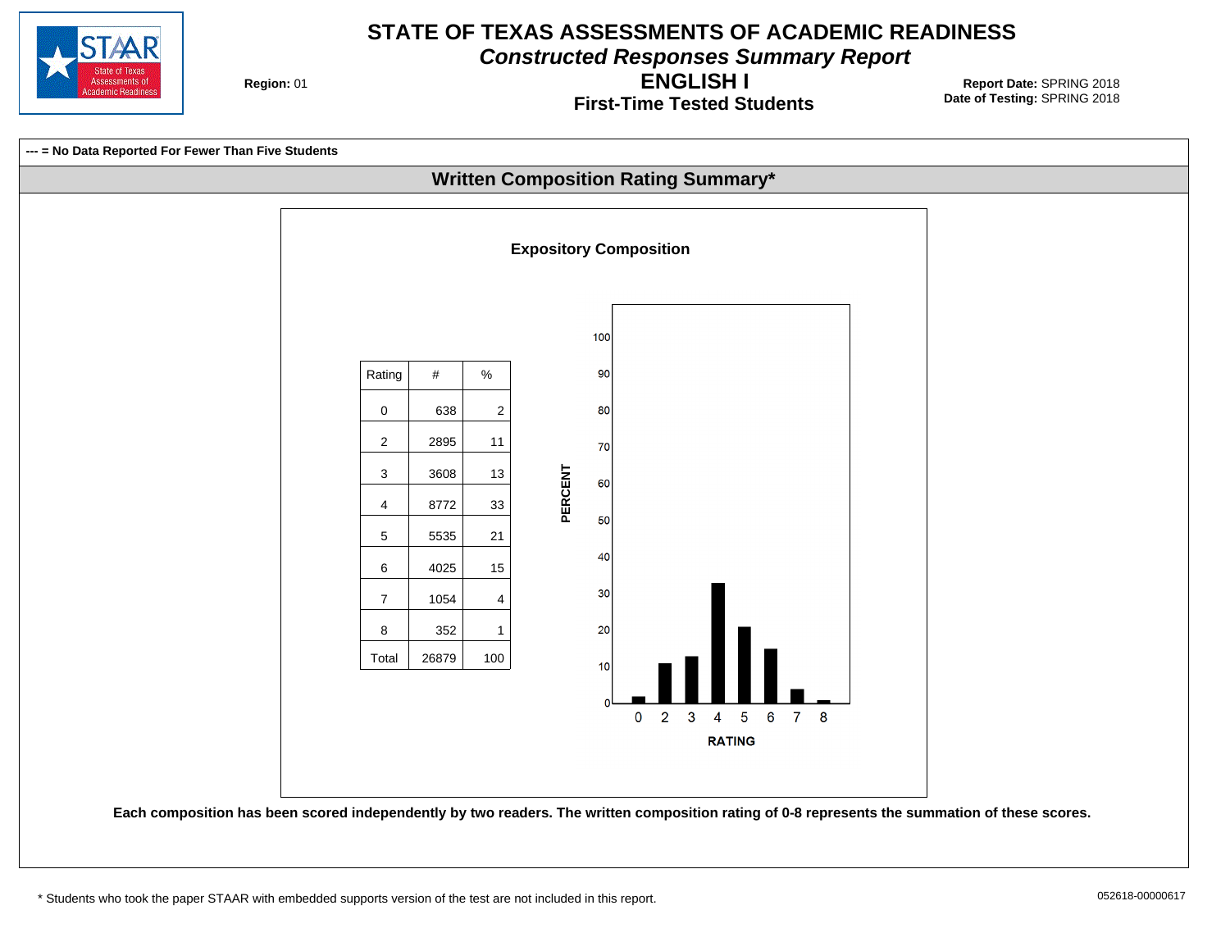

**Constructed Responses Summary Report**

**Region: 01** 

**First-Time Tested Students ENGLISH I**

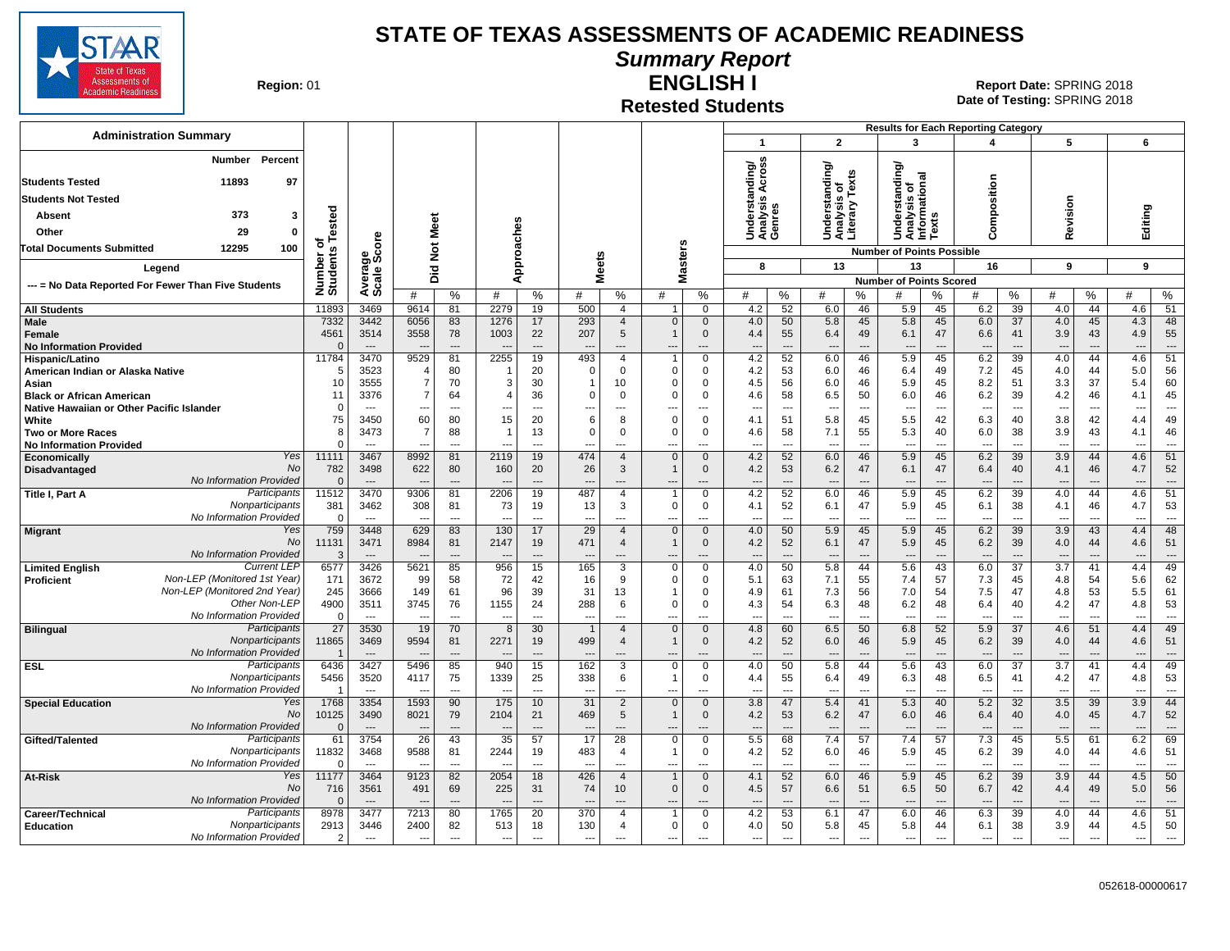

**Summary Report**

**Region: 01** 

## **Retested Students**

**ENGLISH I** 01 **Report Date:** SPRING 2018 **Date of Testing:**  SPRING 2018

|                                                                                   |                         |                                |                                            |                                      |                                       |                                      |                                 |                                         |                                         |                                     |                                                             |                                |                                                 |                                      | <b>Results for Each Reporting Category</b> |                                      |                                        |                      |                                        |                                      |                                        |                                      |
|-----------------------------------------------------------------------------------|-------------------------|--------------------------------|--------------------------------------------|--------------------------------------|---------------------------------------|--------------------------------------|---------------------------------|-----------------------------------------|-----------------------------------------|-------------------------------------|-------------------------------------------------------------|--------------------------------|-------------------------------------------------|--------------------------------------|--------------------------------------------|--------------------------------------|----------------------------------------|----------------------|----------------------------------------|--------------------------------------|----------------------------------------|--------------------------------------|
| <b>Administration Summary</b>                                                     |                         |                                |                                            |                                      |                                       |                                      |                                 |                                         |                                         |                                     | $\mathbf{1}$                                                |                                | $\overline{2}$                                  |                                      | 3                                          |                                      | 4                                      |                      | 5                                      |                                      | 6                                      |                                      |
| Percent<br>Number<br>11893<br>97<br><b>Students Tested</b>                        |                         |                                |                                            |                                      |                                       |                                      |                                 |                                         |                                         |                                     | <b>Cross</b><br>Understanding/<br>Analysis Across<br>Genres |                                | Understanding/<br>Analysis of<br>Literary Texts | is or<br>v Texts                     | tanding/<br>$\overline{a}$<br>ã<br>Ö       |                                      | omposition                             |                      |                                        |                                      |                                        |                                      |
| <b>Students Not Tested</b>                                                        |                         |                                |                                            |                                      |                                       |                                      |                                 |                                         |                                         |                                     |                                                             |                                |                                                 |                                      |                                            |                                      |                                        |                      |                                        |                                      |                                        |                                      |
| 373<br>Absent<br>3                                                                | ested                   |                                |                                            |                                      |                                       |                                      |                                 |                                         |                                         |                                     |                                                             |                                |                                                 |                                      | Analysis c<br>Informatic<br>Texts<br>ersi  |                                      |                                        |                      | Revision                               |                                      | Editing                                |                                      |
| Other<br>29<br>0                                                                  |                         |                                | Meet                                       |                                      |                                       |                                      |                                 |                                         |                                         |                                     |                                                             |                                |                                                 |                                      | 혼<br>5                                     |                                      | ت                                      |                      |                                        |                                      |                                        |                                      |
| 12295<br>100<br>Total Documents Submitted                                         | ৳                       | <b>e</b>                       | $\frac{5}{2}$                              |                                      |                                       |                                      |                                 |                                         |                                         |                                     |                                                             |                                |                                                 |                                      | <b>Number of Points Possible</b>           |                                      |                                        |                      |                                        |                                      |                                        |                                      |
| Legend                                                                            | Number of<br>Students   | န္တီ့ပိ                        | 흐                                          |                                      |                                       | Approaches                           | <b>Meets</b>                    |                                         |                                         | asters                              | 8                                                           |                                | 13                                              |                                      | 13                                         |                                      | 16                                     |                      | 9                                      |                                      | 9                                      |                                      |
| --- = No Data Reported For Fewer Than Five Students                               |                         | Average                        | ه                                          |                                      |                                       |                                      |                                 |                                         |                                         | Σ                                   |                                                             |                                |                                                 |                                      | <b>Number of Points Scored</b>             |                                      |                                        |                      |                                        |                                      |                                        |                                      |
|                                                                                   |                         |                                | #                                          | %                                    | #                                     | %                                    | #                               | $\%$                                    | #                                       | %                                   | #                                                           | %                              | #                                               | %                                    | #                                          | %                                    | #                                      | %                    | #                                      | %                                    | #                                      | $\%$                                 |
| <b>All Students</b>                                                               | 11893                   | 3469                           | 9614                                       | 81                                   | 2279                                  | 19                                   | 500                             | $\overline{4}$                          | $\mathbf{1}$                            | $\mathbf 0$                         | 4.2                                                         | 52                             | 6.0                                             | 46                                   | 5.9                                        | 45                                   | 6.2                                    | 39                   | 4.0                                    | 44                                   | 4.6                                    | 51                                   |
| Male<br><b>Female</b><br><b>No Information Provided</b>                           | 7332<br>4561            | 3442<br>3514                   | 6056<br>3558                               | 83<br>78<br>$---$                    | 1276<br>1003<br>$\overline{a}$        | 17<br>22<br>$\overline{a}$           | 293<br>207                      | $\overline{4}$<br>5<br>---              | $\Omega$<br>$\mathbf{1}$<br>---         | $\Omega$<br>$\mathbf{0}$            | 4.0<br>4.4<br>$\overline{\phantom{a}}$                      | 50<br>55<br>---                | 5.8<br>6.4<br>÷                                 | 45<br>49<br>$\overline{a}$           | 5.8<br>6.1<br>---                          | 45<br>47<br>$\overline{a}$           | 6.0<br>6.6<br>$---$                    | 37<br>41<br>---      | 4.0<br>3.9<br>$--$                     | 45<br>43                             | 4.3<br>4.9                             | 48<br>55<br>$---$                    |
| Hispanic/Latino                                                                   | 11784                   | 3470                           | 9529                                       | 81                                   | 2255                                  | 19                                   | 493                             | $\overline{4}$                          | $\overline{1}$                          | $\Omega$                            | 4.2                                                         | 52                             | 6.0                                             | 46                                   | 5.9                                        | 45                                   | 6.2                                    | 39                   | 4.0                                    | 44                                   | 4.6                                    | 51                                   |
| American Indian or Alaska Native<br>Asian                                         | -5<br>10                | 3523<br>3555                   | 7                                          | 80<br>70                             | -3                                    | 20<br>30                             | $\mathbf 0$<br>$\mathbf 1$      | $\Omega$<br>10                          | $\Omega$<br>$\Omega$                    | $\Omega$<br>$\Omega$                | 4.2<br>4.5                                                  | 53<br>56                       | 6.0<br>6.0                                      | 46<br>46                             | 6.4<br>5.9                                 | 49<br>45                             | 7.2<br>8.2                             | 45<br>51             | 4.0<br>3.3                             | 44<br>37                             | 5.0<br>5.4                             | 56<br>60                             |
| <b>Black or African American</b>                                                  | 11                      | 3376                           |                                            | 64                                   | $\boldsymbol{\Delta}$                 | 36                                   | $\mathbf 0$                     | $\Omega$                                | $\Omega$                                | $\Omega$                            | 4.6                                                         | 58                             | 6.5                                             | 50                                   | 6.0                                        | 46                                   | 6.2                                    | 39                   | 4.2                                    | 46                                   | 4.1                                    | 45                                   |
| Native Hawaiian or Other Pacific Islander                                         | $\Omega$                | $-$                            | ---                                        | $---$                                | ---                                   | $\overline{a}$                       | ---                             | $---$                                   | $\overline{\phantom{a}}$                | $---$                               | $\sim$                                                      | $\sim$                         | $\overline{\phantom{a}}$                        | $\sim$                               | $\overline{\phantom{a}}$                   | $---$                                | $\overline{\phantom{a}}$               | $---$                | ---                                    | $\sim$                               | $\sim$                                 | $---$                                |
| White                                                                             | 75                      | 3450                           | 60                                         | 80                                   | 15                                    | 20                                   | 6                               | 8                                       | $\Omega$                                | $\Omega$                            | 4.1                                                         | 51                             | 5.8                                             | 45                                   | 5.5                                        | 42                                   | 6.3                                    | 40                   | 3.8                                    | 42                                   | 4.4                                    | 49                                   |
| Two or More Races<br><b>No Information Provided</b>                               | 8                       | 3473<br>$---$                  | $\overline{7}$<br>$\overline{\phantom{a}}$ | 88<br>$---$                          | -1<br>$\overline{a}$                  | 13<br>$\overline{a}$                 | $\mathbf 0$<br>---              | $\mathbf 0$<br>---                      | $\Omega$<br>$\overline{\phantom{a}}$    | $\Omega$<br>$\overline{a}$          | 4.6<br>$\overline{\phantom{a}}$                             | 58<br>---                      | 7.1<br>$\overline{\phantom{a}}$                 | 55<br>$\overline{\phantom{a}}$       | 5.3<br>$\overline{\phantom{a}}$            | 40<br>$---$                          | 6.0<br>---                             | 38<br>---            | 3.9<br>$\overline{\phantom{a}}$        | 43<br>$\overline{a}$                 | 4.1<br>$\overline{\phantom{a}}$        | 46<br>$---$                          |
| Yes<br>Economically                                                               | 11111                   | 3467                           | 8992                                       | 81                                   | 2119                                  | 19                                   | 474                             | $\overline{4}$                          | $\mathbf{0}$                            | $\mathbf{0}$                        | 4.2                                                         | 52                             | 6.0                                             | 46                                   | 5.9                                        | 45                                   | 6.2                                    | 39                   | 3.9                                    | 44                                   | 4.6                                    | 51                                   |
| No<br><b>Disadvantaged</b>                                                        | 782                     | 3498                           | 622                                        | 80                                   | 160                                   | 20                                   | 26                              | 3                                       | $\mathbf{1}$                            | $\mathbf 0$                         | 4.2                                                         | 53                             | 6.2                                             | 47                                   | 6.1                                        | 47                                   | 6.4                                    | 40                   | 4.1                                    | 46                                   | 4.7                                    | 52                                   |
| No Information Provided<br>Participants<br>Title I, Part A                        | $\mathbf{0}$<br>11512   | 3470                           | 9306                                       | 81                                   | 2206                                  | $\overline{a}$<br>19                 | 487                             | $\overline{4}$                          | $\overline{a}$                          | $\mathbf 0$                         | $\overline{a}$<br>4.2                                       | 52                             | $\overline{\phantom{a}}$<br>6.0                 | $\overline{a}$<br>46                 | 5.9                                        | $\overline{\phantom{a}}$<br>45       | 6.2                                    | $\overline{a}$<br>39 | 4.0                                    | $\overline{a}$<br>44                 | 4.6                                    | $---$<br>51                          |
| Nonparticipants<br>No Information Provided                                        | 381                     | 3462<br>$\overline{a}$         | 308                                        | 81<br>$\overline{a}$                 | 73                                    | 19<br>$\overline{\phantom{a}}$       | 13                              | 3<br>---                                | $\mathbf 0$                             | $\mathbf 0$<br>---                  | 4.1                                                         | 52<br>---                      | 6.1<br>$\overline{\phantom{a}}$                 | 47<br>$\overline{\phantom{a}}$       | 5.9                                        | 45<br>$\overline{\phantom{a}}$       | 6.1                                    | 38<br>---            | 4.1                                    | 46<br>$\overline{a}$                 | 4.7                                    | 53<br>$\hspace{0.05cm} \ldots$       |
| Yes<br><b>Migrant</b><br><b>No</b><br>No Information Provided                     | 759<br>11131            | 3448<br>3471                   | 629<br>8984                                | 83<br>81<br>$\overline{a}$           | 130<br>2147                           | 17<br>19<br>$\overline{a}$           | 29<br>471                       | $\overline{4}$<br>$\overline{4}$        | $\Omega$<br>$\mathbf{1}$                | $\mathbf 0$<br>$\mathbf{0}$         | 4.0<br>4.2<br>$\overline{a}$                                | 50<br>52                       | 5.9<br>6.1                                      | 45<br>47<br>$\overline{\phantom{a}}$ | 5.9<br>5.9                                 | 45<br>45<br>$\overline{\phantom{a}}$ | 6.2<br>6.2                             | 39<br>39<br>---      | 3.9<br>4.0                             | 43<br>44                             | 4.4<br>4.6                             | 48<br>51<br>$\hspace{0.05cm} \ldots$ |
| <b>Current LEF</b><br><b>Limited English</b>                                      | 6577                    | 3426                           | 5621                                       | 85                                   | 956                                   | 15                                   | 165                             | 3                                       | $\mathbf 0$                             | $\mathbf 0$                         | 4.0                                                         | 50                             | 5.8                                             | 44                                   | 5.6                                        | 43                                   | 6.0                                    | 37                   | 3.7                                    | 41                                   | 4.4                                    | 49                                   |
| Non-LEP (Monitored 1st Year)<br><b>Proficient</b><br>Non-LEP (Monitored 2nd Year) | 171                     | 3672                           | 99                                         | 58                                   | 72                                    | 42                                   | 16                              | 9                                       | $\Omega$                                | $\Omega$                            | 5.1                                                         | 63                             | 7.1                                             | 55                                   | 7.4                                        | 57                                   | 7.3                                    | 45                   | 4.8                                    | 54                                   | 5.6                                    | 62                                   |
| Other Non-LEP                                                                     | 245<br>4900             | 3666<br>3511                   | 149<br>3745                                | 61<br>76                             | 96<br>1155                            | 39<br>24                             | -31<br>288                      | 13<br>6                                 | $\Omega$                                | $\Omega$<br>$\Omega$                | 4.9<br>4.3                                                  | 61<br>54                       | 7.3<br>6.3                                      | 56<br>48                             | 7.0<br>6.2                                 | 54<br>48                             | 7.5<br>6.4                             | 47<br>40             | 4.8<br>4.2                             | 53<br>47                             | 5.5<br>4.8                             | 61<br>53                             |
| No Information Provided                                                           | $\Omega$                | $\sim$                         |                                            | $\overline{a}$                       | $\overline{\phantom{a}}$              | $\overline{a}$                       | $\sim$                          | ---                                     | ---                                     | $\overline{a}$                      | $\overline{a}$                                              | ---                            | $\overline{\phantom{a}}$                        | $\overline{a}$                       | $\overline{\phantom{a}}$                   | $\overline{\phantom{a}}$             | $\overline{a}$                         | ---                  | ---                                    | $\overline{a}$                       | ---                                    | $\overline{\phantom{a}}$             |
| <b>Bilingual</b><br>Participants<br>Nonparticipants<br>No Information Provided    | 27<br>11865             | 3530<br>3469<br>$---$          | 19<br>9594                                 | 70<br>81<br>$\overline{\phantom{a}}$ | 8<br>2271<br>$\overline{\phantom{a}}$ | 30<br>19<br>$\overline{\phantom{a}}$ | $\overline{1}$<br>499           | $\overline{4}$<br>$\overline{4}$<br>--- | $\Omega$<br>$\overline{\phantom{a}}$    | $\mathbf{0}$<br>$\mathbf{0}$<br>--- | 4.8<br>4.2<br>$\overline{\phantom{a}}$                      | 60<br>52<br>---                | 6.5<br>6.0<br>$\overline{\phantom{a}}$          | 50<br>46<br>$\overline{\phantom{a}}$ | 6.8<br>5.9<br>$\overline{\phantom{a}}$     | 52<br>45<br>$\overline{\phantom{a}}$ | 5.9<br>6.2<br>$\overline{\phantom{a}}$ | 37<br>39<br>---      | 4.6<br>4.0<br>$\overline{\phantom{a}}$ | 51<br>44<br>$\overline{\phantom{a}}$ | 4.4<br>4.6<br>$\overline{\phantom{a}}$ | 49<br>51<br>$\cdots$                 |
| <b>ESL</b><br>Participants                                                        | 6436                    | 3427                           | 5496                                       | 85                                   | 940                                   | 15                                   | 162                             | 3                                       | $\Omega$                                | $\Omega$                            | 4.0                                                         | 50                             | 5.8                                             | 44                                   | 5.6                                        | 43                                   | 6.0                                    | 37                   | 3.7                                    | 41                                   | 4.4                                    | 49                                   |
| Nonparticipants                                                                   | 5456                    | 3520                           | 4117                                       | 75                                   | 1339                                  | 25                                   | 338                             | 6                                       |                                         | $\Omega$                            | 4.4                                                         | 55                             | 6.4                                             | 49                                   | 6.3                                        | 48                                   | 6.5                                    | 41                   | 4.2                                    | 47                                   | 4.8                                    | 53                                   |
| No Information Provided<br>Yes<br><b>Special Education</b>                        | -1<br>1768              | $\sim$<br>3354                 | 1593                                       | $\overline{a}$<br>90                 | $\overline{\phantom{a}}$<br>175       | $\overline{a}$<br>10                 | ---<br>31                       | ---<br>$\overline{2}$                   | $\overline{a}$<br>$\mathbf{0}$          | $\overline{a}$<br>$\mathbf{0}$      | $\overline{a}$<br>3.8                                       | ---<br>47                      | $\overline{\phantom{a}}$<br>5.4                 | $\overline{a}$<br>41                 | $\overline{a}$<br>5.3                      | $\overline{\phantom{a}}$<br>40       | $\overline{a}$<br>5.2                  | ---<br>32            | 3.5                                    | $\overline{a}$<br>39                 | $\overline{\phantom{a}}$<br>3.9        | $\overline{\phantom{a}}$<br>44       |
| No                                                                                | 10125                   | 3490                           | 8021                                       | 79                                   | 2104                                  | 21                                   | 469                             | 5                                       | $\mathbf{1}$                            | $\mathbf 0$                         | 4.2                                                         | 53                             | 6.2                                             | 47                                   | 6.0                                        | 46                                   | 6.4                                    | 40                   | 4.0                                    | 45                                   | 4.7                                    | 52                                   |
| No Information Provided                                                           | $\Omega$                | $---$                          |                                            | $---$                                | $\overline{\phantom{a}}$              | $\overline{a}$                       |                                 | $---$                                   | $\overline{\phantom{a}}$                | $---$                               | $\overline{a}$                                              | $\sim$                         | $\overline{\phantom{a}}$                        | $\overline{a}$                       | $\overline{\phantom{a}}$                   | $\overline{a}$                       | $\overline{a}$                         | ---                  | $\overline{\phantom{a}}$               | $\overline{\phantom{a}}$             |                                        | $---$                                |
| Participants<br>Gifted/Talented<br>Nonparticipants<br>No Information Provided     | 61<br>11832<br>$\Omega$ | 3754<br>3468<br>$\overline{a}$ | 26<br>9588                                 | 43<br>81<br>$-$                      | 35<br>2244                            | 57<br>19<br>$\overline{a}$           | 17<br>483                       | 28<br>$\overline{4}$<br>$---$           | $\Omega$<br>-1                          | $\mathbf 0$<br>0                    | 5.5<br>4.2                                                  | 68<br>52<br>$\sim$             | 7.4<br>6.0                                      | 57<br>46<br>$\overline{a}$           | 7.4<br>5.9                                 | 57<br>45<br>$\overline{a}$           | 7.3<br>6.2                             | 45<br>39<br>$\sim$   | 5.5<br>4.0                             | 61<br>44<br>$\sim$                   | 6.2<br>4.6                             | 69<br>51<br>$\overline{a}$           |
| Yes<br>At-Risk                                                                    | 11177                   | 3464                           | 9123                                       | 82                                   | 2054                                  | 18                                   | 426                             | $\overline{4}$                          | $\mathbf{1}$                            | $\mathbf{0}$                        | 4.1                                                         | 52                             | 6.0                                             | 46                                   | 5.9                                        | 45                                   | 6.2                                    | 39                   | 3.9                                    | 44                                   | 4.5                                    | 50                                   |
| <b>No</b><br>No Information Provided                                              | 716                     | 3561<br>$\sim$                 | 491                                        | 69<br>$\overline{a}$                 | 225<br>$\overline{a}$                 | 31<br>$\overline{a}$                 | 74                              | 10 <sup>°</sup>                         | $\mathbf{0}$                            | $\mathbf{0}$<br>$\overline{a}$      | 4.5                                                         | 57<br>$\overline{\phantom{a}}$ | 6.6<br>$\overline{\phantom{a}}$                 | 51<br>$\overline{\phantom{a}}$       | 6.5<br>$\overline{\phantom{a}}$            | 50<br>$\overline{\phantom{a}}$       | 6.7<br>$\overline{a}$                  | 42<br>---            | 4.4                                    | 49<br>---                            | 5.0                                    | 56<br>$---$                          |
| Participants<br>Career/Technical                                                  | 8978                    | 3477                           | 7213                                       | 80                                   | 1765                                  | 20                                   | 370                             | 4                                       |                                         | $\Omega$                            | 4.2                                                         | 53                             | 6.1                                             | 47                                   | 6.0                                        | 46                                   | 6.3                                    | 39                   | 4.0                                    | 44                                   | 4.6                                    | 51                                   |
| Nonparticipants<br><b>Education</b><br>No Information Provided                    | 2913<br>2               | 3446<br>---                    | 2400<br>$\overline{\phantom{a}}$           | 82<br>$\sim$                         | 513<br>$\overline{\phantom{a}}$       | 18<br>---                            | 130<br>$\overline{\phantom{a}}$ | 4<br>---                                | $\mathbf 0$<br>$\overline{\phantom{a}}$ | $\Omega$                            | 4.0<br>---                                                  | 50<br>---                      | 5.8<br>$\overline{\phantom{a}}$                 | 45<br>---                            | 5.8<br>$\overline{\phantom{a}}$            | 44<br>---                            | 6.1<br>$\overline{\phantom{a}}$        | 38<br>---            | 3.9<br>$\overline{\phantom{a}}$        | 44<br>$\overline{a}$                 | 4.5                                    | 50                                   |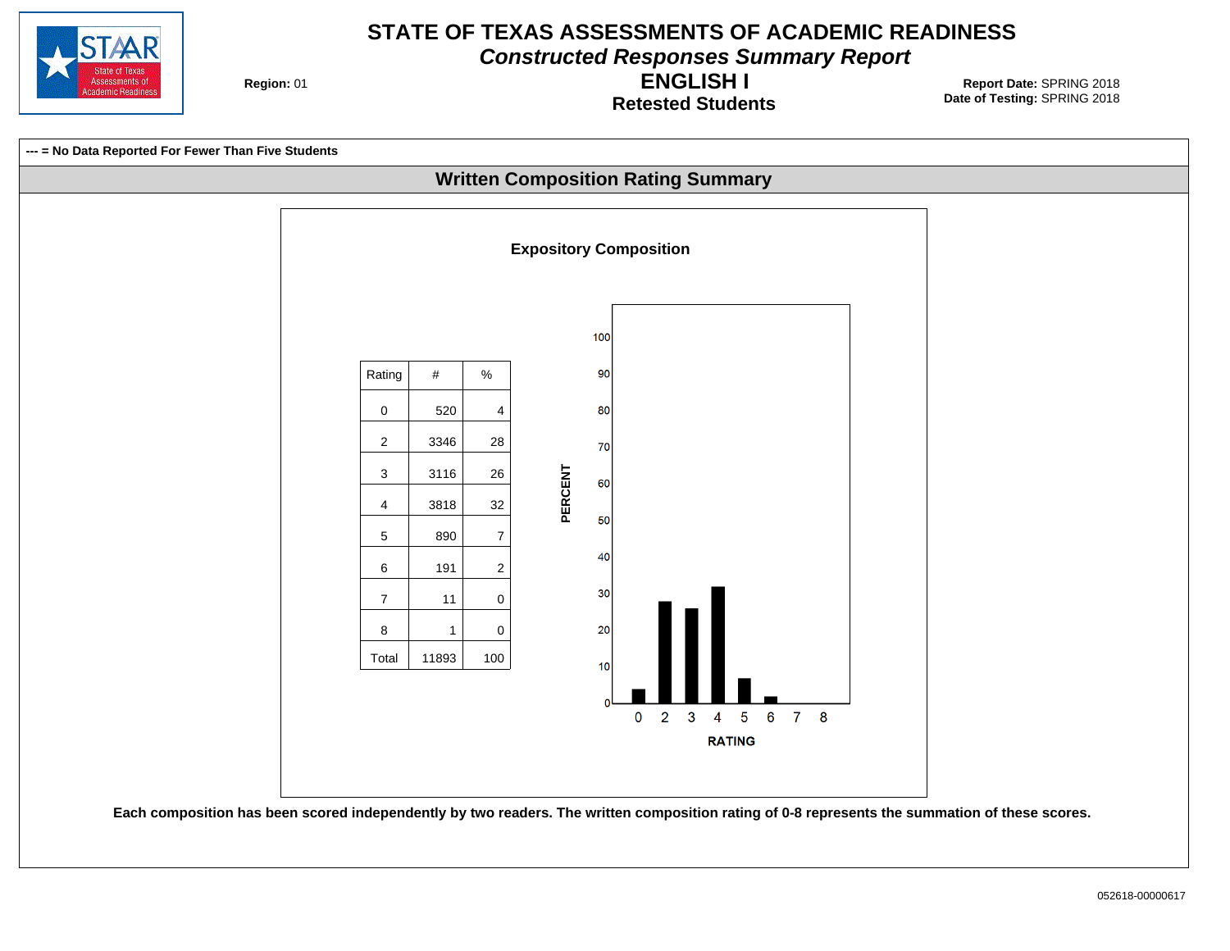

**Constructed Responses Summary Report**

**Region: 01** 

**Retested Students ENGLISH I**

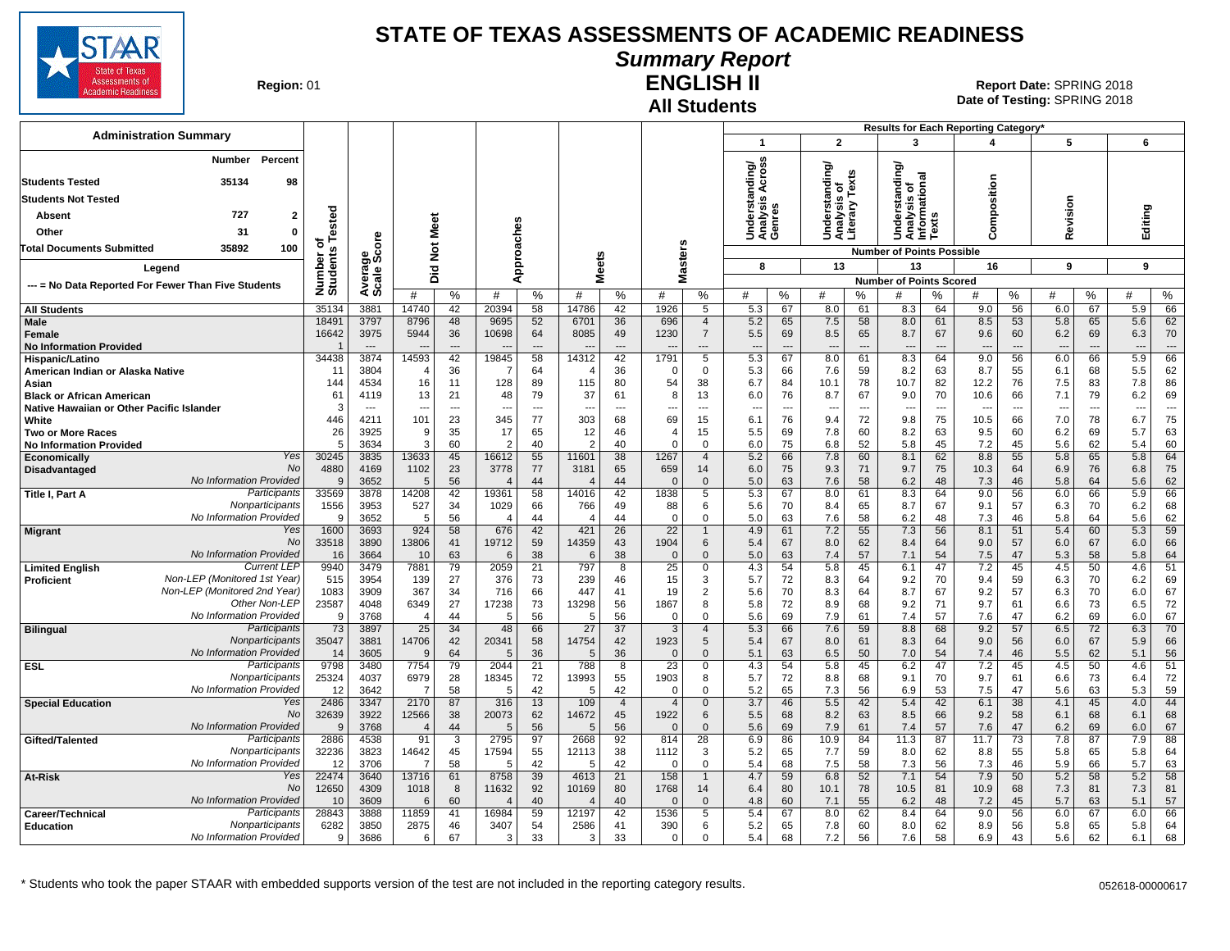

## **Summary Report**

**Region: 01** 

#### **All Students ENGLISH II**

|                                                                         |                  |                          |                          |                          |                |                |                |                |                 |                                  |                                    |                          |                                  |                | Results for Each Reporting Category' |          |              |                          |            |          |            |                |
|-------------------------------------------------------------------------|------------------|--------------------------|--------------------------|--------------------------|----------------|----------------|----------------|----------------|-----------------|----------------------------------|------------------------------------|--------------------------|----------------------------------|----------------|--------------------------------------|----------|--------------|--------------------------|------------|----------|------------|----------------|
| <b>Administration Summary</b>                                           |                  |                          |                          |                          |                |                |                |                |                 |                                  | -1                                 |                          | $\overline{2}$                   |                | 3                                    |          | 4            |                          | 5          |          | 6          |                |
| Percent<br>Number<br><b>Students Tested</b><br>35134<br>98              |                  |                          |                          |                          |                |                |                |                |                 |                                  | ding/<br>cross                     |                          | ৯<br>틀                           | Texts          | ৯<br>tanding<br>ಸ                    |          |              |                          |            |          |            |                |
| <b>Students Not Tested</b>                                              |                  |                          |                          |                          |                |                |                |                |                 |                                  | ⋖<br>ত                             |                          | ā<br>w                           |                | ಕ ಕೆ                                 |          |              |                          |            |          |            |                |
| 727                                                                     |                  |                          |                          |                          |                |                |                |                |                 |                                  | ഇ<br>Underst<br>Analysis<br>Genres |                          | Understa<br>Analysis<br>Literary |                | Analysis<br>Informatio<br>Ţņ,<br>ō   |          | Composition  |                          | Revision   |          |            |                |
| $\mathbf{2}$<br>Absent                                                  | ested            |                          | Meet                     |                          |                |                |                |                |                 |                                  |                                    |                          |                                  |                | ᄒ                                    | S<br>Ř,  |              |                          |            |          | Editing    |                |
| Other<br>31<br>$\Omega$                                                 | ठ                |                          |                          |                          |                | oaches         |                |                |                 |                                  |                                    |                          |                                  |                | ŝ                                    |          |              |                          |            |          |            |                |
| 35892<br>100<br><b>Total Documents Submitted</b>                        | nts<br>ত্ৰ       | ge<br>Score              | $\breve{\mathbf{z}}$     |                          |                |                |                |                |                 |                                  |                                    |                          |                                  |                | <b>Number of Points Possible</b>     |          |              |                          |            |          |            |                |
| Legend                                                                  | Ě                |                          | 고                        |                          |                | Appr           | eets           |                |                 | asters                           | 8                                  |                          | 13                               |                | 13                                   |          | 16           |                          | 9          |          | 9          |                |
| --- = No Data Reported For Fewer Than Five Students                     | Number<br>Studer | Avera<br>Scale           | ة                        |                          |                |                | ż              |                |                 | Σ                                |                                    |                          |                                  |                | <b>Number of Points Scored</b>       |          |              |                          |            |          |            |                |
|                                                                         |                  |                          | #                        | %                        | #              | %              | #              | %              | #               | %                                | #                                  | %                        | #                                | %              | #                                    | %        | #            | $\%$                     | #          | %        | #          | ℅              |
| <b>All Students</b>                                                     | 35134            | 3881                     | 14740                    | 42                       | 20394          | 58             | 14786          | 42             | 1926            | 5                                | 5.3                                | 67                       | 8.0                              | 61             | 8.3                                  | 64       | 9.0          | 56                       | 6.0        | 67       | 5.9        | 66             |
| Male<br>Female                                                          | 18491<br>16642   | 3797<br>3975             | 8796<br>5944             | 48<br>36                 | 9695<br>10698  | 52<br>64       | 6701<br>8085   | 36<br>49       | 696<br>1230     | $\overline{4}$<br>$\overline{7}$ | 5.2<br>5.5                         | 65<br>69                 | 7.5<br>8.5                       | 58<br>65       | 8.0<br>8.7                           | 61<br>67 | 8.5<br>9.6   | 53<br>60                 | 5.8<br>6.2 | 65<br>69 | 5.6<br>6.3 | 62<br>70       |
| <b>No Information Provided</b>                                          |                  | $\overline{\phantom{a}}$ |                          | ---                      |                | $\overline{a}$ |                | $---$          |                 | ---                              | $---$                              | $\overline{a}$           | $\overline{\phantom{a}}$         | $\overline{a}$ |                                      | ---      |              |                          | $\sim$     | $---$    | $- -$      | $\overline{a}$ |
| Hispanic/Latino                                                         | 34438            | 3874                     | 14593                    | 42                       | 19845          | 58             | 14312          | 42             | 1791            | 5                                | 5.3                                | 67                       | 8.0                              | 61             | 8.3                                  | 64       | 9.0          | 56                       | 6.0        | 66       | 5.9        | 66             |
| American Indian or Alaska Native                                        | 11               | 3804                     | $\angle$                 | 36                       | 7              | 64             |                | 36             | $\Omega$        | $\mathbf 0$                      | 5.3                                | 66                       | 7.6                              | 59             | 8.2                                  | 63       | 8.7          | 55                       | 6.1        | 68       | 5.5        | 62             |
| Asian<br><b>Black or African American</b>                               | 144<br>61        | 4534<br>4119             | 16<br>13                 | 11<br>21                 | 128<br>48      | 89<br>79       | 115<br>37      | 80<br>61       | 54<br>8         | 38<br>13                         | 6.7<br>6.0                         | 84<br>76                 | 10.1<br>8.7                      | 78<br>67       | 10.7<br>9.0                          | 82<br>70 | 12.2<br>10.6 | 76<br>66                 | 7.5<br>7.1 | 83<br>79 | 7.8<br>6.2 | 86<br>69       |
| Native Hawaiian or Other Pacific Islander                               | -3               | $\overline{\phantom{a}}$ | ---                      | $\overline{\phantom{a}}$ | ---            | ---            |                | $\ddotsc$      | ---             | $\qquad \qquad \cdots$           | $\overline{\phantom{a}}$           | $\overline{\phantom{a}}$ | $\overline{\phantom{a}}$         | ---            |                                      | ---      |              | $\overline{\phantom{a}}$ | --         | ---      | --         | ---            |
| White                                                                   | 446              | 4211                     | 101                      | 23                       | 345            | 77             | 303            | 68             | 69              | 15                               | 6.1                                | 76                       | 9.4                              | 72             | 9.8                                  | 75       | 10.5         | 66                       | 7.0        | 78       | 6.7        | 75             |
| <b>Two or More Races</b>                                                | 26               | 3925                     | 9                        | 35                       | 17             | 65             | 12             | 46             | $\overline{4}$  | 15                               | 5.5                                | 69                       | 7.8                              | 60             | 8.2                                  | 63       | 9.5          | 60                       | 6.2        | 69       | 5.7        | 63             |
| <b>No Information Provided</b>                                          | -5               | 3634                     | 3                        | 60                       | $\overline{2}$ | 40             | $\overline{2}$ | 40             | $\Omega$        | $\mathsf 0$                      | 6.0                                | 75                       | 6.8                              | 52             | 5.8                                  | 45       | 7.2          | 45                       | 5.6        | 62       | 5.4        | 60             |
| Yes<br>Economically<br><b>No</b><br>Disadvantaged                       | 30245<br>4880    | 3835<br>4169             | 13633<br>1102            | 45<br>23                 | 16612<br>3778  | 55<br>77       | 11601<br>3181  | 38<br>65       | 1267<br>659     | $\overline{4}$<br>14             | 5.2<br>6.0                         | 66<br>75                 | 7.8<br>9.3                       | 60<br>71       | 8.1<br>9.7                           | 62<br>75 | 8.8<br>10.3  | 55<br>64                 | 5.8<br>6.9 | 65<br>76 | 5.8<br>6.8 | 64<br>75       |
| No Information Provided                                                 | $\mathbf c$      | 3652                     | 5                        | 56                       |                | 44             | $\overline{4}$ | 44             | $\mathsf{C}$    | $\mathbf{0}$                     | 5.0                                | 63                       | 7.6                              | 58             | 6.2                                  | 48       | 7.3          | 46                       | 5.8        | 64       | 5.6        | 62             |
| Participants<br>Title I, Part A                                         | 33569            | 3878                     | 14208                    | 42                       | 19361          | 58             | 14016          | 42             | 1838            | $\overline{5}$                   | 5.3                                | 67                       | 8.0                              | 61             | 8.3                                  | 64       | 9.0          | 56                       | 6.0        | 66       | 5.9        | 66             |
| Nonparticipants                                                         | 1556             | 3953                     | 527                      | 34                       | 1029           | 66             | 766            | 49             | 88              | 6                                | 5.6                                | 70                       | 8.4                              | 65             | 8.7                                  | 67       | 9.1          | 57                       | 6.3        | 70       | 6.2        | 68             |
| No Information Provided<br>Yes                                          | 9                | 3652                     | 5                        | 56                       | $\overline{4}$ | 44             |                | 44             | $\Omega$        | $\mathbf 0$<br>$\mathbf{1}$      | 5.0                                | 63                       | 7.6                              | 58             | 6.2                                  | 48       | 7.3          | 46                       | 5.8        | 64       | 5.6        | 62             |
| <b>Migrant</b><br>No                                                    | 1600<br>33518    | 3693<br>3890             | 924<br>13806             | 58<br>41                 | 676<br>19712   | 42<br>59       | 421<br>14359   | 26<br>43       | 22<br>1904      | 6                                | 4.9<br>5.4                         | 61<br>67                 | 7.2<br>8.0                       | 55<br>62       | 7.3<br>8.4                           | 56<br>64 | 8.1<br>9.0   | 51<br>57                 | 5.4<br>6.0 | 60<br>67 | 5.3<br>6.0 | 59<br>66       |
| No Information Provided                                                 | 16               | 3664                     | 10                       | 63                       | 6              | 38             | 6              | 38             | $\Omega$        | $\mathbf{0}$                     | 5.0                                | 63                       | 7.4                              | 57             | 7.1                                  | 54       | 7.5          | 47                       | 5.3        | 58       | 5.8        | 64             |
| <b>Current LEF</b><br><b>Limited English</b>                            | 9940             | 3479                     | 7881                     | 79                       | 2059           | 21             | 797            | 8              | $\overline{25}$ | 0                                | 4.3                                | 54                       | 5.8                              | 45             | 6.1                                  | 47       | 7.2          | 45                       | 4.5        | 50       | 4.6        | 51             |
| Non-LEP (Monitored 1st Year)<br>Proficient                              | 515              | 3954                     | 139                      | 27                       | 376            | 73             | 239            | 46             | 15              | 3                                | 5.7                                | 72                       | 8.3                              | 64             | 9.2                                  | 70       | 9.4          | 59                       | 6.3        | 70       | 6.2        | 69             |
| Non-LEP (Monitored 2nd Year)<br>Other Non-LEP                           | 1083<br>23587    | 3909<br>4048             | 367<br>6349              | 34<br>27                 | 716<br>17238   | 66<br>73       | 447<br>13298   | 41<br>56       | 19<br>1867      | 2<br>8                           | 5.6<br>5.8                         | 70<br>72                 | 8.3<br>8.9                       | 64<br>68       | 8.7<br>9.2                           | 67<br>71 | 9.2<br>9.7   | 57<br>61                 | 6.3<br>6.6 | 70<br>73 | 6.0<br>6.5 | 67<br>72       |
| No Information Provided                                                 | -9               | 3768                     | $\overline{\mathcal{L}}$ | 44                       | 5              | 56             | 5              | 56             | $\Omega$        | $\Omega$                         | 5.6                                | 69                       | 7.9                              | 61             | 7.4                                  | 57       | 7.6          | 47                       | 6.2        | 69       | 6.0        | 67             |
| Participants<br><b>Bilingual</b>                                        | 73               | 3897                     | 25                       | 34                       | 48             | 66             | 27             | 37             | 3               | $\overline{4}$                   | 5.3                                | 66                       | 7.6                              | 59             | 8.8                                  | 68       | 9.2          | 57                       | 6.5        | 72       | 6.3        | 70             |
| Nonparticipants                                                         | 35047            | 3881                     | 14706                    | 42                       | 20341          | 58             | 14754          | 42             | 1923            | 5                                | 5.4                                | 67                       | 8.0                              | 61             | 8.3                                  | 64       | 9.0          | 56                       | 6.0        | 67       | 5.9        | 66             |
| No Information Provided                                                 | 14               | 3605                     | 9                        | 64                       | 5              | 36             | 5              | 36             | $\Omega$        | $\mathbf{0}$                     | 5.1                                | 63                       | 6.5                              | 50             | 7.0                                  | 54       | 7.4          | 46                       | 5.5        | 62       | 5.1        | 56             |
| Participants<br><b>ESL</b><br>Nonparticipants                           | 9798<br>25324    | 3480<br>4037             | 7754<br>6979             | 79<br>28                 | 2044<br>18345  | 21<br>72       | 788<br>13993   | 8<br>55        | 23<br>1903      | $\mathbf 0$<br>8                 | 4.3<br>5.7                         | 54<br>72                 | 5.8<br>8.8                       | 45<br>68       | 6.2<br>9.1                           | 47<br>70 | 7.2<br>9.7   | 45<br>61                 | 4.5<br>6.6 | 50<br>73 | 4.6<br>6.4 | 51<br>72       |
| No Information Provided                                                 | 12               | 3642                     | 7                        | 58                       | .5             | 42             | .5             | 42             | $\Omega$        | $\Omega$                         | 5.2                                | 65                       | 7.3                              | 56             | 6.9                                  | 53       | 7.5          | 47                       | 5.6        | 63       | 5.3        | 59             |
| Yes<br><b>Special Education</b>                                         | 2486             | 3347                     | 2170                     | 87                       | 316            | 13             | 109            | $\overline{4}$ | $\overline{4}$  | $\mathbf 0$                      | 3.7                                | 46                       | 5.5                              | 42             | 5.4                                  | 42       | 6.1          | 38                       | 4.1        | 45       | 4.0        | 44             |
| No                                                                      | 32639            | 3922                     | 12566                    | 38                       | 20073          | 62             | 14672          | 45             | 1922            | 6                                | 5.5                                | 68                       | 8.2                              | 63             | 8.5                                  | 66       | 9.2          | 58                       | 6.1        | 68       | 6.1        | 68             |
| No Information Provided                                                 | $\mathbf{c}$     | 3768                     | $\overline{\mathcal{L}}$ | 44                       | 5              | 56             | 5              | 56             | $\Omega$        | $\mathbf{0}$                     | 5.6                                | 69                       | 7.9                              | 61             | 7.4                                  | 57       | 7.6          | 47                       | 6.2        | 69       | 6.0        | 67             |
| Participants<br>Gifted/Talented<br>Nonparticipants                      | 2886<br>32236    | 4538<br>3823             | 91<br>14642              | 3<br>45                  | 2795<br>17594  | 97<br>55       | 2668<br>12113  | 92<br>38       | 814<br>1112     | 28<br>3                          | 6.9<br>5.2                         | 86<br>65                 | 10.9<br>7.7                      | 84<br>59       | 11.3<br>8.0                          | 87<br>62 | 11.7<br>8.8  | 73<br>55                 | 7.8<br>5.8 | 87<br>65 | 7.9<br>5.8 | 88<br>64       |
| No Information Provided                                                 | 12               | 3706                     | 7                        | 58                       | 5              | 42             | 5              | 42             | $\Omega$        | $\mathbf 0$                      | 5.4                                | 68                       | 7.5                              | 58             | 7.3                                  | 56       | 7.3          | 46                       | 5.9        | 66       | 5.7        | 63             |
| Yes<br>At-Risk                                                          | 22474            | 3640                     | 13716                    | 61                       | 8758           | 39             | 4613           | 21             | 158             | $\overline{1}$                   | 4.7                                | 59                       | 6.8                              | 52             | 7.1                                  | 54       | 7.9          | 50                       | 5.2        | 58       | 5.2        | 58             |
| <b>No</b>                                                               | 12650            | 4309                     | 1018                     | 8                        | 11632          | 92             | 10169          | 80             | 1768            | 14                               | 6.4                                | 80                       | 10.1                             | 78             | 10.5                                 | 81       | 10.9         | 68                       | 7.3        | 81       | 7.3        | 81             |
| No Information Provided                                                 | 10               | 3609                     | 6                        | 60                       | $\overline{4}$ | 40             |                | 40             | $\mathcal{C}$   | $\overline{0}$                   | 4.8                                | 60                       | 7.1                              | 55             | 6.2                                  | 48       | 7.2          | 45                       | 5.7        | 63       | 5.1        | 57             |
| Participants<br>Career/Technical<br>Nonparticipants<br><b>Education</b> | 28843<br>6282    | 3888<br>3850             | 11859<br>2875            | 41<br>46                 | 16984<br>3407  | 59<br>54       | 12197<br>2586  | 42<br>41       | 1536<br>390     | 5<br>6                           | 5.4<br>5.2                         | 67<br>65                 | 8.0<br>7.8                       | 62<br>60       | 8.4<br>8.0                           | 64<br>62 | 9.0<br>8.9   | 56<br>56                 | 6.0<br>5.8 | 67<br>65 | 6.0<br>5.8 | 66<br>64       |
| No Information Provided                                                 | 9                | 3686                     | 6                        | 67                       | 3              | 33             | 3              | 33             | $\Omega$        | $\Omega$                         | 5.4                                | 68                       | 7.2                              | 56             | 7.6                                  | 58       | 6.9          | 43                       | 5.6        | 62       | 6.1        | 68             |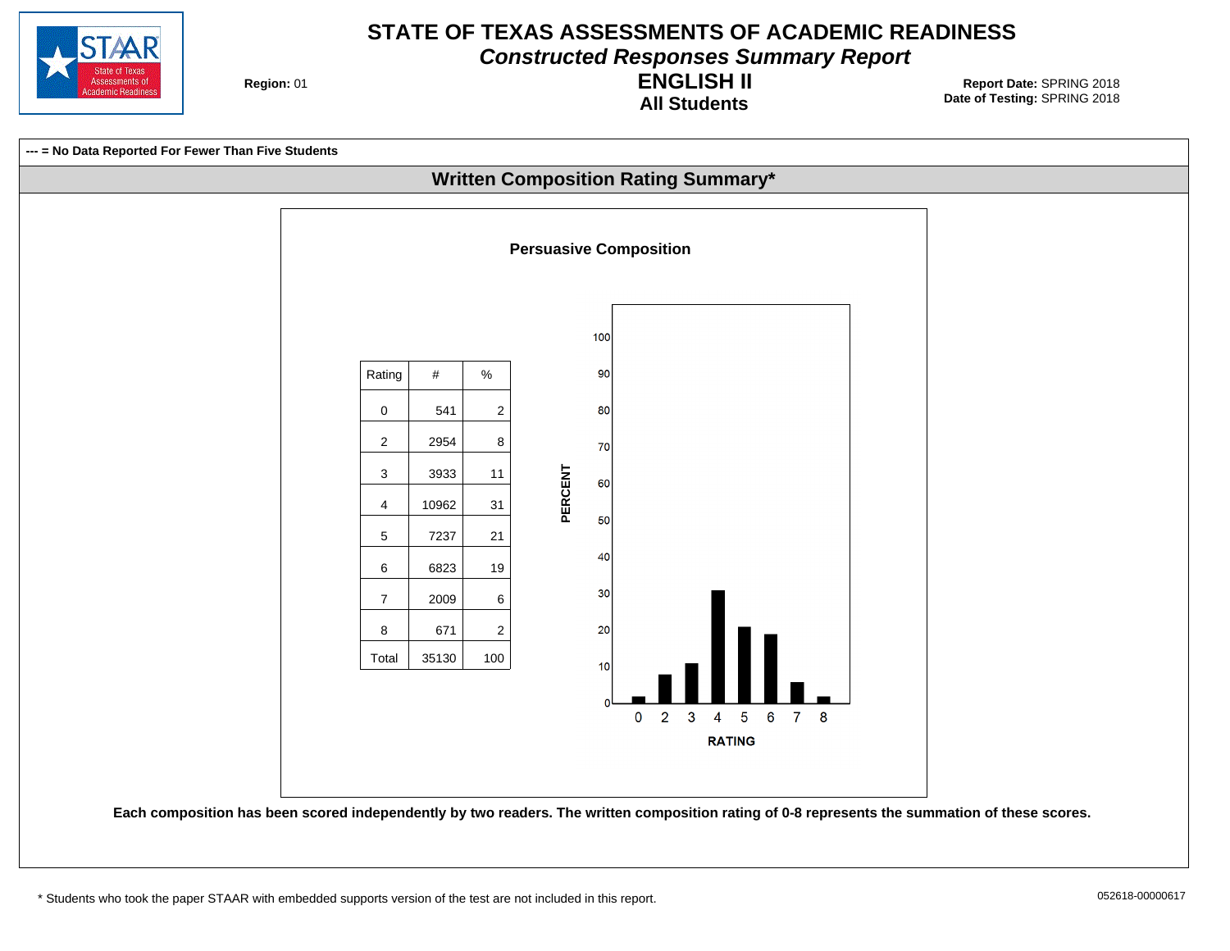

**Constructed Responses Summary Report**

**Region: 01** 

**All Students ENGLISH II**

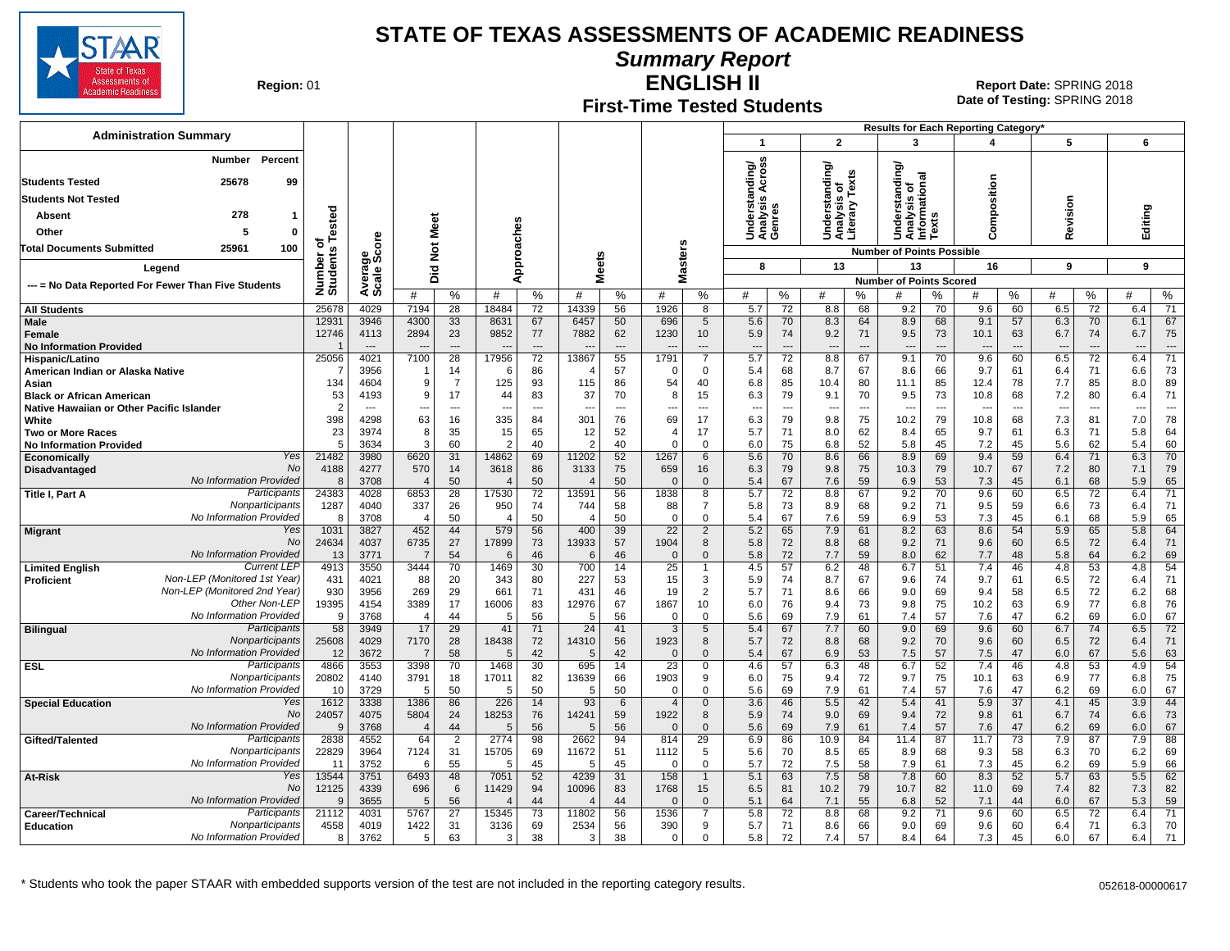

**Summary Report**

**Region: 01** 

#### **First-Time Tested Students ENGLISH II**

**Date of Testing:**  SPRING 2018 01 **Report Date:** SPRING 2018

|                                                                               |                      |                                  |                                  |                          |                                 |                      |                          |                      |                                  |                               |                                                     |           |                                                 |                                |                                                                           |                                | <b>Results for Each Reporting Category</b> |                                |                                 |                                |            |                      |
|-------------------------------------------------------------------------------|----------------------|----------------------------------|----------------------------------|--------------------------|---------------------------------|----------------------|--------------------------|----------------------|----------------------------------|-------------------------------|-----------------------------------------------------|-----------|-------------------------------------------------|--------------------------------|---------------------------------------------------------------------------|--------------------------------|--------------------------------------------|--------------------------------|---------------------------------|--------------------------------|------------|----------------------|
| <b>Administration Summary</b>                                                 |                      |                                  |                                  |                          |                                 |                      |                          |                      |                                  |                               | $\mathbf{1}$                                        |           | $\overline{2}$                                  |                                | 3                                                                         |                                | 4                                          |                                | 5                               |                                | 6          |                      |
| <b>Number</b><br>Percent                                                      |                      |                                  |                                  |                          |                                 |                      |                          |                      |                                  |                               | ৯                                                   |           |                                                 |                                | ৯                                                                         |                                |                                            |                                |                                 |                                |            |                      |
| <b>Students Tested</b><br>25678<br>99                                         |                      |                                  |                                  |                          |                                 |                      |                          |                      |                                  |                               | Across<br>Understanding<br>Analysis Acros<br>Genres |           | Understanding/<br>Analysis of<br>Literary Texts | is o <sub>i</sub><br>'' Texts  | indin                                                                     | ᢎ<br>둥                         |                                            |                                |                                 |                                |            |                      |
| <b>Students Not Tested</b>                                                    |                      |                                  |                                  |                          |                                 |                      |                          |                      |                                  |                               |                                                     |           |                                                 |                                | ō                                                                         |                                | position                                   |                                |                                 |                                |            |                      |
| 278<br>Absent<br>1                                                            |                      |                                  |                                  |                          |                                 |                      |                          |                      |                                  |                               |                                                     |           |                                                 |                                | Understar<br>Analysis o<br>Informatic<br>Texts<br>$\overline{\mathbf{e}}$ |                                |                                            |                                | evision                         |                                | Editing    |                      |
| Other<br>5<br>0                                                               | ested                |                                  | Meet                             |                          |                                 |                      |                          |                      |                                  |                               |                                                     |           |                                                 |                                |                                                                           |                                | $\overline{\epsilon}$                      |                                |                                 |                                |            |                      |
| 100<br>25961<br><b>Total Documents Submitted</b>                              | ठ                    | ge<br>Score                      | $\breve{\mathbf{z}}$             |                          |                                 |                      |                          |                      |                                  |                               |                                                     |           |                                                 |                                |                                                                           |                                | o                                          |                                | œ                               |                                |            |                      |
|                                                                               | Number o<br>Students |                                  |                                  |                          |                                 | Approaches           | <b>Meets</b>             |                      | sters                            |                               | 8                                                   |           | 13                                              |                                | <b>Number of Points Possible</b><br>13                                    |                                | 16                                         |                                | 9                               |                                | 9          |                      |
| Legend                                                                        |                      | Avera<br>Scale                   | 으<br>ة                           |                          |                                 |                      |                          |                      | ä,<br>ż                          |                               |                                                     |           |                                                 |                                | <b>Number of Points Scored</b>                                            |                                |                                            |                                |                                 |                                |            |                      |
| --- = No Data Reported For Fewer Than Five Students                           |                      |                                  | #                                | %                        | #                               | %                    | #                        | %                    | #                                | %                             | #                                                   | %         | #                                               | %                              | #                                                                         | %                              | #                                          | %                              | #                               | %                              | #          | %                    |
| <b>All Students</b>                                                           | 25678                | 4029                             | 7194                             | 28                       | 18484                           | 72                   | 14339                    | 56                   | 1926                             | 8                             | 5.7                                                 | 72        | 8.8                                             | 68                             | 9.2                                                                       | 70                             | 9.6                                        | 60                             | 6.5                             | 72                             | 6.4        | $\overline{71}$      |
| <b>Male</b>                                                                   | 12931                | 3946                             | 4300                             | 33                       | 8631                            | 67                   | 6457                     | 50                   | 696                              | 5                             | 5.6                                                 | 70        | 8.3                                             | 64                             | 8.9                                                                       | 68                             | 9.1                                        | 57                             | 6.3                             | 70                             | 6.1        | 67                   |
| Female<br><b>No Information Provided</b>                                      | 12746                | 4113<br>$\overline{\phantom{a}}$ | 2894<br>---                      | 23<br>$---$              | 9852<br>$---$                   | 77<br>$\overline{a}$ | 7882                     | 62<br>$\overline{a}$ | 1230<br>$\overline{\phantom{a}}$ | 10<br>---                     | 5.9<br>$\overline{\phantom{a}}$                     | 74<br>--- | 9.2<br>---                                      | 71<br>$\overline{\phantom{a}}$ | 9.5<br>$\overline{\phantom{a}}$                                           | 73<br>$\overline{\phantom{a}}$ | 10.1<br>$\overline{\phantom{a}}$           | 63<br>$\overline{\phantom{a}}$ | 6.7<br>$\overline{\phantom{a}}$ | 74<br>$\overline{\phantom{a}}$ | 6.7<br>--- | 75<br>$\overline{a}$ |
| Hispanic/Latino                                                               | 25056                | 4021                             | 7100                             | 28                       | 17956                           | 72                   | 13867                    | 55                   | 1791                             | $\overline{7}$                | 5.7                                                 | 72        | 8.8                                             | 67                             | 9.1                                                                       | 70                             | 9.6                                        | 60                             | 6.5                             | 72                             | 6.4        | $\overline{71}$      |
| American Indian or Alaska Native                                              |                      | 3956                             |                                  | 14                       | 6                               | 86                   | 4                        | 57                   | $\Omega$                         | $\Omega$                      | 5.4                                                 | 68        | 8.7                                             | 67                             | 8.6                                                                       | 66                             | 9.7                                        | 61                             | 6.4                             | 71                             | 6.6        | 73                   |
| Asian                                                                         | 134                  | 4604<br>4193                     | 9<br>9                           | $\overline{7}$<br>17     | 125<br>44                       | 93<br>83             | 115<br>37                | 86<br>70             | 54<br>8                          | 40<br>15                      | 6.8<br>6.3                                          | 85<br>79  | 10.4<br>9.1                                     | 80<br>70                       | 11.1                                                                      | 85<br>73                       | 12.4<br>10.8                               | 78<br>68                       | 7.7<br>7.2                      | 85<br>80                       | 8.0<br>6.4 | 89<br>71             |
| <b>Black or African American</b><br>Native Hawaiian or Other Pacific Islander | 53<br>$\overline{2}$ | ---                              | ---                              | $\overline{\phantom{a}}$ | ---                             | $\overline{a}$       | $\overline{\phantom{a}}$ | $\overline{a}$       | ---                              | ---                           | $\overline{\phantom{a}}$                            | ---       | ---                                             | $\overline{\phantom{a}}$       | 9.5<br>$\overline{\phantom{a}}$                                           | $\overline{\phantom{a}}$       | $\overline{\phantom{a}}$                   | $\overline{\phantom{a}}$       | $\overline{\phantom{a}}$        | $\ldots$                       | ---        | $\overline{a}$       |
| White                                                                         | 398                  | 4298                             | 63                               | 16                       | 335                             | 84                   | 301                      | 76                   | 69                               | 17                            | 6.3                                                 | 79        | 9.8                                             | 75                             | 10.2                                                                      | 79                             | 10.8                                       | 68                             | 7.3                             | 81                             | 7.0        | 78                   |
| <b>Two or More Races</b>                                                      | 23                   | 3974                             | 8                                | 35                       | 15                              | 65                   | 12                       | 52                   | 4                                | 17                            | 5.7                                                 | 71        | 8.0                                             | 62                             | 8.4                                                                       | 65                             | 9.7                                        | 61                             | 6.3                             | 71                             | 5.8        | 64                   |
| <b>No Information Provided</b>                                                | .5                   | 3634                             | 3                                | 60                       | 2                               | 40                   | $\overline{2}$           | 40                   | $\Omega$                         | $\Omega$                      | 6.0                                                 | 75        | 6.8                                             | 52                             | 5.8                                                                       | 45                             | 7.2                                        | 45                             | 5.6                             | 62                             | 5.4        | 60                   |
| Yes<br>Economically<br>No<br>Disadvantaged                                    | 21482<br>4188        | 3980<br>4277                     | 6620<br>570                      | 31<br>14                 | 14862<br>3618                   | 69<br>86             | 11202<br>3133            | 52<br>75             | 1267<br>659                      | 6<br>16                       | 5.6<br>6.3                                          | 70<br>79  | 8.6<br>9.8                                      | 66<br>75                       | 8.9<br>10.3                                                               | 69<br>79                       | 9.4<br>10.7                                | 59<br>67                       | 6.4<br>7.2                      | 71<br>80                       | 6.3<br>7.1 | 70<br>79             |
| No Information Provided                                                       | -8                   | 3708                             | $\overline{\mathbf{A}}$          | 50                       | $\overline{4}$                  | 50                   | $\boldsymbol{\Delta}$    | 50                   | $\Omega$                         | $\Omega$                      | 5.4                                                 | 67        | 7.6                                             | 59                             | 6.9                                                                       | 53                             | 7.3                                        | 45                             | 6.1                             | 68                             | 5.9        | 65                   |
| Participants<br>Title I, Part A                                               | 24383                | 4028                             | 6853                             | 28                       | 17530                           | $\overline{72}$      | 13591                    | 56                   | 1838                             | 8                             | 5.7                                                 | 72        | 8.8                                             | 67                             | 9.2                                                                       | 70                             | 9.6                                        | 60                             | 6.5                             | 72                             | 6.4        | $\overline{71}$      |
| Nonparticipants                                                               | 1287                 | 4040                             | 337                              | 26                       | 950                             | 74                   | 744                      | 58                   | 88                               | $\overline{7}$                | 5.8                                                 | 73        | 8.9                                             | 68                             | 9.2                                                                       | 71                             | 9.5                                        | 59                             | 6.6                             | 73                             | 6.4        | 71                   |
| No Information Provided<br>Yes<br><b>Migrant</b>                              | 8<br>1031            | 3708<br>3827                     | $\overline{\mathcal{L}}$<br>452  | 50<br>44                 | $\boldsymbol{\varDelta}$<br>579 | 50<br>56             | $\overline{4}$<br>400    | 50<br>39             | $\mathbf 0$<br>22                | $\mathbf 0$<br>$\overline{2}$ | 5.4<br>5.2                                          | 67<br>65  | 7.6<br>7.9                                      | 59<br>61                       | 6.9<br>8.2                                                                | 53<br>63                       | 7.3<br>8.6                                 | 45<br>54                       | 6.1<br>5.9                      | 68<br>65                       | 5.9<br>5.8 | 65<br>64             |
| No                                                                            | 24634                | 4037                             | 6735                             | 27                       | 17899                           | 73                   | 13933                    | 57                   | 1904                             | 8                             | 5.8                                                 | 72        | 8.8                                             | 68                             | 9.2                                                                       | 71                             | 9.6                                        | 60                             | 6.5                             | 72                             | 6.4        | 71                   |
| No Information Provided                                                       | 13                   | 3771                             | $\overline{7}$                   | 54                       | 6                               | 46                   | 6                        | 46                   | $\Omega$                         | $\Omega$                      | 5.8                                                 | 72        | 7.7                                             | 59                             | 8.0                                                                       | 62                             | 7.7                                        | 48                             | 5.8                             | 64                             | 6.2        | 69                   |
| <b>Current LEP</b><br><b>Limited English</b>                                  | 4913                 | 3550                             | 3444                             | 70                       | 1469                            | 30                   | 700                      | 14                   | $\overline{25}$                  |                               | 4.5                                                 | 57        | 6.2                                             | 48                             | 6.7                                                                       | 51                             | 7.4                                        | 46                             | 4.8                             | 53                             | 4.8        | 54                   |
| Non-LEP (Monitored 1st Year)<br>Proficient<br>Non-LEP (Monitored 2nd Year)    | 431<br>930           | 4021<br>3956                     | 88<br>269                        | 20                       | 343<br>661                      | 80<br>71             | 227<br>431               | 53<br>46             | 15<br>19                         | 3<br>2                        | 5.9<br>5.7                                          | 74<br>71  | 8.7                                             | 67<br>66                       | 9.6                                                                       | 74                             | 9.7<br>9.4                                 | 61                             | 6.5                             | 72                             | 6.4<br>6.2 | 71<br>68             |
| Other Non-LEP                                                                 | 19395                | 4154                             | 3389                             | 29<br>17                 | 16006                           | 83                   | 12976                    | 67                   | 1867                             | 10                            | 6.0                                                 | 76        | 8.6<br>9.4                                      | 73                             | 9.0<br>9.8                                                                | 69<br>75                       | 10.2                                       | 58<br>63                       | 6.5<br>6.9                      | 72<br>77                       | 6.8        | 76                   |
| No Information Provided                                                       | 9                    | 3768                             | $\overline{\mathcal{L}}$         | 44                       | .5                              | 56                   | 5                        | 56                   | $\Omega$                         | $\Omega$                      | 5.6                                                 | 69        | 7.9                                             | 61                             | 7.4                                                                       | 57                             | 7.6                                        | 47                             | 6.2                             | 69                             | 6.0        | 67                   |
| Participants<br><b>Bilingual</b>                                              | 58                   | 3949                             | 17                               | 29                       | 41                              | 71                   | 24                       | 41                   | 3                                | 5                             | 5.4                                                 | 67        | 7.7                                             | 60                             | 9.0                                                                       | 69                             | 9.6                                        | 60                             | 6.7                             | 74                             | 6.5        | 72                   |
| Nonparticipants<br>No Information Provided                                    | 25608                | 4029                             | 7170                             | 28                       | 18438                           | 72                   | 14310                    | 56                   | 1923                             | 8                             | 5.7                                                 | 72        | 8.8                                             | 68                             | 9.2                                                                       | 70                             | 9.6                                        | 60                             | 6.5                             | 72                             | 6.4        | 71                   |
| Participants<br><b>ESL</b>                                                    | 12<br>4866           | 3672<br>3553                     | $\overline{7}$<br>3398           | 58<br>70                 | 5<br>1468                       | 42<br>30             | 5<br>695                 | 42<br>14             | $\mathbf 0$<br>$\overline{23}$   | $\Omega$<br>$\mathbf 0$       | 5.4<br>4.6                                          | 67<br>57  | 6.9<br>6.3                                      | 53<br>48                       | 7.5<br>6.7                                                                | 57<br>52                       | 7.5<br>7.4                                 | 47<br>46                       | 6.0<br>4.8                      | 67<br>53                       | 5.6<br>4.9 | 63<br>54             |
| Nonparticipants                                                               | 20802                | 4140                             | 3791                             | 18                       | 17011                           | 82                   | 13639                    | 66                   | 1903                             | 9                             | 6.0                                                 | 75        | 9.4                                             | 72                             | 9.7                                                                       | 75                             | 10.1                                       | 63                             | 6.9                             | 77                             | 6.8        | 75                   |
| No Information Provided                                                       | 10                   | 3729                             | -5                               | 50                       | 5                               | 50                   | 5                        | 50                   | $\Omega$                         | $\Omega$                      | 5.6                                                 | 69        | 7.9                                             | 61                             | 7.4                                                                       | 57                             | 7.6                                        | 47                             | 6.2                             | 69                             | 6.0        | 67                   |
| Yes<br><b>Special Education</b>                                               | 1612                 | 3338                             | 1386                             | 86                       | 226                             | 14                   | 93                       | 6                    | $\overline{4}$                   | $\Omega$                      | 3.6                                                 | 46        | 5.5                                             | 42                             | 5.4                                                                       | 41                             | 5.9                                        | 37                             | 4.1                             | 45                             | 3.9        | 44                   |
| No<br>No Information Provided                                                 | 24057<br>o           | 4075<br>3768                     | 5804<br>$\overline{\mathcal{L}}$ | 24<br>44                 | 18253<br>.5                     | 76<br>56             | 14241<br>5               | 59<br>56             | 1922<br>$\Omega$                 | 8<br>$\Omega$                 | 5.9<br>5.6                                          | 74<br>69  | 9.0<br>7.9                                      | 69<br>61                       | 9.4<br>7.4                                                                | 72<br>57                       | 9.8<br>7.6                                 | 61<br>47                       | 6.7<br>6.2                      | 74<br>69                       | 6.6<br>6.0 | 73<br>67             |
| Participants<br>Gifted/Talented                                               | 2838                 | 4552                             | 64                               | $\overline{2}$           | 2774                            | 98                   | 2662                     | 94                   | 814                              | 29                            | 6.9                                                 | 86        | 10.9                                            | 84                             | 11.4                                                                      | 87                             | 11.7                                       | 73                             | 7.9                             | 87                             | 7.9        | 88                   |
| Nonparticipants                                                               | 22829                | 3964                             | 7124                             | 31                       | 15705                           | 69                   | 11672                    | 51                   | 1112                             | 5                             | 5.6                                                 | 70        | 8.5                                             | 65                             | 8.9                                                                       | 68                             | 9.3                                        | 58                             | 6.3                             | 70                             | 6.2        | 69                   |
| No Information Provided                                                       | 11                   | 3752                             | 6                                | 55                       | .5                              | 45                   | 5                        | 45                   | $\Omega$                         | $\Omega$                      | 5.7                                                 | 72        | 7.5                                             | 58                             | 7.9                                                                       | 61                             | 7.3                                        | 45                             | 6.2                             | 69                             | 5.9        | 66                   |
| Yes<br>At-Risk<br>No                                                          | 13544                | 3751                             | 6493                             | 48                       | 7051                            | 52                   | 4239                     | 31                   | 158                              | $\mathbf{1}$                  | 5.1                                                 | 63        | 7.5                                             | 58                             | 7.8                                                                       | 60                             | 8.3                                        | 52                             | 5.7                             | 63                             | 5.5        | 62                   |
| No Information Provided                                                       | 12125<br>$\alpha$    | 4339<br>3655                     | 696<br>5                         | 6<br>56                  | 11429                           | 94<br>44             | 10096<br>$\Delta$        | 83<br>44             | 1768<br>$\Omega$                 | 15<br>$\Omega$                | 6.5<br>5.1                                          | 81<br>64  | 10.2<br>7.1                                     | 79<br>55                       | 10.7<br>6.8                                                               | 82<br>52                       | 11.0<br>7.1                                | 69<br>44                       | 7.4<br>6.0                      | 82<br>67                       | 7.3<br>5.3 | 82<br>59             |
| Participants<br>Career/Technical                                              | 21112                | 4031                             | 5767                             | 27                       | 15345                           | 73                   | 11802                    | 56                   | 1536                             | $\overline{7}$                | 5.8                                                 | 72        | 8.8                                             | 68                             | 9.2                                                                       | 71                             | 9.6                                        | 60                             | 6.5                             | 72                             | 6.4        | 71                   |
| Nonparticipants<br>Education                                                  | 4558                 | 4019                             | 1422                             | 31                       | 3136                            | 69                   | 2534                     | 56                   | 390                              | 9                             | 5.7                                                 | 71        | 8.6                                             | 66                             | 9.0                                                                       | 69                             | 9.6                                        | 60                             | 6.4                             | 71                             | 6.3        | 70                   |
| No Information Provided                                                       | 8                    | 3762                             | 5                                | 63                       | 3                               | 38                   | 3                        | 38                   | $\Omega$                         | $\Omega$                      | 5.8                                                 | 72        | 7.4                                             | 57                             | 8.4                                                                       | 64                             | 7.3                                        | 45                             | 6.0                             | 67                             | 6.4        | 71                   |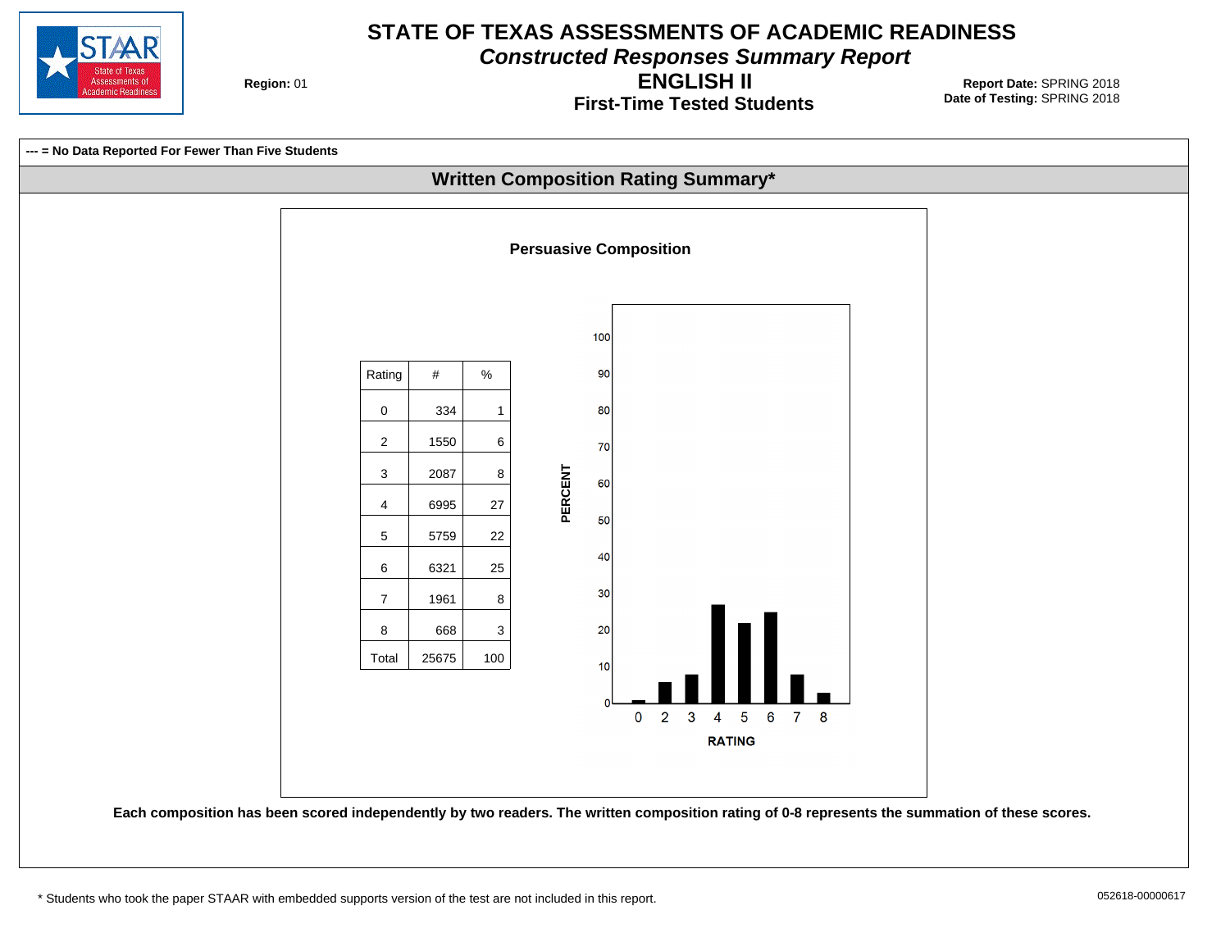

**Constructed Responses Summary Report**

**Region: 01** 

**First-Time Tested Students ENGLISH II**

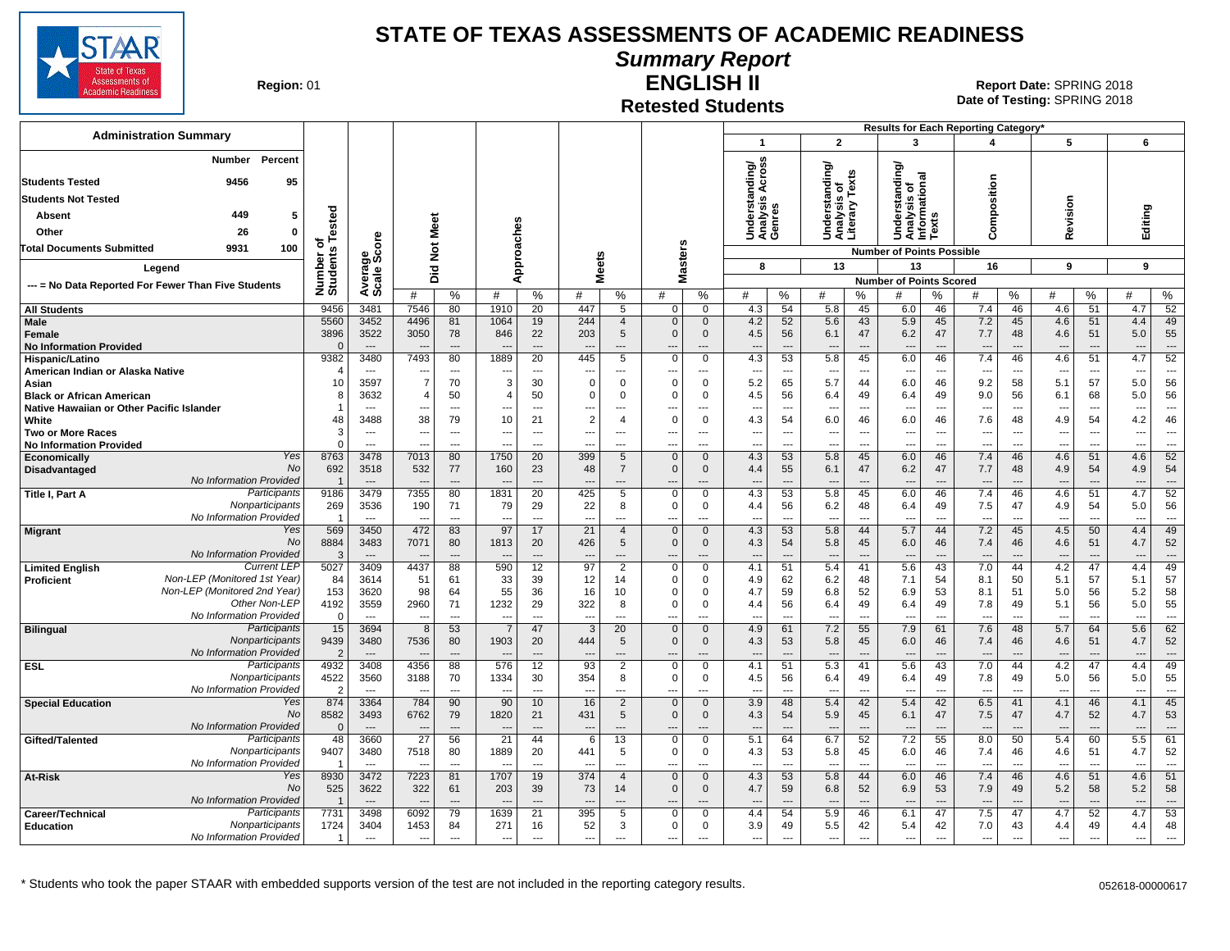

#### **Summary Report**

**Region: 01** 

#### **Retested Students ENGLISH II**

|                                                               |                            |                                  |                                  |                                   |                                  |                                            |                                 |                                       |                                           |                                    |                                        |                                      |                                            |                                     | Results for Each Reporting Category'                                  |                                      |                                        |                                            |                                                      |                                                      |                                 |                                    |
|---------------------------------------------------------------|----------------------------|----------------------------------|----------------------------------|-----------------------------------|----------------------------------|--------------------------------------------|---------------------------------|---------------------------------------|-------------------------------------------|------------------------------------|----------------------------------------|--------------------------------------|--------------------------------------------|-------------------------------------|-----------------------------------------------------------------------|--------------------------------------|----------------------------------------|--------------------------------------------|------------------------------------------------------|------------------------------------------------------|---------------------------------|------------------------------------|
| <b>Administration Summary</b>                                 |                            |                                  |                                  |                                   |                                  |                                            |                                 |                                       |                                           |                                    | $\mathbf 1$                            |                                      | $\overline{2}$                             |                                     | 3                                                                     |                                      | $\boldsymbol{\Lambda}$                 |                                            | 5                                                    |                                                      | 6                               |                                    |
| Percent<br>Number<br>9456<br><b>Students Tested</b><br>95     |                            |                                  |                                  |                                   |                                  |                                            |                                 |                                       |                                           |                                    | tanding/<br>is Across                  |                                      | erstanding/<br>s of<br>Texts               |                                     | erstanding/<br>Understanding<br>Analysis of<br>Informational<br>Texts |                                      |                                        |                                            |                                                      |                                                      |                                 |                                    |
| <b>Students Not Tested</b>                                    |                            |                                  |                                  |                                   |                                  |                                            |                                 |                                       |                                           |                                    |                                        |                                      |                                            |                                     |                                                                       |                                      | Composition                            |                                            |                                                      |                                                      |                                 |                                    |
| 449<br>Absent<br>5                                            |                            |                                  |                                  |                                   |                                  |                                            |                                 |                                       |                                           |                                    | Underst<br>Analysis<br>Genres          |                                      | Understa<br>Analysis<br>Literary           |                                     |                                                                       |                                      |                                        |                                            | Revision                                             |                                                      | Editing                         |                                    |
| Other<br>26<br>$\mathbf 0$                                    | ested                      |                                  |                                  | Meet                              |                                  |                                            |                                 |                                       |                                           |                                    |                                        |                                      |                                            |                                     |                                                                       |                                      |                                        |                                            |                                                      |                                                      |                                 |                                    |
| <b>Total Documents Submitted</b><br>9931<br>100               | ठ                          |                                  |                                  | $\boldsymbol{\breve{\mathrm{p}}}$ |                                  |                                            |                                 |                                       |                                           |                                    |                                        |                                      |                                            |                                     | <b>Number of Points Possible</b>                                      |                                      |                                        |                                            |                                                      |                                                      |                                 |                                    |
| Legend                                                        | nts<br>৯                   | Average<br>Scale Score           |                                  |                                   |                                  | pproaches                                  | <b>Meets</b>                    |                                       |                                           | <b>Masters</b>                     | 8                                      |                                      | 13                                         |                                     | 13                                                                    |                                      | 16                                     |                                            | 9                                                    |                                                      | 9                               |                                    |
|                                                               | Numbe<br>Studer            |                                  |                                  | Did                               | ⋖                                |                                            |                                 |                                       |                                           |                                    |                                        |                                      |                                            |                                     | <b>Number of Points Scored</b>                                        |                                      |                                        |                                            |                                                      |                                                      |                                 |                                    |
| --- = No Data Reported For Fewer Than Five Students           |                            |                                  | #                                | %                                 | #                                | $\%$                                       | #                               | $\%$                                  | #                                         | %                                  | #                                      | %                                    | #                                          | %                                   | #                                                                     | ℅                                    | #                                      | %                                          | #                                                    | %                                                    | #                               | %                                  |
| <b>All Students</b>                                           | 9456                       | 3481                             | 7546                             | 80                                | 1910                             | 20                                         | 447                             | 5                                     | $\mathbf 0$                               | $\mathbf 0$                        | 4.3                                    | 54                                   | 5.8                                        | 45                                  | 6.0                                                                   | 46                                   | 7.4                                    | 46                                         | 4.6                                                  | 51                                                   | 4.7                             | 52                                 |
| Male<br>Female<br><b>No Information Provided</b>              | 5560<br>3896<br>$\sqrt{ }$ | 3452<br>3522<br>$\overline{a}$   | 4496<br>3050<br>$\sim$           | 81<br>78<br>$\overline{a}$        | 1064<br>846<br>$\overline{a}$    | 19<br>22<br>$\overline{a}$                 | 244<br>203                      | $\overline{4}$<br>5<br>---            | $\mathbf 0$<br>$\Omega$<br>$\overline{a}$ | $\mathbf 0$<br>$\mathbf{0}$<br>--- | 4.2<br>4.5<br>$\sim$                   | 52<br>56<br>$\overline{a}$           | 5.6<br>6.1<br>$\overline{\phantom{a}}$     | 43<br>47<br>$\overline{a}$          | 5.9<br>6.2<br>---                                                     | 45<br>47<br>$\overline{a}$           | 7.2<br>7.7<br>$\overline{\phantom{a}}$ | 45<br>48<br>$\overline{\phantom{a}}$       | 4.6<br>4.6                                           | 51<br>51<br>$\overline{\phantom{a}}$                 | 4.4<br>5.0<br>$\sim$            | 49<br>55<br>$---$                  |
| <b>Hispanic/Latino</b>                                        | 9382                       | 3480                             | 7493                             | 80                                | 1889                             | $\overline{20}$                            | 445                             | $\overline{5}$                        | $\overline{0}$                            | $\overline{0}$                     | 4.3                                    | 53                                   | 5.8                                        | 45                                  | 6.0                                                                   | 46                                   | 7.4                                    | 46                                         | 4.6                                                  | 51                                                   | 4.7                             | 52                                 |
| American Indian or Alaska Native<br>Asian                     | 10                         | $\overline{a}$<br>3597           | $\overline{7}$                   | ---<br>70                         | $\overline{\phantom{a}}$<br>3    | $\overline{a}$<br>30                       | $\mathbf 0$                     | $\mathbf 0$                           | ---<br>$\Omega$                           | ---<br>$\mathbf 0$                 | $\overline{\phantom{a}}$<br>5.2        | ---<br>65                            | $\overline{\phantom{a}}$<br>5.7            | $\overline{a}$<br>44                | $\overline{\phantom{a}}$<br>6.0                                       | ---<br>46                            | $\overline{a}$<br>9.2                  | $\overline{\phantom{a}}$<br>58             | 5.1                                                  | $\overline{\phantom{a}}$<br>57                       | ---<br>5.0                      | $\overline{a}$<br>56               |
| <b>Black or African American</b>                              | -8                         | 3632                             | 4                                | 50                                | $\overline{4}$                   | 50                                         | 0                               | $\mathbf 0$                           | $\Omega$                                  | $\Omega$                           | 4.5                                    | 56                                   | 6.4                                        | 49                                  | 6.4                                                                   | 49                                   | 9.0                                    | 56                                         | 6.1                                                  | 68                                                   | 5.0                             | 56                                 |
| Native Hawaiian or Other Pacific Islander                     |                            | $---$                            | $\overline{\phantom{a}}$         | $\overline{\phantom{a}}$          | ---                              | $---$                                      | ---                             | $---$                                 | ---                                       | ---                                | $\overline{\phantom{a}}$               | ---                                  | $\overline{\phantom{a}}$                   | ---                                 | $\overline{\phantom{a}}$                                              | ---                                  | $\overline{\phantom{a}}$               | $---$                                      | $\overline{\phantom{a}}$                             | $\overline{\phantom{a}}$                             | ---                             | $\overline{\phantom{a}}$           |
| White                                                         | 48<br>3                    | 3488                             | 38                               | 79                                | 10                               | 21                                         | 2                               | $\overline{\mathcal{A}}$              | $\Omega$                                  | $\mathbf 0$                        | 4.3                                    | 54                                   | 6.0                                        | 46                                  | 6.0                                                                   | 46                                   | 7.6                                    | 48                                         | 4.9                                                  | 54                                                   | 4.2                             | 46                                 |
| Two or More Races<br><b>No Information Provided</b>           | $\Omega$                   | ---<br>$\overline{a}$            | ---                              | ---<br>---                        | ---                              | $\overline{\phantom{a}}$<br>$\overline{a}$ | ---                             | $---$<br>$---$                        | ---<br>$\overline{a}$                     | $\overline{\phantom{a}}$<br>---    | $\overline{\phantom{a}}$<br>$\sim$     | ---<br>---                           | $\hspace{0.05cm} \ldots$<br>$\overline{a}$ | $\overline{\phantom{a}}$<br>$\sim$  | $\overline{\phantom{a}}$<br>---                                       | ---<br>---                           | ---<br>$\overline{a}$                  | $\overline{\phantom{a}}$<br>$\overline{a}$ | $\overline{\phantom{a}}$<br>$\overline{\phantom{a}}$ | $\overline{\phantom{a}}$<br>$\overline{\phantom{a}}$ | ---<br>---                      | $\overline{\phantom{a}}$<br>---    |
| Yes<br>Economically                                           | 8763                       | 3478                             | 7013                             | 80                                | 1750                             | 20                                         | 399                             | 5                                     | $\mathbf 0$                               | $\mathbf{0}$                       | 4.3                                    | 53                                   | 5.8                                        | 45                                  | 6.0                                                                   | 46                                   | 7.4                                    | 46                                         | 4.6                                                  | 51                                                   | 4.6                             | 52                                 |
| <b>No</b><br>Disadvantaged                                    | 692                        | 3518                             | 532                              | 77                                | 160                              | 23                                         | 48                              | $\overline{7}$                        | $\mathbf 0$                               | $\mathbf 0$                        | 4.4                                    | 55                                   | 6.1                                        | 47                                  | 6.2                                                                   | 47                                   | 7.7                                    | 48                                         | 4.9                                                  | 54                                                   | 4.9                             | 54                                 |
| No Information Provided<br>Participants<br>Title I, Part A    | -1<br>9186                 | $---$<br>3479                    | $\overline{\phantom{a}}$<br>7355 | $---$<br>80                       | $---$<br>1831                    | $---$<br>20                                | $\overline{\phantom{a}}$<br>425 | $---$<br>5                            | ---<br>$\Omega$                           | $---$<br>$\Omega$                  | $---$<br>4.3                           | $---$<br>53                          | $---$<br>5.8                               | $---$<br>45                         | $---$<br>6.0                                                          | $---$<br>46                          | $---$<br>7.4                           | $\overline{\phantom{a}}$<br>46             | $\overline{\phantom{a}}$<br>4.6                      | $---$<br>51                                          | $---$<br>4.7                    | $\sim$<br>52                       |
| Nonparticipants<br>No Information Provided                    | 269                        | 3536<br>$\overline{\phantom{a}}$ | 190                              | 71<br>$\overline{a}$              | 79                               | 29<br>$\sim$                               | 22<br>$\overline{\phantom{a}}$  | 8<br>---                              | $\mathbf{0}$                              | $\mathbf 0$<br>---                 | 4.4                                    | 56<br>$\sim$                         | 6.2<br>---                                 | 48<br>$\sim$                        | 6.4<br>$\overline{\phantom{a}}$                                       | 49<br>---                            | 7.5<br>$\overline{a}$                  | 47                                         | 4.9                                                  | 54<br>$\overline{a}$                                 | 5.0<br>---                      | 56<br>$\sim$                       |
| Yes<br><b>Migrant</b><br><b>No</b><br>No Information Provided | 569<br>8884<br>-3          | 3450<br>3483<br>$---$            | 472<br>7071                      | 83<br>80<br>---                   | 97<br>1813                       | 17<br>20<br>$\overline{\phantom{a}}$       | 21<br>426                       | $\overline{4}$<br>5<br>$\overline{a}$ | $\mathbf{0}$<br>$\mathbf{0}$<br>---       | $\mathbf 0$<br>$\mathbf{0}$<br>--- | 4.3<br>4.3<br>$\overline{\phantom{a}}$ | 53<br>54<br>$\overline{\phantom{a}}$ | 5.8<br>5.8<br>$\overline{\phantom{a}}$     | 44<br>45<br>$\hspace{1.5cm} \ldots$ | 5.7<br>6.0<br>$\overline{\phantom{a}}$                                | 44<br>46<br>$\overline{\phantom{a}}$ | 7.2<br>7.4<br>$\overline{a}$           | 45<br>46<br>$\overline{\phantom{a}}$       | 4.5<br>4.6                                           | 50<br>51<br>$\overline{a}$                           | 4.4<br>4.7<br>$\overline{a}$    | 49<br>52<br>$\qquad \qquad \cdots$ |
| <b>Current LEF</b><br><b>Limited English</b>                  | 5027                       | 3409                             | 4437                             | 88                                | 590                              | 12                                         | 97                              | $\overline{2}$                        | $\Omega$                                  | $\Omega$                           | 4.1                                    | 51                                   | 5.4                                        | 41                                  | 5.6                                                                   | 43                                   | 7.0                                    | 44                                         | 4.2                                                  | 47                                                   | 4.4                             | 49                                 |
| Non-LEP (Monitored 1st Year)<br><b>Proficient</b>             | 84                         | 3614                             | 51                               | 61                                | 33                               | 39                                         | 12                              | 14                                    | $\Omega$                                  | $\Omega$                           | 4.9                                    | 62                                   | 6.2                                        | 48                                  | 7.1                                                                   | 54                                   | 8.1                                    | 50                                         | 5.1                                                  | 57                                                   | 5.1                             | 57                                 |
| Non-LEP (Monitored 2nd Year)<br>Other Non-LEP                 | 153<br>4192                | 3620<br>3559                     | 98<br>2960                       | 64<br>71                          | 55<br>1232                       | 36<br>29                                   | 16<br>322                       | 10<br>8                               | $\Omega$<br>$\Omega$                      | $\Omega$<br>$\mathbf 0$            | 4.7<br>4.4                             | 59<br>56                             | 6.8<br>6.4                                 | 52<br>49                            | 6.9<br>6.4                                                            | 53<br>49                             | 8.1<br>7.8                             | 51<br>49                                   | 5.0<br>5.1                                           | 56<br>56                                             | 5.2<br>5.0                      | 58<br>55                           |
| No Information Provided                                       | $\Omega$                   | $\overline{\phantom{a}}$         | $\overline{\phantom{a}}$         | $\overline{a}$                    | $\overline{a}$                   | $\overline{a}$                             | $\overline{\phantom{a}}$        | $\overline{a}$                        | $\overline{a}$                            | ---                                | $\overline{a}$                         | $\sim$                               | $\sim$                                     | $\overline{a}$                      | $\sim$                                                                | ---                                  | $\overline{a}$                         | $\overline{\phantom{a}}$                   | $\overline{\phantom{a}}$                             | $\sim$                                               | ---                             | $\overline{a}$                     |
| Participants<br><b>Bilingual</b>                              | 15                         | 3694                             | 8                                | 53                                | $\overline{7}$                   | 47                                         | -3                              | 20                                    | $\mathbf{0}$                              | $\mathbf{0}$                       | 4.9                                    | 61                                   | 7.2                                        | 55                                  | 7.9                                                                   | 61                                   | 7.6                                    | 48                                         | 5.7                                                  | 64                                                   | 5.6                             | 62                                 |
| Nonparticipants<br>No Information Provided                    | 9439<br>$\overline{2}$     | 3480<br>$---$                    | 7536                             | 80<br>$---$                       | 1903<br>$\overline{\phantom{a}}$ | 20<br>$\overline{a}$                       | 444                             | 5<br>$---$                            | $\mathbf{0}$<br>$\overline{a}$            | $\mathbf{0}$<br>$---$              | 4.3<br>$---$                           | 53<br>$\overline{\phantom{a}}$       | 5.8<br>$\overline{\phantom{a}}$            | 45<br>$\overline{a}$                | 6.0<br>$\overline{\phantom{a}}$                                       | 46<br>$\overline{a}$                 | 7.4<br>$---$                           | 46<br>$\overline{\phantom{a}}$             | 4.6<br>$\overline{\phantom{a}}$                      | 51<br>$\overline{\phantom{a}}$                       | 4.7<br>$\overline{\phantom{a}}$ | 52<br>$\sim$                       |
| Participants<br><b>ESL</b>                                    | 4932                       | 3408                             | $\overline{\phantom{a}}$<br>4356 | 88                                | 576                              | 12                                         | $\overline{\phantom{a}}$<br>93  | $\overline{2}$                        | $\mathbf 0$                               | $\mathbf 0$                        | 4.1                                    | 51                                   | 5.3                                        | 41                                  | 5.6                                                                   | 43                                   | 7.0                                    | 44                                         | 4.2                                                  | 47                                                   | 4.4                             | 49                                 |
| Nonparticipants                                               | 4522                       | 3560                             | 3188                             | 70                                | 1334                             | 30                                         | 354                             | 8                                     | $\mathbf 0$                               | $\mathbf 0$                        | 4.5                                    | 56                                   | 6.4                                        | 49                                  | 6.4                                                                   | 49                                   | 7.8                                    | 49                                         | 5.0                                                  | 56                                                   | 5.0                             | 55                                 |
| No Information Provided<br>Yes                                | -2<br>874                  | $---$<br>3364                    | 784                              | $\overline{a}$<br>90              | 90                               | $---$                                      | 16                              | ---<br>$\overline{2}$                 | $\overline{a}$<br>$\Omega$                | ---<br>$\mathbf{0}$                | $- -$<br>3.9                           | $\overline{a}$<br>48                 | $\sim$<br>5.4                              | $\overline{a}$<br>42                | 5.4                                                                   | $\overline{a}$<br>42                 | $\overline{a}$<br>6.5                  | $\overline{\phantom{a}}$<br>41             | $\sim$<br>4.1                                        | $\sim$<br>46                                         | $\overline{a}$<br>4.1           | $---$<br>45                        |
| <b>Special Education</b><br><b>No</b>                         | 8582                       | 3493                             | 6762                             | 79                                | 1820                             | 10<br>21                                   | 431                             | 5                                     | $\mathbf{0}$                              | $\mathbf{0}$                       | 4.3                                    | 54                                   | 5.9                                        | 45                                  | 6.1                                                                   | 47                                   | 7.5                                    | 47                                         | 4.7                                                  | 52                                                   | 4.7                             | 53                                 |
| No Information Provided                                       | $\sqrt{ }$                 |                                  | $\overline{\phantom{a}}$         | $\overline{a}$                    | $\overline{a}$                   |                                            | $\overline{\phantom{a}}$        |                                       | ---                                       | ---                                | $\overline{\phantom{a}}$               |                                      | $\overline{\phantom{a}}$                   | $\overline{a}$                      | $\overline{\phantom{a}}$                                              | ---                                  | $\overline{a}$                         |                                            | $\overline{\phantom{a}}$                             |                                                      | $\overline{\phantom{a}}$        | $---$                              |
| Participants<br>Gifted/Talented                               | 48                         | 3660                             | $\overline{27}$                  | 56                                | 21                               | 44                                         | 6                               | 13                                    | $\Omega$                                  | $\mathbf 0$                        | 5.1                                    | 64                                   | 6.7                                        | 52                                  | 7.2                                                                   | 55                                   | 8.0                                    | 50                                         | 5.4                                                  | 60                                                   | 5.5                             | 61                                 |
| Nonparticipants<br>No Information Provided                    | 9407<br>-1                 | 3480<br>$\overline{a}$           | 7518                             | 80<br>$\overline{a}$              | 1889                             | 20<br>$\overline{a}$                       | 441                             | 5<br>$\overline{a}$                   | $\Omega$<br>$\overline{a}$                | 0<br>---                           | 4.3<br>$\overline{a}$                  | 53<br>$\overline{a}$                 | 5.8<br>$\overline{\phantom{a}}$            | 45<br>$\overline{a}$                | 6.0<br>---                                                            | 46<br>---                            | 7.4<br>$\overline{a}$                  | 46                                         | 4.6<br>$\overline{a}$                                | 51<br>$\overline{\phantom{a}}$                       | 4.7<br>---                      | 52<br>$\overline{a}$               |
| Yes<br>At-Risk                                                | 8930                       | 3472                             | 7223                             | 81                                | 1707                             | 19                                         | 374                             | $\overline{4}$                        | $\mathbf{0}$                              | $\overline{0}$                     | 4.3                                    | 53                                   | 5.8                                        | 44                                  | 6.0                                                                   | 46                                   | 7.4                                    | 46                                         | 4.6                                                  | 51                                                   | 4.6                             | 51                                 |
| <b>No</b>                                                     | 525                        | 3622                             | 322                              | 61                                | 203                              | 39                                         | 73                              | 14                                    | $\Omega$                                  | $\mathbf 0$                        | 4.7                                    | 59                                   | 6.8                                        | 52                                  | 6.9                                                                   | 53                                   | 7.9                                    | 49                                         | 5.2                                                  | 58                                                   | 5.2                             | 58                                 |
| No Information Provided<br>Participants                       |                            | $\overline{\phantom{a}}$         | $\overline{\phantom{a}}$         | ---                               | $\overline{a}$                   | $\overline{a}$                             | $\overline{\phantom{a}}$        | $---$                                 | ---                                       | ---                                | $\overline{\phantom{a}}$               | $\overline{\phantom{a}}$             | $\overline{\phantom{a}}$                   | $\overline{a}$                      | $\overline{\phantom{a}}$                                              | ---                                  | $\overline{\phantom{a}}$               | $\overline{\phantom{a}}$                   | $\overline{\phantom{a}}$                             | $\overline{a}$                                       | ---                             | $\overline{\phantom{a}}$           |
| Career/Technical<br>Nonparticipants<br><b>Education</b>       | 7731<br>1724               | 3498<br>3404                     | 6092<br>1453                     | 79<br>84                          | 1639<br>271                      | 21<br>16                                   | 395<br>52                       | 5<br>3                                | $\Omega$<br>$\mathbf 0$                   | $\Omega$<br>$\mathbf 0$            | 4.4<br>3.9                             | 54<br>49                             | 5.9<br>5.5                                 | 46<br>42                            | 6.1<br>5.4                                                            | 47<br>42                             | 7.5<br>7.0                             | 47<br>43                                   | 4.7<br>4.4                                           | 52<br>49                                             | 4.7<br>4.4                      | 53<br>48                           |
| No Information Provided                                       | -1                         | $\overline{a}$                   | $\sim$                           | $\overline{a}$                    | $\overline{a}$                   | $\overline{a}$                             | $\overline{a}$                  |                                       | $\overline{\phantom{a}}$                  | $-$                                | $\overline{a}$                         | $\overline{a}$                       | $\overline{\phantom{a}}$                   | $\overline{a}$                      | $\sim$                                                                | ---                                  | $\overline{a}$                         |                                            | $\sim$                                               | $\sim$                                               | $\overline{a}$                  | $\overline{a}$                     |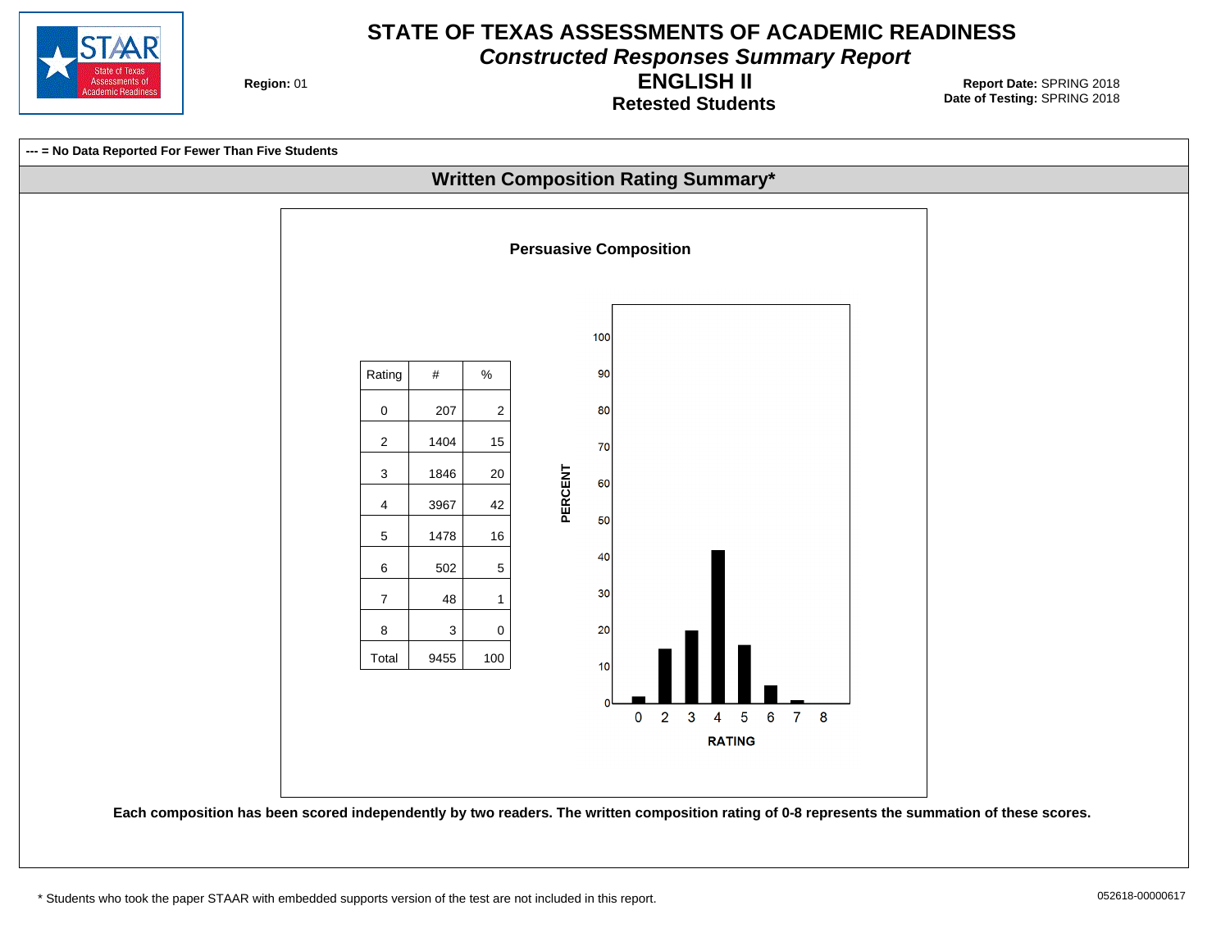

**Constructed Responses Summary Report**

**Region: 01** 

**Retested Students ENGLISH II**

**Date of Testing:**  SPRING 2018 01 **Report Date:** SPRING 2018



\* Students who took the paper STAAR with embedded supports version of the test are not included in this report.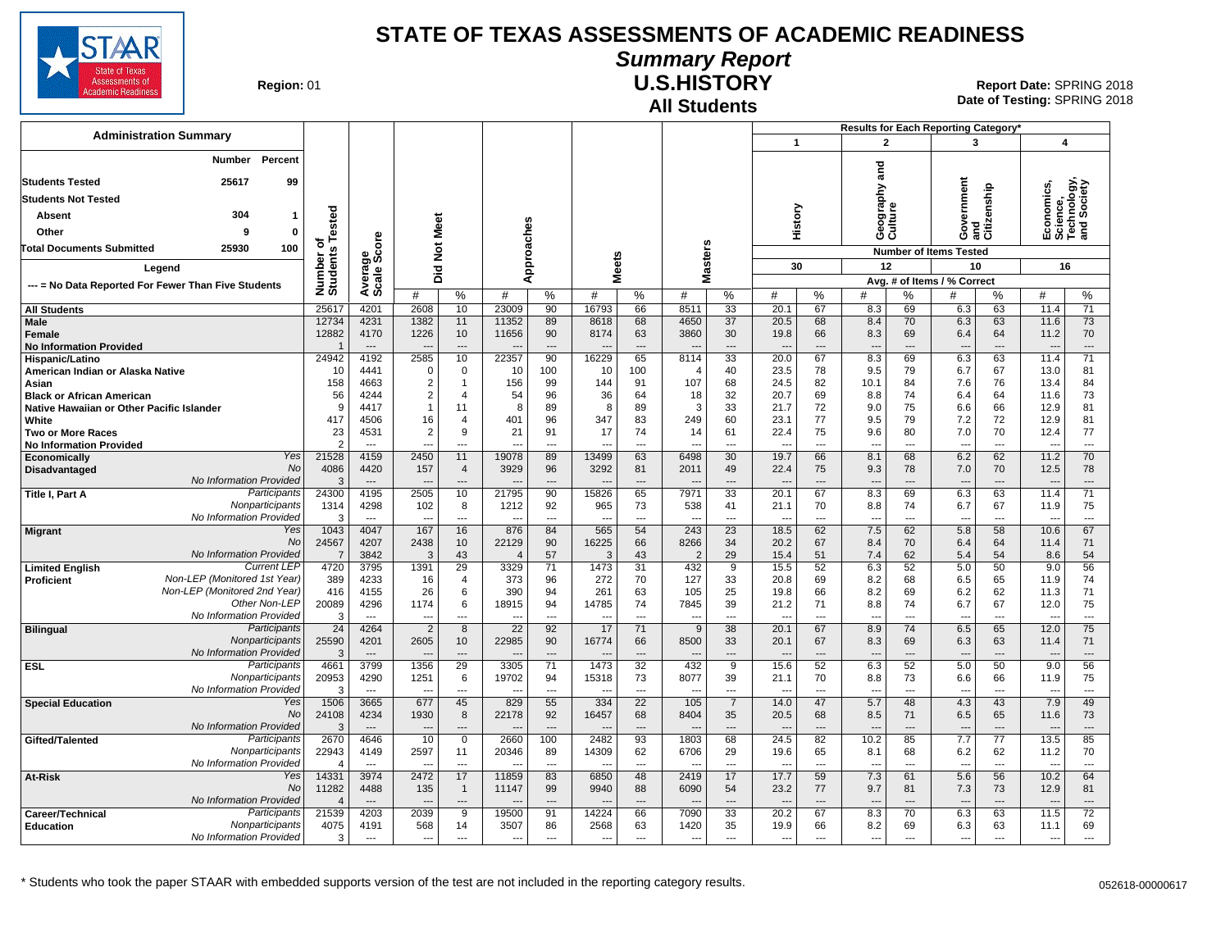

## **Summary Report**

**Region: 01** 

#### **All Students U.S.HISTORY**

**Date of Testing:**  SPRING 2018 01 **Report Date:** SPRING 2018

|                                                                               |                                         |                          |                                  |                                |                       |                         |                                |                        |                       |                                  |                      |                                  |           | Results for Each Reporting Category' |                          |                                 |                      |                                                      |                 |
|-------------------------------------------------------------------------------|-----------------------------------------|--------------------------|----------------------------------|--------------------------------|-----------------------|-------------------------|--------------------------------|------------------------|-----------------------|----------------------------------|----------------------|----------------------------------|-----------|--------------------------------------|--------------------------|---------------------------------|----------------------|------------------------------------------------------|-----------------|
| <b>Administration Summary</b>                                                 |                                         |                          |                                  |                                |                       |                         |                                |                        |                       |                                  |                      | $\mathbf{1}$                     |           | $\overline{2}$                       |                          | 3                               |                      | 4                                                    |                 |
| <b>Students Tested</b>                                                        | Percent<br>Number<br>25617<br>99        |                          |                                  |                                |                       |                         |                                |                        |                       |                                  |                      |                                  |           | and                                  |                          |                                 |                      |                                                      |                 |
| <b>Students Not Tested</b>                                                    |                                         |                          |                                  |                                |                       |                         |                                |                        |                       |                                  |                      |                                  |           |                                      |                          | ernment                         | and<br>Citizenship   | Economics,<br>Science,<br>Technology,<br>and Society |                 |
|                                                                               |                                         |                          |                                  |                                |                       |                         |                                |                        |                       |                                  |                      |                                  |           | graphy                               |                          |                                 |                      |                                                      |                 |
| Absent                                                                        | 304<br>-1                               | ested                    |                                  |                                |                       |                         |                                |                        |                       |                                  |                      | History                          |           | eograj<br>ulture                     |                          | š                               |                      |                                                      |                 |
| Other                                                                         | 9<br>0                                  | ځ م                      |                                  |                                |                       |                         |                                |                        |                       |                                  |                      |                                  |           | ت ق                                  |                          | Ő                               |                      |                                                      |                 |
| 100<br>25930<br><b>Total Documents Submitted</b>                              |                                         | Number o<br>Students     | ge<br>Score                      | Did Not Meet                   |                       | Approaches              |                                |                        |                       | <b>Masters</b>                   |                      |                                  |           |                                      |                          | <b>Number of Items Tested</b>   |                      |                                                      |                 |
| Legend                                                                        |                                         |                          |                                  |                                |                       |                         |                                | <b>Meets</b>           |                       |                                  |                      | 30                               |           | 12                                   |                          | 10                              |                      | 16                                                   |                 |
| --- = No Data Reported For Fewer Than Five Students                           |                                         |                          | Averag<br>Scale:                 |                                |                       |                         |                                |                        |                       |                                  |                      |                                  |           |                                      |                          | Avg. # of Items / % Correct     |                      |                                                      |                 |
|                                                                               |                                         |                          |                                  | #                              | $\%$                  | #                       | %                              | #                      | %                     | #                                | %                    | #                                | %         | #                                    | %                        | #                               | %                    | #                                                    | %               |
| <b>All Students</b>                                                           |                                         | 25617                    | 4201                             | 2608                           | 10                    | 23009                   | 90                             | 16793                  | 66                    | 8511                             | 33                   | 20.1                             | 67        | 8.3                                  | 69                       | 6.3                             | 63                   | 11.4                                                 | $\overline{71}$ |
| <b>Male</b><br>Female                                                         |                                         | 12734<br>12882           | 4231<br>4170                     | 1382<br>1226                   | 11<br>10              | 11352<br>11656          | 89<br>90                       | 8618<br>8174           | 68<br>63              | 4650<br>3860                     | 37<br>30             | 20.5<br>19.8                     | 68<br>66  | 8.4<br>8.3                           | 70<br>69                 | 6.3<br>6.4                      | 63<br>64             | 11.6<br>11.2                                         | 73<br>70        |
| <b>No Information Provided</b>                                                |                                         |                          | $\overline{a}$                   | $\overline{\phantom{a}}$       | ---                   |                         | $\overline{\phantom{a}}$       |                        | $\sim$                |                                  | $\sim$               |                                  | $\sim$    | $\overline{a}$                       | $\overline{\phantom{a}}$ | $\overline{\phantom{a}}$        | $\sim$               | $\overline{\phantom{a}}$                             | $\overline{a}$  |
| Hispanic/Latino                                                               |                                         | 24942                    | 4192                             | 2585                           | 10                    | 22357                   | 90                             | 16229                  | 65                    | 8114                             | 33                   | 20.0                             | 67        | 8.3                                  | 69                       | 6.3                             | 63                   | 11.4                                                 | 71              |
| American Indian or Alaska Native                                              |                                         | 10                       | 4441                             | $\Omega$                       | $\mathbf 0$           | 10                      | 100                            | 10                     | 100                   | $\overline{4}$                   | 40                   | 23.5                             | 78        | 9.5                                  | 79                       | 6.7                             | 67                   | 13.0                                                 | 81              |
| Asian                                                                         |                                         | 158                      | 4663                             | $\overline{2}$                 | $\mathbf{1}$          | 156                     | 99                             | 144                    | 91                    | 107                              | 68                   | 24.5                             | 82        | 10.1                                 | 84                       | 7.6                             | 76                   | 13.4                                                 | 84              |
| <b>Black or African American</b><br>Native Hawaiian or Other Pacific Islander |                                         | 56<br><b>q</b>           | 4244<br>4417                     | $\overline{2}$<br>$\mathbf{1}$ | $\overline{4}$<br>11  | 54<br>8                 | 96<br>89                       | 36<br>8                | 64<br>89              | 18<br>3                          | 32<br>33             | 20.7<br>21.7                     | 69<br>72  | 8.8<br>9.0                           | 74<br>75                 | 6.4<br>6.6                      | 64<br>66             | 11.6<br>12.9                                         | 73<br>81        |
| White                                                                         |                                         | 417                      | 4506                             | 16                             | $\overline{4}$        | 401                     | 96                             | 347                    | 83                    | 249                              | 60                   | 23.1                             | 77        | 9.5                                  | 79                       | 7.2                             | 72                   | 12.9                                                 | 81              |
| <b>Two or More Races</b>                                                      |                                         | 23                       | 4531                             | $\overline{2}$                 | 9                     | 21                      | 91                             | 17                     | 74                    | 14                               | 61                   | 22.4                             | 75        | 9.6                                  | 80                       | 7.0                             | 70                   | 12.4                                                 | 77              |
| <b>No Information Provided</b>                                                |                                         |                          |                                  |                                | ---                   |                         | $\overline{a}$                 |                        | ---                   |                                  | ---                  | $\overline{a}$                   | ---       | ---                                  | $\overline{a}$           | ---                             | ---                  | ---                                                  | ---             |
| Economically                                                                  | Yes                                     | 21528                    | 4159                             | 2450                           | 11                    | 19078                   | 89                             | 13499                  | 63                    | 6498                             | 30                   | 19.7                             | 66        | 8.1                                  | 68                       | 6.2                             | 62                   | 11.2                                                 | 70              |
| Disadvantaged                                                                 | No<br>No Information Provided           | 4086<br>3                | 4420<br>$\cdots$                 | 157<br>$\overline{a}$          | $\overline{4}$<br>--- | 3929                    | 96<br>$\overline{\phantom{a}}$ | 3292                   | 81<br>---             | 2011                             | 49<br>---            | 22.4<br>$\overline{\phantom{a}}$ | 75<br>--- | 9.3<br>---                           | 78<br>$\overline{a}$     | 7.0<br>$\overline{\phantom{a}}$ | 70<br>---            | 12.5<br>$\overline{\phantom{a}}$                     | 78<br>$\cdots$  |
| <b>Title I. Part A</b>                                                        | Participants                            | 24300                    | 4195                             | 2505                           | 10                    | 21795                   | 90                             | 15826                  | 65                    | 7971                             | $\overline{33}$      | 20.1                             | 67        | 8.3                                  | 69                       | 6.3                             | 63                   | 11.4                                                 | $\overline{71}$ |
|                                                                               | Nonparticipants                         | 1314                     | 4298                             | 102                            | 8                     | 1212                    | 92                             | 965                    | 73                    | 538                              | 41                   | 21.1                             | 70        | 8.8                                  | 74                       | 6.7                             | 67                   | 11.9                                                 | 75              |
|                                                                               | No Information Provided                 | 3                        | $---$                            | $- -$                          | ---                   | ---                     | $\overline{a}$                 | ---                    | $\overline{a}$        | $\overline{\phantom{a}}$         | $\overline{a}$       | $\overline{a}$                   | ---       | $\overline{\phantom{a}}$             | $\overline{a}$           | ---                             | ---                  | $\overline{\phantom{a}}$                             | $\overline{a}$  |
| <b>Migrant</b>                                                                | Yes                                     | 1043                     | 4047                             | 167                            | 16                    | 876                     | 84                             | 565                    | 54                    | 243                              | 23                   | 18.5                             | 62        | 7.5                                  | 62                       | 5.8                             | 58                   | 10.6                                                 | 67              |
|                                                                               | No<br>No Information Provided           | 24567                    | 4207                             | 2438<br>3                      | 10                    | 22129<br>$\overline{4}$ | 90                             | 16225                  | 66                    | 8266                             | 34                   | 20.2                             | 67        | 8.4                                  | 70                       | 6.4                             | 64                   | 11.4                                                 | 71              |
| <b>Limited English</b>                                                        | <b>Current LEP</b>                      | $\overline{7}$<br>4720   | 3842<br>3795                     | 1391                           | 43<br>29              | 3329                    | 57<br>71                       | 3<br>1473              | 43<br>31              | $\overline{2}$<br>432            | 29<br>$\overline{9}$ | 15.4<br>15.5                     | 51<br>52  | 7.4<br>6.3                           | 62<br>52                 | 5.4<br>5.0                      | 54<br>50             | 8.6<br>9.0                                           | 54<br>56        |
| Proficient                                                                    | Non-LEP (Monitored 1st Year)            | 389                      | 4233                             | 16                             | 4                     | 373                     | 96                             | 272                    | 70                    | 127                              | 33                   | 20.8                             | 69        | 8.2                                  | 68                       | 6.5                             | 65                   | 11.9                                                 | 74              |
|                                                                               | Non-LEP (Monitored 2nd Year)            | 416                      | 4155                             | 26                             | 6                     | 390                     | 94                             | 261                    | 63                    | 105                              | 25                   | 19.8                             | 66        | 8.2                                  | 69                       | 6.2                             | 62                   | 11.3                                                 | 71              |
|                                                                               | Other Non-LEP                           | 20089                    | 4296                             | 1174                           | 6                     | 18915                   | 94                             | 14785                  | 74                    | 7845                             | 39                   | 21.2                             | 71        | 8.8                                  | 74                       | 6.7                             | 67                   | 12.0                                                 | 75              |
|                                                                               | No Information Provided<br>Participants | 3                        | $\overline{a}$                   | $\overline{a}$                 | ---                   | $\sim$                  | $\overline{\phantom{a}}$       | $\sim$                 | $\overline{a}$        | $\sim$                           | $\sim$               | $\overline{\phantom{a}}$         | $\sim$    | $\overline{a}$                       | $\overline{a}$           | $\overline{\phantom{a}}$        | $---$                | $\sim$                                               | $\overline{a}$  |
| <b>Bilingual</b>                                                              | Nonparticipants                         | 24<br>25590              | 4264<br>4201                     | $\overline{2}$<br>2605         | 8<br>10               | 22<br>22985             | 92<br>90                       | 17<br>16774            | 71<br>66              | 9<br>8500                        | 38<br>33             | 20.1<br>20.1                     | 67<br>67  | 8.9<br>8.3                           | 74<br>69                 | 6.5<br>6.3                      | 65<br>63             | 12.0<br>11.4                                         | 75<br>71        |
|                                                                               | No Information Provided                 | 3                        | $\overline{\phantom{a}}$         |                                | ---                   |                         | $\sim$                         |                        | $\overline{a}$        |                                  | ---                  |                                  | $\sim$    | $\overline{a}$                       | $\overline{a}$           | $\overline{\phantom{a}}$        | $\sim$               | $\overline{\phantom{a}}$                             | $\overline{a}$  |
| <b>ESL</b>                                                                    | Participants                            | 4661                     | 3799                             | 1356                           | 29                    | 3305                    | 71                             | 1473                   | 32                    | 432                              | $\overline{9}$       | 15.6                             | 52        | 6.3                                  | 52                       | 5.0                             | 50                   | 9.0                                                  | 56              |
|                                                                               | Nonparticipants                         | 20953                    | 4290                             | 1251                           | 6                     | 19702                   | 94                             | 15318                  | 73                    | 8077                             | 39                   | 21.1                             | 70        | 8.8                                  | 73                       | 6.6                             | 66                   | 11.9                                                 | 75              |
|                                                                               | No Information Provided                 | 3                        | $\overline{\phantom{a}}$         |                                | ---                   |                         | $\overline{\phantom{a}}$       |                        | $\overline{a}$        |                                  | ---                  | $\overline{a}$                   | ---       | ---                                  | $\overline{\phantom{a}}$ | $\overline{\phantom{a}}$        | ---                  | $\overline{\phantom{a}}$                             | ---             |
| <b>Special Education</b>                                                      | Yes<br>No                               | 1506<br>24108            | 3665<br>4234                     | 677<br>1930                    | 45<br>8               | 829<br>22178            | 55<br>92                       | 334<br>16457           | $\overline{22}$<br>68 | 105<br>8404                      | $\overline{7}$<br>35 | 14.0<br>20.5                     | 47<br>68  | 5.7<br>8.5                           | 48<br>71                 | 4.3<br>6.5                      | 43<br>65             | 7.9<br>11.6                                          | 49<br>73        |
|                                                                               | <b>No Information Provided</b>          |                          |                                  |                                | ---                   |                         |                                |                        |                       |                                  |                      |                                  |           | $\overline{a}$                       |                          | $\overline{\phantom{a}}$        |                      | $\overline{\phantom{a}}$                             |                 |
| Gifted/Talented                                                               | Participants                            | 2670                     | 4646                             | 10                             | $\mathbf 0$           | 2660                    | 100                            | 2482                   | 93                    | 1803                             | 68                   | 24.5                             | 82        | 10.2                                 | 85                       | 7.7                             | 77                   | 13.5                                                 | 85              |
|                                                                               | Nonparticipants                         | 22943                    | 4149                             | 2597                           | 11                    | 20346                   | 89                             | 14309                  | 62                    | 6706                             | 29                   | 19.6                             | 65        | 8.1                                  | 68                       | 6.2                             | 62                   | 11.2                                                 | 70              |
|                                                                               | No Information Provided                 | $\boldsymbol{\varDelta}$ | $\overline{a}$                   |                                | $\overline{a}$        |                         | $\overline{\phantom{a}}$       |                        | $\overline{a}$        |                                  | ---                  |                                  | ---       | $\overline{a}$                       |                          | $\overline{a}$                  | $\overline{a}$       | ---                                                  | $\overline{a}$  |
| At-Risk                                                                       | Yes<br>No                               | 14331                    | 3974                             | 2472                           | 17                    | 11859                   | 83                             | 6850                   | 48                    | 2419                             | 17                   | 17.7                             | 59        | 7.3                                  | 61                       | 5.6                             | 56                   | 10.2                                                 | 64              |
|                                                                               | No Information Provided                 | 11282<br>$\Lambda$       | 4488<br>$\overline{\phantom{a}}$ | 135<br>$\sim$                  | $\overline{1}$<br>--- | 11147<br>$\sim$         | 99<br>$\overline{\phantom{a}}$ | 9940<br>$\overline{a}$ | 88<br>---             | 6090<br>$\overline{\phantom{a}}$ | 54<br>---            | 23.2<br>$\overline{\phantom{a}}$ | 77<br>--- | 9.7<br>$\overline{a}$                | 81<br>$\overline{a}$     | 7.3<br>$\overline{\phantom{a}}$ | 73<br>$\overline{a}$ | 12.9<br>---                                          | 81<br>---       |
| Career/Technical                                                              | Participants                            | 21539                    | 4203                             | 2039                           | 9                     | 19500                   | 91                             | 14224                  | 66                    | 7090                             | 33                   | 20.2                             | 67        | 8.3                                  | 70                       | 6.3                             | 63                   | 11.5                                                 | 72              |
| <b>Education</b>                                                              | Nonparticipants                         | 4075                     | 4191                             | 568                            | 14                    | 3507                    | 86                             | 2568                   | 63                    | 1420                             | 35                   | 19.9                             | 66        | 8.2                                  | 69                       | 6.3                             | 63                   | 11.1                                                 | 69              |
|                                                                               | No Information Provided                 | 3                        | $\overline{a}$                   | $\overline{a}$                 | $\sim$                | $\overline{a}$          | $\sim$                         | $\sim$                 | $- - -$               | $\sim$                           | $\overline{a}$       | $\overline{a}$                   | $-$       | $\overline{a}$                       | $\sim$                   | $-$ --                          | $- - -$              | $\overline{a}$                                       | $\overline{a}$  |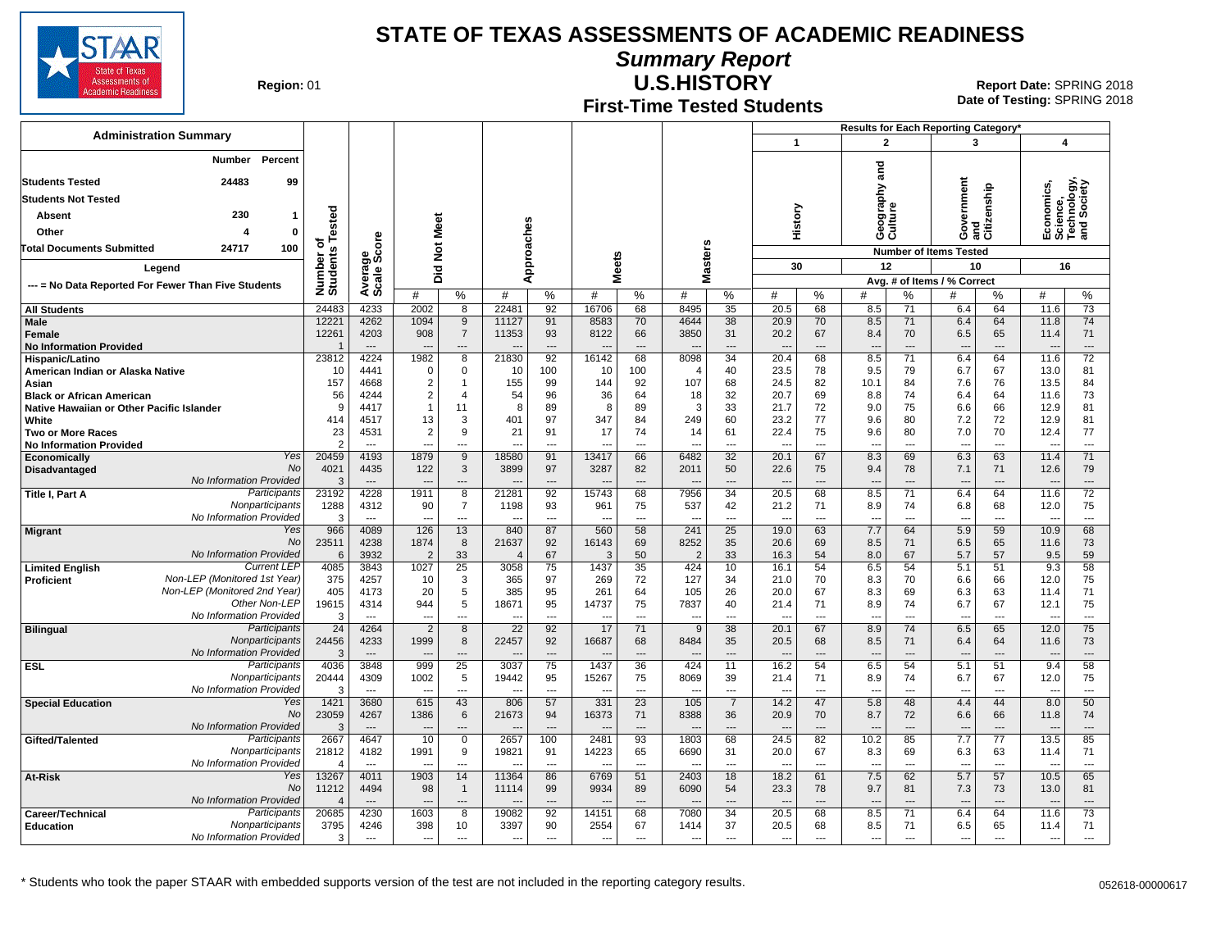

**Summary Report**

**Region: 01** 

#### **First-Time Tested Students U.S.HISTORY** 01 **Report Date:** SPRING 2018

**Date of Testing:**  SPRING 2018

|                                                         |                                                    |                                            |                                          |                                  |                            |                          |                                |                                |                            |                                 |                       |                                |                                      |                                 |                      | Results for Each Reporting Category*   |                            |                                                      |                       |
|---------------------------------------------------------|----------------------------------------------------|--------------------------------------------|------------------------------------------|----------------------------------|----------------------------|--------------------------|--------------------------------|--------------------------------|----------------------------|---------------------------------|-----------------------|--------------------------------|--------------------------------------|---------------------------------|----------------------|----------------------------------------|----------------------------|------------------------------------------------------|-----------------------|
| <b>Administration Summary</b>                           |                                                    |                                            |                                          |                                  |                            |                          |                                |                                |                            |                                 |                       | $\mathbf{1}$                   |                                      | $\overline{2}$                  |                      | 3                                      |                            | 4                                                    |                       |
|                                                         | Number Percent                                     |                                            |                                          |                                  |                            |                          |                                |                                |                            |                                 |                       |                                |                                      |                                 |                      |                                        |                            |                                                      |                       |
| <b>Students Tested</b>                                  | 24483<br>99                                        |                                            |                                          |                                  |                            |                          |                                |                                |                            |                                 |                       |                                |                                      | <u>ត្ត</u>                      |                      |                                        |                            |                                                      |                       |
| <b>Students Not Tested</b>                              |                                                    |                                            |                                          |                                  |                            |                          |                                |                                |                            |                                 |                       |                                |                                      | ξq                              |                      |                                        |                            |                                                      |                       |
| <b>Absent</b>                                           | 230<br>$\mathbf{1}$                                |                                            |                                          |                                  |                            |                          |                                |                                |                            |                                 |                       |                                |                                      |                                 |                      | ernment                                | zenship                    |                                                      |                       |
| Other                                                   | $\mathbf 0$<br>4                                   | ested                                      |                                          |                                  |                            |                          |                                |                                |                            |                                 |                       | History                        |                                      | Geograp<br>Culture              |                      | š                                      | and<br>Citiz               | Economics,<br>Science,<br>Technology,<br>and Society |                       |
| 100<br><b>Total Documents Submitted</b><br>24717        |                                                    | ৳                                          |                                          |                                  |                            |                          |                                |                                |                            |                                 |                       |                                |                                      |                                 |                      | Ğ                                      |                            |                                                      |                       |
|                                                         |                                                    | Number o<br>Students                       | ige<br>Score                             | Did Not Meet                     |                            | Approaches               |                                | eets                           |                            | <b>Masters</b>                  |                       | 30                             |                                      | 12                              |                      | <b>Number of Items Tested</b><br>10    |                            | 16                                                   |                       |
| Legend                                                  |                                                    |                                            |                                          |                                  |                            |                          |                                | Σ                              |                            |                                 |                       |                                |                                      |                                 |                      | Avg. # of Items / % Correct            |                            |                                                      |                       |
| --- = No Data Reported For Fewer Than Five Students     |                                                    |                                            | Average                                  | #                                | %                          | #                        | %                              | #                              | %                          | #                               | $\%$                  | #                              | %                                    | #                               | %                    |                                        | %                          | #                                                    | %                     |
| <b>All Students</b>                                     |                                                    | 24483                                      | 4233                                     | 2002                             | 8                          | 22481                    | 92                             | 16706                          | 68                         | 8495                            | 35                    | 20.5                           | 68                                   | 8.5                             | 71                   | 6.4                                    | 64                         | 11.6                                                 | $\overline{73}$       |
| Male<br><b>Female</b><br><b>No Information Provided</b> |                                                    | 12221<br>12261<br>$\overline{\phantom{a}}$ | 4262<br>4203<br>$\overline{\phantom{a}}$ | 1094<br>908                      | 9<br>$\overline{7}$<br>--- | 11127<br>11353           | 91<br>93<br>$---$              | 8583<br>8122<br>$\overline{a}$ | 70<br>66<br>$\overline{a}$ | 4644<br>3850                    | 38<br>31<br>---       | 20.9<br>20.2<br>$\overline{a}$ | 70<br>67<br>$\overline{\phantom{a}}$ | 8.5<br>8.4<br>$\overline{a}$    | 71<br>70<br>$---$    | 6.4<br>6.5<br>$\overline{\phantom{a}}$ | 64<br>65<br>$\overline{a}$ | 11.8<br>11.4<br>$\sim$                               | 74<br>71<br>$\cdots$  |
| Hispanic/Latino                                         |                                                    | 23812                                      | 4224                                     | 1982                             | $\overline{8}$             | 21830                    | $\overline{92}$                | 16142                          | 68                         | 8098                            | $\overline{34}$       | 20.4                           | 68                                   | 8.5                             | 71                   | 6.4                                    | 64                         | 11.6                                                 | $\overline{72}$       |
| American Indian or Alaska Native                        |                                                    | 10                                         | 4441                                     | $\Omega$                         | 0                          | 10                       | 100                            | 10                             | 100                        | $\overline{4}$                  | 40                    | 23.5                           | 78                                   | 9.5                             | 79                   | 6.7                                    | 67                         | 13.0                                                 | 81                    |
| Asian<br><b>Black or African American</b>               |                                                    | 157<br>56                                  | 4668<br>4244                             | $\overline{c}$<br>$\overline{2}$ | $\mathbf{1}$<br>4          | 155<br>54                | 99<br>96                       | 144<br>36                      | 92<br>64                   | 107<br>18                       | 68<br>32              | 24.5<br>20.7                   | 82<br>69                             | 10.1<br>8.8                     | 84<br>74             | 7.6<br>6.4                             | 76<br>64                   | 13.5<br>11.6                                         | 84<br>73              |
| Native Hawaiian or Other Pacific Islander               |                                                    | 9                                          | 4417                                     | $\mathbf{1}$                     | 11                         | 8                        | 89                             | 8                              | 89                         | 3                               | 33                    | 21.7                           | 72                                   | 9.0                             | 75                   | 6.6                                    | 66                         | 12.9                                                 | 81                    |
| White                                                   |                                                    | 414                                        | 4517                                     | 13                               | 3                          | 401                      | 97                             | 347                            | 84                         | 249                             | 60                    | 23.2                           | 77                                   | 9.6                             | 80                   | 7.2                                    | 72                         | 12.9                                                 | 81                    |
| <b>Two or More Races</b>                                |                                                    | 23                                         | 4531                                     | 2                                | 9                          | 21                       | 91                             | 17                             | 74                         | 14                              | 61                    | 22.4                           | 75                                   | 9.6                             | 80                   | 7.0                                    | 70                         | 12.4                                                 | 77                    |
| <b>No Information Provided</b>                          | Yes                                                | $\overline{2}$<br>20459                    | $\overline{a}$<br>4193                   | 1879                             | $\overline{a}$<br>9        | 18580                    | $\overline{a}$<br>91           | 13417                          | $\overline{a}$<br>66       | 6482                            | $\overline{a}$<br>32  | ---<br>20.1                    | $\overline{a}$<br>67                 | $\overline{a}$<br>8.3           | $\overline{a}$<br>69 | $\overline{\phantom{a}}$<br>6.3        | $\overline{a}$<br>63       | 11.4                                                 | $\overline{a}$<br>71  |
| Economically<br>Disadvantaged                           | <b>No</b>                                          | 4021                                       | 4435                                     | 122                              | 3                          | 3899                     | 97                             | 3287                           | 82                         | 2011                            | 50                    | 22.6                           | 75                                   | 9.4                             | 78                   | 7.1                                    | 71                         | 12.6                                                 | 79                    |
|                                                         | No Information Provided                            | 3                                          | $\overline{\phantom{a}}$                 |                                  | ---                        |                          | $---$                          |                                | $\overline{a}$             |                                 | ---                   | $\sim$                         | $\overline{\phantom{a}}$             | $\overline{\phantom{a}}$        | $---$                | --                                     | ---                        |                                                      | $\overline{a}$        |
| Title I, Part A                                         | Participants                                       | 23192                                      | 4228                                     | 1911                             | 8                          | 21281                    | 92                             | 15743                          | 68                         | 7956                            | 34                    | 20.5                           | 68                                   | 8.5                             | 71                   | 6.4                                    | 64                         | 11.6                                                 | $\overline{72}$       |
|                                                         | Nonparticipants<br>No Information Provided         | 1288<br>3                                  | 4312<br>$\overline{\phantom{a}}$         | 90<br>$\overline{a}$             | $\overline{7}$<br>---      | 1198                     | 93<br>$\overline{\phantom{a}}$ | 961                            | 75<br>$\overline{a}$       | 537                             | 42<br>---             | 21.2<br>$\overline{a}$         | 71<br>---                            | 8.9                             | 74<br>$\overline{a}$ | 6.8<br>$\overline{a}$                  | 68<br>---                  | 12.0<br>$\overline{\phantom{a}}$                     | 75<br>---             |
| <b>Migrant</b>                                          | Yes                                                | 966                                        | 4089                                     | 126                              | 13                         | ---<br>840               | 87                             | ---<br>560                     | 58                         | $\overline{\phantom{a}}$<br>241 | 25                    | 19.0                           | 63                                   | $\overline{\phantom{a}}$<br>7.7 | 64                   | 5.9                                    | 59                         | 10.9                                                 | 68                    |
|                                                         | <b>No</b>                                          | 23511                                      | 4238                                     | 1874                             | 8                          | 21637                    | 92                             | 16143                          | 69                         | 8252                            | 35                    | 20.6                           | 69                                   | 8.5                             | 71                   | 6.5                                    | 65                         | 11.6                                                 | 73                    |
|                                                         | No Information Provided                            | 6                                          | 3932                                     | $\overline{2}$                   | 33                         | $\overline{4}$           | 67                             | 3                              | 50                         | $\overline{2}$                  | 33                    | 16.3                           | 54                                   | 8.0                             | 67                   | 5.7                                    | 57                         | 9.5                                                  | 59                    |
| <b>Limited English</b><br>Proficient                    | <b>Current LEP</b><br>Non-LEP (Monitored 1st Year) | 4085<br>375                                | 3843<br>4257                             | 1027<br>10                       | 25<br>3                    | 3058<br>365              | 75<br>97                       | 1437<br>269                    | 35<br>72                   | 424<br>127                      | 10<br>34              | 16.1<br>21.0                   | 54<br>70                             | 6.5<br>8.3                      | 54<br>70             | 5.1<br>6.6                             | 51<br>66                   | 9.3<br>12.0                                          | 58<br>75              |
|                                                         | Non-LEP (Monitored 2nd Year)                       | 405                                        | 4173                                     | 20                               | 5                          | 385                      | 95                             | 261                            | 64                         | 105                             | 26                    | 20.0                           | 67                                   | 8.3                             | 69                   | 6.3                                    | 63                         | 11.4                                                 | 71                    |
|                                                         | Other Non-LEP                                      | 19615                                      | 4314                                     | 944                              | 5                          | 18671                    | 95                             | 14737                          | 75                         | 7837                            | 40                    | 21.4                           | 71                                   | 8.9                             | 74                   | 6.7                                    | 67                         | 12.1                                                 | 75                    |
|                                                         | No Information Provided                            | 3                                          | $---$                                    | $- -$                            | $---$                      | --                       | $\overline{\phantom{a}}$       | ---                            | $\overline{a}$             | $\overline{\phantom{a}}$        | $\sim$                | $\overline{a}$                 | $\overline{a}$                       | $\overline{a}$                  | $\overline{a}$       | $\overline{a}$                         | $\overline{a}$             | $\overline{a}$                                       | $\overline{a}$        |
| <b>Bilingual</b>                                        | Participants<br>Nonparticipants                    | 24<br>24456                                | 4264<br>4233                             | $\overline{2}$<br>1999           | 8<br>8                     | 22<br>22457              | 92<br>92                       | 17<br>16687                    | 71<br>68                   | 9<br>8484                       | 38<br>35              | 20.1<br>20.5                   | 67<br>68                             | 8.9<br>8.5                      | 74<br>71             | 6.5<br>6.4                             | 65<br>64                   | 12.0<br>11.6                                         | 75<br>73              |
|                                                         | No Information Provided                            | 3                                          | $---$                                    |                                  | $\overline{a}$             |                          | $\overline{\phantom{a}}$       |                                | $\overline{a}$             |                                 | ---                   | ---                            | $\overline{\phantom{a}}$             | $\overline{\phantom{a}}$        | $\overline{a}$       | $\overline{\phantom{a}}$               | ---                        |                                                      | $\overline{a}$        |
| <b>ESL</b>                                              | Participants                                       | 4036                                       | 3848                                     | 999                              | 25                         | 3037                     | 75                             | 1437                           | 36                         | 424                             | $\overline{11}$       | 16.2                           | 54                                   | 6.5                             | 54                   | 5.1                                    | 51                         | 9.4                                                  | 58                    |
|                                                         | Nonparticipants<br>No Information Provided         | 20444                                      | 4309                                     | 1002                             | 5                          | 19442                    | 95                             | 15267                          | 75                         | 8069                            | 39                    | 21.4                           | 71                                   | 8.9                             | 74                   | 6.7                                    | 67                         | 12.0                                                 | 75                    |
| <b>Special Education</b>                                | Yes                                                | 3<br>1421                                  | $\sim$<br>3680                           | 615                              | $\overline{a}$<br>43       | 806                      | $\overline{\phantom{a}}$<br>57 | 331                            | $\overline{a}$<br>23       | 105                             | ---<br>$\overline{7}$ | ---<br>14.2                    | $\overline{\phantom{a}}$<br>47       | $\overline{a}$<br>5.8           | $---$<br>48          | $\overline{\phantom{a}}$<br>4.4        | $\overline{a}$<br>44       | 8.0                                                  | $\overline{a}$<br>50  |
|                                                         | No                                                 | 23059                                      | 4267                                     | 1386                             | 6                          | 21673                    | 94                             | 16373                          | 71                         | 8388                            | 36                    | 20.9                           | 70                                   | 8.7                             | 72                   | 6.6                                    | 66                         | 11.8                                                 | 74                    |
|                                                         | No Information Provided                            |                                            |                                          |                                  | $---$                      |                          |                                |                                | ---                        |                                 |                       | ---                            |                                      | $\overline{\phantom{a}}$        |                      | --                                     |                            |                                                      | $\overline{a}$        |
| Gifted/Talented                                         | Participants                                       | 2667                                       | 4647                                     | 10                               | 0                          | 2657                     | 100                            | 2481                           | 93                         | 1803                            | 68                    | 24.5                           | 82                                   | 10.2                            | 85                   | 7.7                                    | 77                         | 13.5                                                 | 85                    |
|                                                         | Nonparticipants<br>No Information Provided         | 21812<br>$\boldsymbol{\varDelta}$          | 4182<br>$---$                            | 1991                             | 9<br>$\overline{a}$        | 19821                    | 91<br>$\overline{a}$           | 14223                          | 65<br>$\overline{a}$       | 6690                            | 31<br>$\overline{a}$  | 20.0<br>$\sim$                 | 67<br>$\sim$                         | 8.3<br>$\overline{a}$           | 69<br>$\overline{a}$ | 6.3<br>$\overline{\phantom{a}}$        | 63<br>$\overline{a}$       | 11.4                                                 | 71<br>$\overline{a}$  |
| At-Risk                                                 | Yes                                                | 13267                                      | 4011                                     | 1903                             | 14                         | 11364                    | 86                             | 6769                           | 51                         | 2403                            | 18                    | 18.2                           | 61                                   | 7.5                             | 62                   | 5.7                                    | 57                         | 10.5                                                 | 65                    |
|                                                         | <b>No</b>                                          | 11212                                      | 4494                                     | 98                               | $\overline{1}$             | 11114                    | 99                             | 9934                           | 89                         | 6090                            | 54                    | 23.3                           | 78                                   | 9.7                             | 81                   | 7.3                                    | 73                         | 13.0                                                 | 81                    |
|                                                         | No Information Provided                            | $\Delta$                                   | $---$                                    | $\overline{\phantom{a}}$         | $\overline{\phantom{a}}$   | $\overline{\phantom{a}}$ | $---$                          | $\overline{a}$                 | $\overline{a}$             |                                 | ---                   | $\overline{a}$                 | $---$                                | $\overline{\phantom{a}}$        | $---$                | $\overline{\phantom{a}}$               | ---                        | $\overline{\phantom{a}}$                             | $\overline{a}$        |
| Career/Technical<br><b>Education</b>                    | Participants<br>Nonparticipants                    | 20685<br>3795                              | 4230<br>4246                             | 1603<br>398                      | 8<br>10                    | 19082<br>3397            | 92<br>90                       | 14151<br>2554                  | 68<br>67                   | 7080<br>1414                    | 34<br>37              | 20.5<br>20.5                   | 68<br>68                             | 8.5<br>8.5                      | 71<br>71             | 6.4<br>6.5                             | 64<br>65                   | 11.6<br>11.4                                         | $\overline{73}$<br>71 |
|                                                         | No Information Provided                            | 3                                          | $\overline{\phantom{a}}$                 | $\overline{\phantom{a}}$         | ---                        | ---                      | $\overline{\phantom{a}}$       | ---                            | ---                        |                                 | ---                   | $\qquad \qquad -$              | $\overline{a}$                       | ---                             | $\overline{a}$       | ---                                    | $\overline{a}$             | ---                                                  | ---                   |